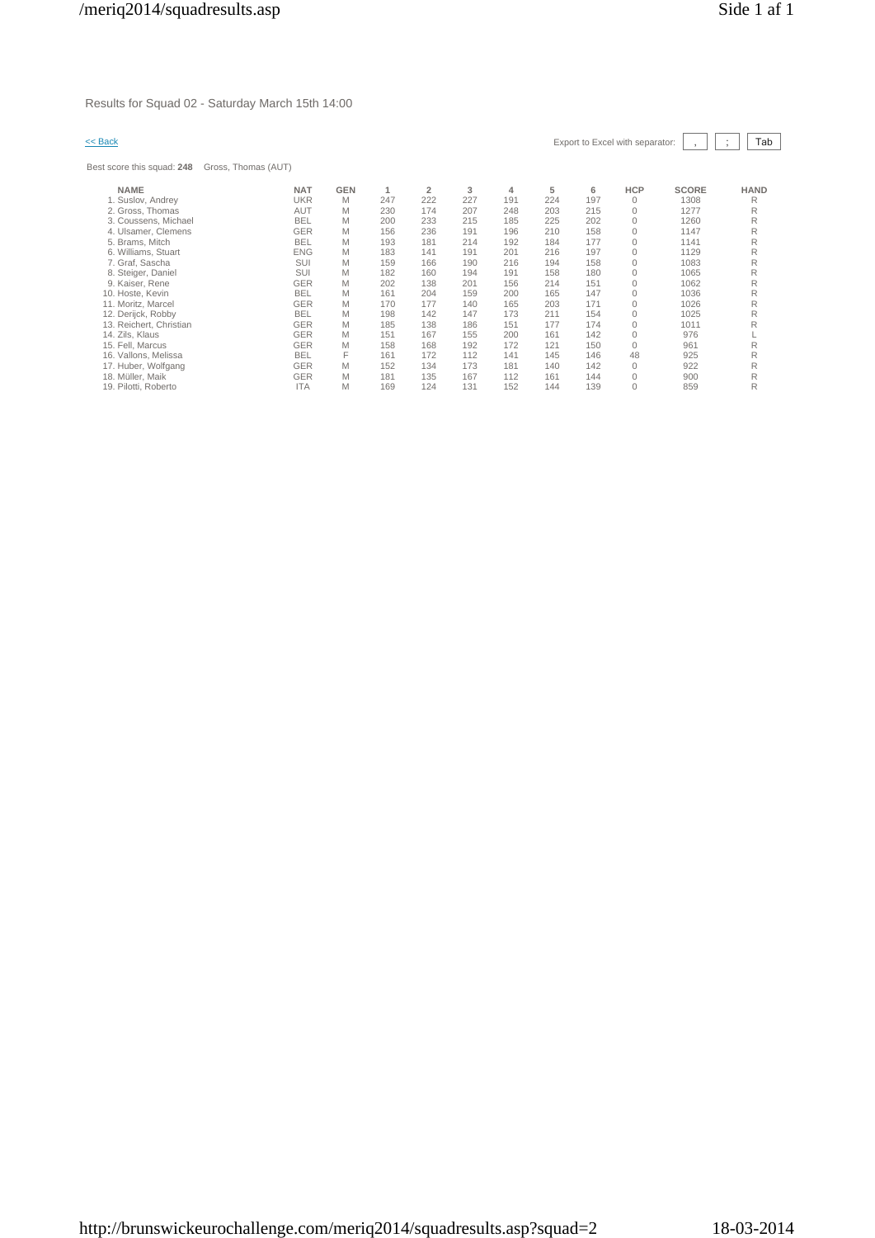Results for Squad 02 - Saturday March 15th 14:00

# $\leq$  Back Export to Excel with separator:  $\boxed{\phantom{s}}$ ,  $\boxed{\phantom{s}}$   $\boxed{\phantom{s}}$

Best score

| st score this squad: 248 | Gross, Thomas (AUT) |            |     |                |     |     |     |     |            |              |             |
|--------------------------|---------------------|------------|-----|----------------|-----|-----|-----|-----|------------|--------------|-------------|
| <b>NAME</b>              | <b>NAT</b>          | <b>GEN</b> |     | $\overline{2}$ | 3   | 4   | 5   | 6   | <b>HCP</b> | <b>SCORE</b> | <b>HAND</b> |
| 1. Suslov, Andrey        | <b>UKR</b>          | M          | 247 | 222            | 227 | 191 | 224 | 197 | 0          | 1308         | R           |
| 2. Gross, Thomas         | <b>AUT</b>          | M          | 230 | 174            | 207 | 248 | 203 | 215 | 0          | 1277         | R           |
| 3. Coussens, Michael     | <b>BEL</b>          | M          | 200 | 233            | 215 | 185 | 225 | 202 | 0          | 1260         | R           |
| 4. Ulsamer, Clemens      | GER                 | M          | 156 | 236            | 191 | 196 | 210 | 158 | 0          | 1147         | R           |
| 5. Brams, Mitch          | <b>BEL</b>          | M          | 193 | 181            | 214 | 192 | 184 | 177 | 0          | 1141         | R           |
| 6. Williams, Stuart      | <b>ENG</b>          | M          | 183 | 141            | 191 | 201 | 216 | 197 | 0          | 1129         | R           |
| 7. Graf, Sascha          | SUI                 | M          | 159 | 166            | 190 | 216 | 194 | 158 | 0          | 1083         | R           |
| 8. Steiger, Daniel       | SUI                 | M          | 182 | 160            | 194 | 191 | 158 | 180 | 0          | 1065         | R           |
| 9. Kaiser, Rene          | GER                 | M          | 202 | 138            | 201 | 156 | 214 | 151 | 0          | 1062         | R           |
| 10. Hoste, Kevin         | <b>BEL</b>          | M          | 161 | 204            | 159 | 200 | 165 | 147 | 0          | 1036         | R           |
| 11. Moritz, Marcel       | <b>GER</b>          | M          | 170 | 177            | 140 | 165 | 203 | 171 | 0          | 1026         | R           |
| 12. Derijck, Robby       | <b>BEL</b>          | M          | 198 | 142            | 147 | 173 | 211 | 154 | $\Omega$   | 1025         | R           |
| 13. Reichert, Christian  | GER                 | M          | 185 | 138            | 186 | 151 | 177 | 174 | 0          | 1011         | R           |
| 14. Zils, Klaus          | <b>GER</b>          | M          | 151 | 167            | 155 | 200 | 161 | 142 | 0          | 976          |             |
| 15. Fell. Marcus         | <b>GER</b>          | M          | 158 | 168            | 192 | 172 | 121 | 150 | $\Omega$   | 961          | R           |
| 16. Vallons, Melissa     | <b>BEL</b>          | F          | 161 | 172            | 112 | 141 | 145 | 146 | 48         | 925          | R           |
| 17. Huber, Wolfgang      | <b>GER</b>          | M          | 152 | 134            | 173 | 181 | 140 | 142 | 0          | 922          | R           |
| 18. Müller, Maik         | <b>GER</b>          | M          | 181 | 135            | 167 | 112 | 161 | 144 | 0          | 900          | R           |
| 19. Pilotti, Roberto     | <b>ITA</b>          | Μ          | 169 | 124            | 131 | 152 | 144 | 139 | 0          | 859          | R           |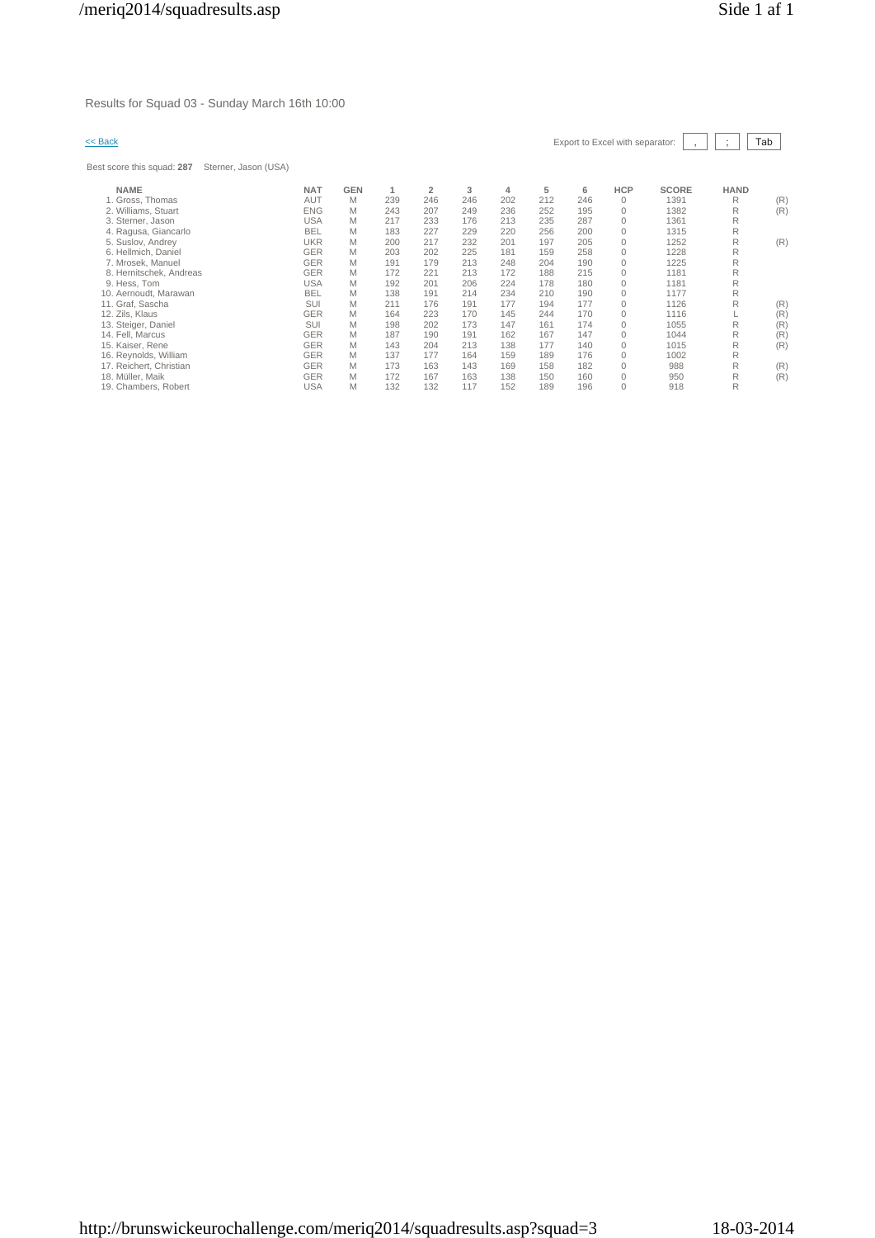Results for Squad 03 - Sunday March 16th 10:00

Best score this squad: **287** Sterner, Jason (USA)

|  | << Back | Export to Excel with separator: $\boxed{\phantom{a} \phantom{a}}$ , $\boxed{\phantom{a} \phantom{a}}$ ; $\boxed{\phantom{a} \phantom{a}}$ |  |  |  |  |
|--|---------|-------------------------------------------------------------------------------------------------------------------------------------------|--|--|--|--|
|--|---------|-------------------------------------------------------------------------------------------------------------------------------------------|--|--|--|--|

| <b>NAME</b>             | <b>NAT</b> | <b>GEN</b> |     | $\overline{2}$ | 3   | 4   | 5   | 6   | <b>HCP</b> | <b>SCORE</b> | <b>HAND</b> |     |
|-------------------------|------------|------------|-----|----------------|-----|-----|-----|-----|------------|--------------|-------------|-----|
| 1. Gross, Thomas        | AUT        | M          | 239 | 246            | 246 | 202 | 212 | 246 | $\Omega$   | 1391         | R           | (R) |
| 2. Williams, Stuart     | <b>ENG</b> | M          | 243 | 207            | 249 | 236 | 252 | 195 | $\Omega$   | 1382         | R           | (R) |
| 3. Sterner, Jason       | <b>USA</b> | M          | 217 | 233            | 176 | 213 | 235 | 287 | $\Omega$   | 1361         | R           |     |
| 4. Ragusa, Giancarlo    | <b>BEL</b> | Μ          | 183 | 227            | 229 | 220 | 256 | 200 | $\Omega$   | 1315         | R           |     |
| 5. Suslov, Andrey       | UKR        | Μ          | 200 | 217            | 232 | 201 | 197 | 205 | $\Omega$   | 1252         | R           | (R) |
| 6. Hellmich, Daniel     | <b>GER</b> | M          | 203 | 202            | 225 | 181 | 159 | 258 | $\Omega$   | 1228         | R           |     |
| 7. Mrosek, Manuel       | <b>GER</b> | M          | 191 | 179            | 213 | 248 | 204 | 190 | $\Omega$   | 1225         | R           |     |
| 8. Hernitschek, Andreas | <b>GER</b> | M          | 172 | 221            | 213 | 172 | 188 | 215 | $\Omega$   | 1181         | R           |     |
| 9. Hess. Tom            | USA        | M          | 192 | 201            | 206 | 224 | 178 | 180 | $\Omega$   | 1181         | R           |     |
| 10. Aernoudt, Marawan   | <b>BEL</b> | M          | 138 | 191            | 214 | 234 | 210 | 190 | $\Omega$   | 1177         | R           |     |
| 11. Graf, Sascha        | <b>SUI</b> | M          | 211 | 176            | 191 | 177 | 194 | 177 | $\Omega$   | 1126         | R           | (R) |
| 12. Zils, Klaus         | GER        | Μ          | 164 | 223            | 170 | 145 | 244 | 170 | $\Omega$   | 1116         |             | (R) |
| 13. Steiger, Daniel     | <b>SUI</b> | M          | 198 | 202            | 173 | 147 | 161 | 174 | $\Omega$   | 1055         | R           | (R) |
| 14. Fell, Marcus        | <b>GER</b> | M          | 187 | 190            | 191 | 162 | 167 | 147 | $\Omega$   | 1044         | R           | (R) |
| 15. Kaiser, Rene        | <b>GER</b> | Μ          | 143 | 204            | 213 | 138 | 177 | 140 | $\Omega$   | 1015         | R           | (R) |
| 16. Reynolds, William   | <b>GER</b> | M          | 137 | 177            | 164 | 159 | 189 | 176 | $\Omega$   | 1002         | R           |     |
| 17. Reichert, Christian | <b>GER</b> | M          | 173 | 163            | 143 | 169 | 158 | 182 | $\Omega$   | 988          | R           | (R) |
| 18. Müller, Maik        | <b>GER</b> | M          | 172 | 167            | 163 | 138 | 150 | 160 | $\Omega$   | 950          | R           | (R) |
| 19. Chambers, Robert    | <b>USA</b> | М          | 132 | 132            | 117 | 152 | 189 | 196 |            | 918          | R           |     |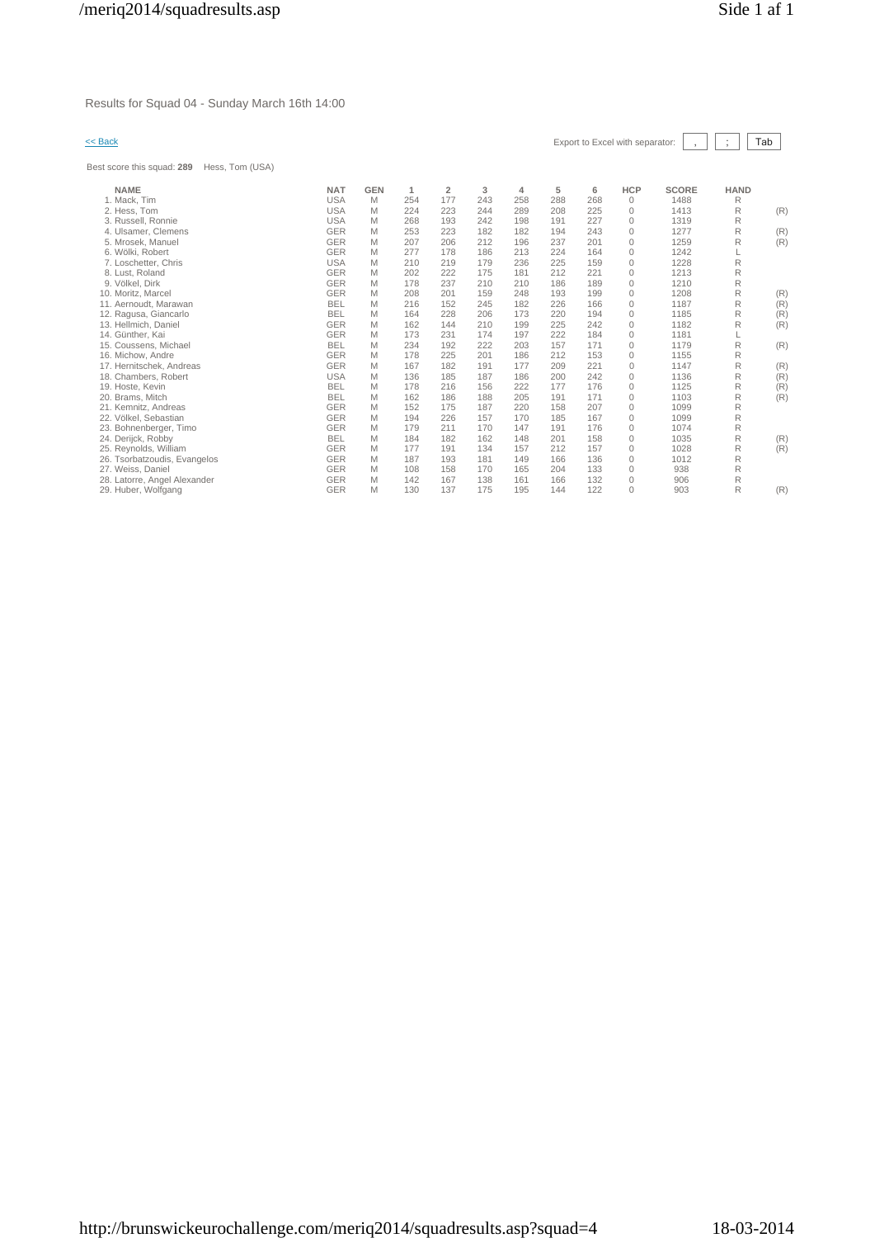Results for Squad 04 - Sunday March 16th 14:00

# << Back Export to Excel with separator: , ; Tab

Best score this squad: **289** Hess, Tom (USA)

| est score tnis squad: <b>∠89</b><br>Hess, Tom (USA) |            |            |     |                |     |     |     |     |              |              |             |     |
|-----------------------------------------------------|------------|------------|-----|----------------|-----|-----|-----|-----|--------------|--------------|-------------|-----|
| <b>NAME</b>                                         | <b>NAT</b> | <b>GEN</b> | 1   | $\overline{2}$ | 3   | 4   | 5   | 6   | <b>HCP</b>   | <b>SCORE</b> | <b>HAND</b> |     |
| 1. Mack, Tim                                        | <b>USA</b> | M          | 254 | 177            | 243 | 258 | 288 | 268 | $\mathbf{0}$ | 1488         | R           |     |
| 2. Hess, Tom                                        | <b>USA</b> | M          | 224 | 223            | 244 | 289 | 208 | 225 | $\mathbf{0}$ | 1413         | R           | (R) |
| 3. Russell, Ronnie                                  | <b>USA</b> | M          | 268 | 193            | 242 | 198 | 191 | 227 | $\mathbf{0}$ | 1319         | R           |     |
| 4. Ulsamer, Clemens                                 | <b>GER</b> | M          | 253 | 223            | 182 | 182 | 194 | 243 | $\circ$      | 1277         | R           | (R) |
| 5. Mrosek. Manuel                                   | <b>GER</b> | M          | 207 | 206            | 212 | 196 | 237 | 201 | $\Omega$     | 1259         | R           | (R) |
| 6. Wölki, Robert                                    | <b>GER</b> | M          | 277 | 178            | 186 | 213 | 224 | 164 | $\mathbf{0}$ | 1242         |             |     |
| 7. Loschetter, Chris                                | <b>USA</b> | M          | 210 | 219            | 179 | 236 | 225 | 159 | $\mathbf{0}$ | 1228         | R           |     |
| 8. Lust, Roland                                     | <b>GER</b> | M          | 202 | 222            | 175 | 181 | 212 | 221 | $\mathbf{0}$ | 1213         | R           |     |
| 9. Völkel, Dirk                                     | <b>GER</b> | M          | 178 | 237            | 210 | 210 | 186 | 189 | $\mathbf{0}$ | 1210         | R           |     |
| 10. Moritz, Marcel                                  | <b>GER</b> | M          | 208 | 201            | 159 | 248 | 193 | 199 | $\circ$      | 1208         | R           | (R) |
| 11. Aernoudt, Marawan                               | <b>BEL</b> | M          | 216 | 152            | 245 | 182 | 226 | 166 | $\circ$      | 1187         | R           | (R) |
| 12. Ragusa, Giancarlo                               | <b>BEL</b> | M          | 164 | 228            | 206 | 173 | 220 | 194 | $\mathbf{0}$ | 1185         | R           | (R) |
| 13. Hellmich, Daniel                                | <b>GER</b> | M          | 162 | 144            | 210 | 199 | 225 | 242 | $\mathbf{0}$ | 1182         | R           | (R) |
| 14. Günther, Kai                                    | <b>GER</b> | M          | 173 | 231            | 174 | 197 | 222 | 184 | $\mathbf{0}$ | 1181         |             |     |
| 15. Coussens. Michael                               | <b>BEL</b> | M          | 234 | 192            | 222 | 203 | 157 | 171 | $\mathbf{0}$ | 1179         | R           | (R) |
| 16. Michow, Andre                                   | <b>GER</b> | M          | 178 | 225            | 201 | 186 | 212 | 153 | $\mathbf{0}$ | 1155         | R           |     |
| 17. Hernitschek, Andreas                            | <b>GER</b> | M          | 167 | 182            | 191 | 177 | 209 | 221 | $\mathbf{0}$ | 1147         | R           | (R) |
| 18. Chambers, Robert                                | <b>USA</b> | M          | 136 | 185            | 187 | 186 | 200 | 242 | $\mathbf{0}$ | 1136         | R           | (R) |
| 19. Hoste, Kevin                                    | <b>BEL</b> | M          | 178 | 216            | 156 | 222 | 177 | 176 | $\mathbf{0}$ | 1125         | R           | (R) |
| 20. Brams. Mitch                                    | <b>BEL</b> | M          | 162 | 186            | 188 | 205 | 191 | 171 | $\mathbf{0}$ | 1103         | R           | (R) |
| 21. Kemnitz, Andreas                                | <b>GER</b> | M          | 152 | 175            | 187 | 220 | 158 | 207 | $\mathbf 0$  | 1099         | R           |     |
| 22. Völkel, Sebastian                               | <b>GER</b> | M          | 194 | 226            | 157 | 170 | 185 | 167 | $\mathbf 0$  | 1099         | R           |     |
| 23. Bohnenberger, Timo                              | <b>GER</b> | M          | 179 | 211            | 170 | 147 | 191 | 176 | $\mathbf{0}$ | 1074         | R           |     |
| 24. Derijck, Robby                                  | <b>BEL</b> | M          | 184 | 182            | 162 | 148 | 201 | 158 | 0            | 1035         | R           | (R) |
| 25. Reynolds, William                               | <b>GER</b> | M          | 177 | 191            | 134 | 157 | 212 | 157 | $\mathbf{0}$ | 1028         | R           | (R) |
| 26. Tsorbatzoudis, Evangelos                        | <b>GER</b> | M          | 187 | 193            | 181 | 149 | 166 | 136 | $\circ$      | 1012         | R           |     |
| 27. Weiss, Daniel                                   | <b>GER</b> | M          | 108 | 158            | 170 | 165 | 204 | 133 | $\mathbf 0$  | 938          | R           |     |
| 28. Latorre, Angel Alexander                        | <b>GER</b> | M          | 142 | 167            | 138 | 161 | 166 | 132 | $\mathbf{0}$ | 906          | R           |     |
| 29. Huber, Wolfgang                                 | <b>GER</b> | M          | 130 | 137            | 175 | 195 | 144 | 122 | $\Omega$     | 903          | R           | (R) |
|                                                     |            |            |     |                |     |     |     |     |              |              |             |     |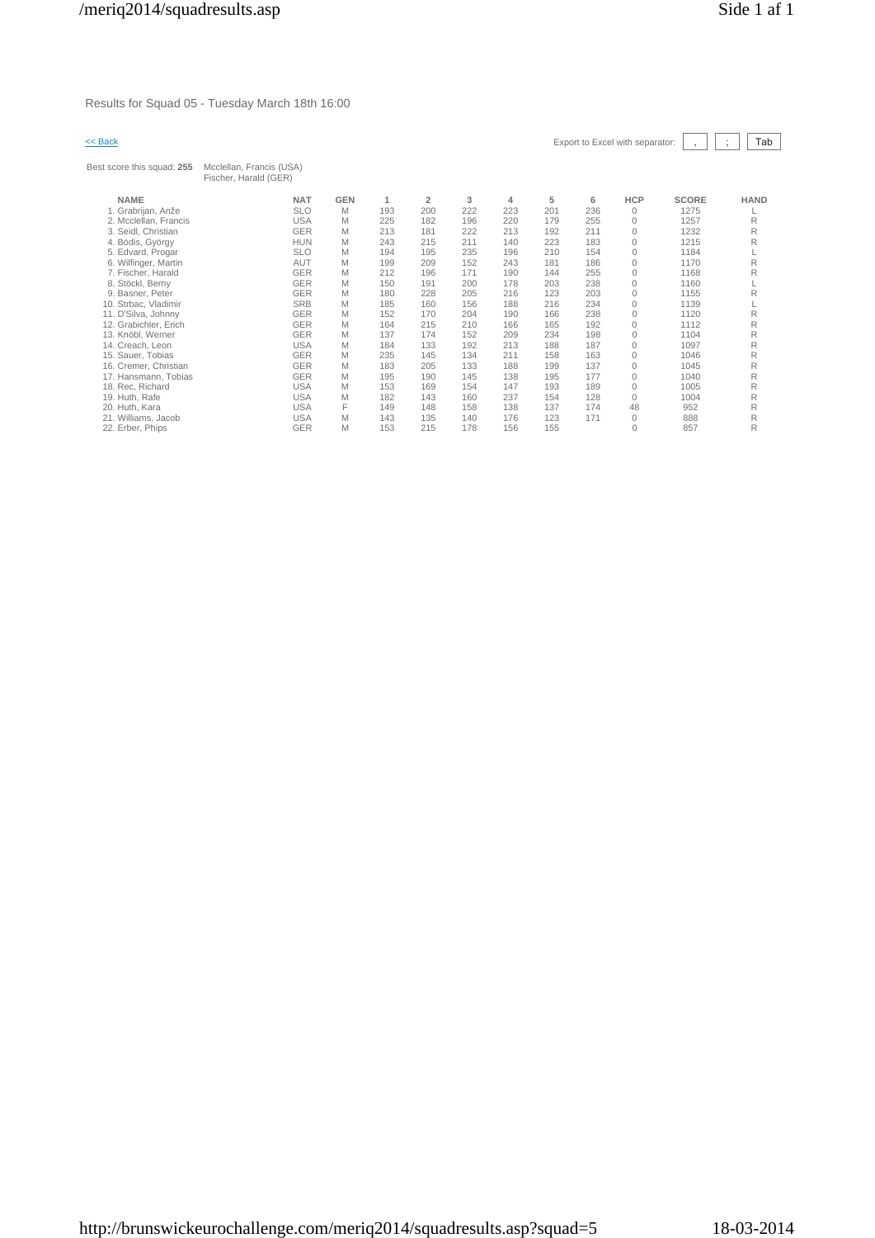Results for Squad 05 - Tuesday March 18th 16:00

| $<<$ Back                  |                                                   |            |     |                |     |     |     |     | Export to Excel with separator: |              | Tab<br>$\ddot{\phantom{a}}$ |
|----------------------------|---------------------------------------------------|------------|-----|----------------|-----|-----|-----|-----|---------------------------------|--------------|-----------------------------|
| Best score this squad: 255 | Mcclellan, Francis (USA)<br>Fischer, Harald (GER) |            |     |                |     |     |     |     |                                 |              |                             |
| <b>NAME</b>                | <b>NAT</b>                                        | <b>GEN</b> | 1   | $\overline{2}$ | 3   | 4   | 5   | 6   | <b>HCP</b>                      | <b>SCORE</b> | <b>HAND</b>                 |
| 1. Grabrijan, Anže         | <b>SLO</b>                                        | M          | 193 | 200            | 222 | 223 | 201 | 236 | 0                               | 1275         |                             |
| 2. Mcclellan, Francis      | <b>USA</b>                                        | M          | 225 | 182            | 196 | 220 | 179 | 255 | $\mathbf{0}$                    | 1257         | R                           |
| 3. Seidl, Christian        | <b>GER</b>                                        | M          | 213 | 181            | 222 | 213 | 192 | 211 | $\mathbf{0}$                    | 1232         | R                           |
| 4. Bódis, György           | <b>HUN</b>                                        | M          | 243 | 215            | 211 | 140 | 223 | 183 | $\mathbf{0}$                    | 1215         | R                           |
| 5. Edvard, Progar          | <b>SLO</b>                                        | M          | 194 | 195            | 235 | 196 | 210 | 154 | $\mathbf{0}$                    | 1184         |                             |
| 6. Wilfinger, Martin       | AUT                                               | M          | 199 | 209            | 152 | 243 | 181 | 186 | $\mathbf{0}$                    | 1170         | R                           |
| 7. Fischer, Harald         | GER                                               | M          | 212 | 196            | 171 | 190 | 144 | 255 | $\mathbf{0}$                    | 1168         | R                           |
| 8. Stöckl, Berny           | <b>GER</b>                                        | M          | 150 | 191            | 200 | 178 | 203 | 238 | $\mathbf{0}$                    | 1160         |                             |
| 9. Basner, Peter           | GER                                               | M          | 180 | 228            | 205 | 216 | 123 | 203 | $\mathbf{0}$                    | 1155         | R                           |
| 10. Strbac. Vladimir       | <b>SRB</b>                                        | M          | 185 | 160            | 156 | 188 | 216 | 234 | $\mathbf{0}$                    | 1139         |                             |
| 11. D'Silva, Johnny        | GER                                               | M          | 152 | 170            | 204 | 190 | 166 | 238 | $\mathbf{0}$                    | 1120         | R                           |
| 12. Grabichler, Erich      | GER                                               | M          | 164 | 215            | 210 | 166 | 165 | 192 | $\mathbf{0}$                    | 1112         | R                           |
| 13. Knöbl, Werner          | GER                                               | M          | 137 | 174            | 152 | 209 | 234 | 198 | $\mathbf{0}$                    | 1104         | R                           |
| 14. Creach, Leon           | <b>USA</b>                                        | M          | 184 | 133            | 192 | 213 | 188 | 187 | $\mathbf{0}$                    | 1097         | R                           |
| 15. Sauer, Tobias          | <b>GER</b>                                        | M          | 235 | 145            | 134 | 211 | 158 | 163 | $\mathbf{0}$                    | 1046         | R                           |
| 16. Cremer, Christian      | GER                                               | M          | 183 | 205            | 133 | 188 | 199 | 137 | $\mathbf{0}$                    | 1045         | R                           |
| 17. Hansmann, Tobias       | <b>GER</b>                                        | M          | 195 | 190            | 145 | 138 | 195 | 177 | $\mathbf{0}$                    | 1040         | R                           |
| 18. Rec, Richard           | <b>USA</b>                                        | M          | 153 | 169            | 154 | 147 | 193 | 189 | $\mathbf{0}$                    | 1005         | R                           |
| 19. Huth, Rafe             | <b>USA</b>                                        | M          | 182 | 143            | 160 | 237 | 154 | 128 | $\Omega$                        | 1004         | R                           |
| 20. Huth, Kara             | <b>USA</b>                                        | F          | 149 | 148            | 158 | 138 | 137 | 174 | 48                              | 952          | R                           |
| 21. Williams, Jacob        | <b>USA</b>                                        | M          | 143 | 135            | 140 | 176 | 123 | 171 | $\mathbf{0}$                    | 888          | R                           |
| 22. Erber, Phips           | GER                                               | M          | 153 | 215            | 178 | 156 | 155 |     | $\mathbf{0}$                    | 857          | R                           |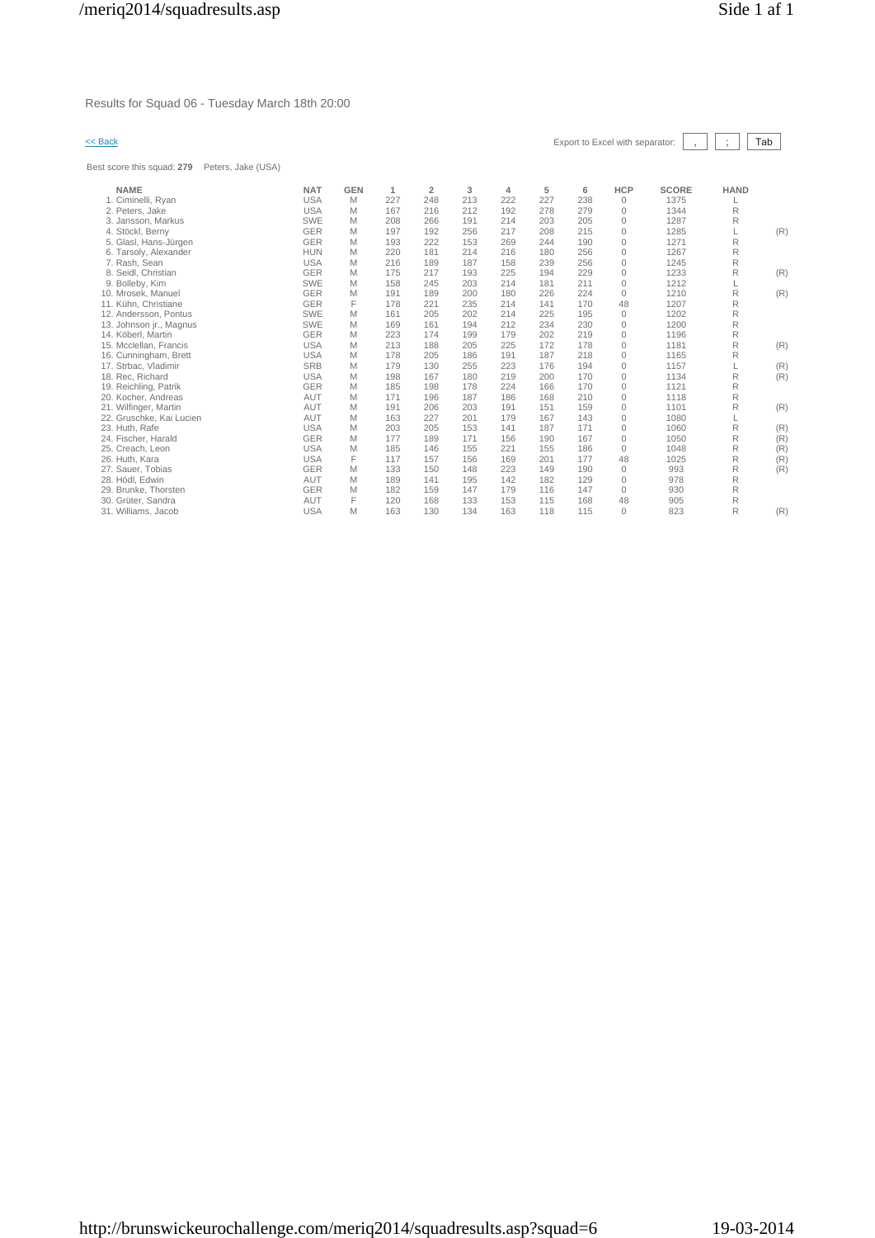Results for Squad 06 - Tuesday March 18th 20:00

Best score this squad: **279** Peters, Jake (USA)

| << Back | Export to Excel with separator: $\begin{array}{ c c c c c c } \hline \end{array}$ , $\begin{array}{ c c c c c } \hline \end{array}$ Tab |  |  |  |
|---------|-----------------------------------------------------------------------------------------------------------------------------------------|--|--|--|

| <b>NAME</b>              | <b>NAT</b> | <b>GEN</b> | 1   | $\overline{2}$ | 3   | 4   | 5   | 6   | <b>HCP</b>   | <b>SCORE</b> | <b>HAND</b> |     |
|--------------------------|------------|------------|-----|----------------|-----|-----|-----|-----|--------------|--------------|-------------|-----|
| 1. Ciminelli, Rvan       | <b>USA</b> | M          | 227 | 248            | 213 | 222 | 227 | 238 | $\Omega$     | 1375         |             |     |
| 2. Peters, Jake          | <b>USA</b> | M          | 167 | 216            | 212 | 192 | 278 | 279 | $\Omega$     | 1344         | R           |     |
| 3. Jansson, Markus       | <b>SWE</b> | M          | 208 | 266            | 191 | 214 | 203 | 205 | $\mathbf{0}$ | 1287         | R           |     |
| 4. Stöckl, Berny         | <b>GER</b> | M          | 197 | 192            | 256 | 217 | 208 | 215 | $\Omega$     | 1285         |             | (R) |
| 5. Glasl, Hans-Jürgen    | <b>GER</b> | M          | 193 | 222            | 153 | 269 | 244 | 190 | $\Omega$     | 1271         | R           |     |
| 6. Tarsoly, Alexander    | <b>HUN</b> | M          | 220 | 181            | 214 | 216 | 180 | 256 | 0            | 1267         | R           |     |
| 7. Rash, Sean            | <b>USA</b> | M          | 216 | 189            | 187 | 158 | 239 | 256 | $\mathbf{0}$ | 1245         | R           |     |
| 8. Seidl. Christian      | <b>GER</b> | M          | 175 | 217            | 193 | 225 | 194 | 229 | $\Omega$     | 1233         | R           | (R) |
| 9. Bolleby, Kim          | SWE        | M          | 158 | 245            | 203 | 214 | 181 | 211 | $\Omega$     | 1212         |             |     |
| 10. Mrosek. Manuel       | <b>GER</b> | M          | 191 | 189            | 200 | 180 | 226 | 224 | $\Omega$     | 1210         | R           | (R) |
| 11. Kühn, Christiane     | <b>GER</b> | F          | 178 | 221            | 235 | 214 | 141 | 170 | 48           | 1207         | R           |     |
| 12. Andersson, Pontus    | <b>SWE</b> | M          | 161 | 205            | 202 | 214 | 225 | 195 | $\Omega$     | 1202         | R           |     |
| 13. Johnson jr., Magnus  | <b>SWE</b> | M          | 169 | 161            | 194 | 212 | 234 | 230 | $\Omega$     | 1200         | R           |     |
| 14. Köberl, Martin       | <b>GER</b> | M          | 223 | 174            | 199 | 179 | 202 | 219 | $\Omega$     | 1196         | R           |     |
| 15. Mcclellan, Francis   | <b>USA</b> | M          | 213 | 188            | 205 | 225 | 172 | 178 | $\mathbf 0$  | 1181         | R           | (R) |
| 16. Cunningham, Brett    | <b>USA</b> | M          | 178 | 205            | 186 | 191 | 187 | 218 | $\Omega$     | 1165         | R           |     |
| 17. Strbac, Vladimir     | <b>SRB</b> | M          | 179 | 130            | 255 | 223 | 176 | 194 | $\Omega$     | 1157         |             | (R) |
| 18. Rec. Richard         | <b>USA</b> | M          | 198 | 167            | 180 | 219 | 200 | 170 | $\mathbf{0}$ | 1134         | R           | (R) |
| 19. Reichling, Patrik    | <b>GER</b> | M          | 185 | 198            | 178 | 224 | 166 | 170 | $\mathbf 0$  | 1121         | R           |     |
| 20. Kocher, Andreas      | <b>AUT</b> | M          | 171 | 196            | 187 | 186 | 168 | 210 | $\Omega$     | 1118         | R           |     |
| 21. Wilfinger, Martin    | <b>AUT</b> | M          | 191 | 206            | 203 | 191 | 151 | 159 | $\Omega$     | 1101         | R           | (R) |
| 22. Gruschke, Kai Lucien | AUT        | M          | 163 | 227            | 201 | 179 | 167 | 143 | $\mathbf{0}$ | 1080         |             |     |
| 23. Huth, Rafe           | <b>USA</b> | M          | 203 | 205            | 153 | 141 | 187 | 171 | $\mathbf 0$  | 1060         | R           | (R) |
| 24. Fischer, Harald      | <b>GER</b> | M          | 177 | 189            | 171 | 156 | 190 | 167 | $\Omega$     | 1050         | R           | (R) |
| 25. Creach, Leon         | <b>USA</b> | M          | 185 | 146            | 155 | 221 | 155 | 186 | $\Omega$     | 1048         | R           | (R) |
| 26. Huth, Kara           | <b>USA</b> | F          | 117 | 157            | 156 | 169 | 201 | 177 | 48           | 1025         | R           | (R) |
| 27. Sauer, Tobias        | <b>GER</b> | M          | 133 | 150            | 148 | 223 | 149 | 190 | $\Omega$     | 993          | R           | (R) |
| 28. Hödl. Edwin          | <b>AUT</b> | M          | 189 | 141            | 195 | 142 | 182 | 129 | $\mathbf{0}$ | 978          | R           |     |
| 29. Brunke, Thorsten     | <b>GER</b> | M          | 182 | 159            | 147 | 179 | 116 | 147 | $\Omega$     | 930          | R           |     |
| 30. Grüter, Sandra       | <b>AUT</b> | F          | 120 | 168            | 133 | 153 | 115 | 168 | 48           | 905          | R           |     |
| 31. Williams, Jacob      | <b>USA</b> | M          | 163 | 130            | 134 | 163 | 118 | 115 | $\Omega$     | 823          | R           | (R) |
|                          |            |            |     |                |     |     |     |     |              |              |             |     |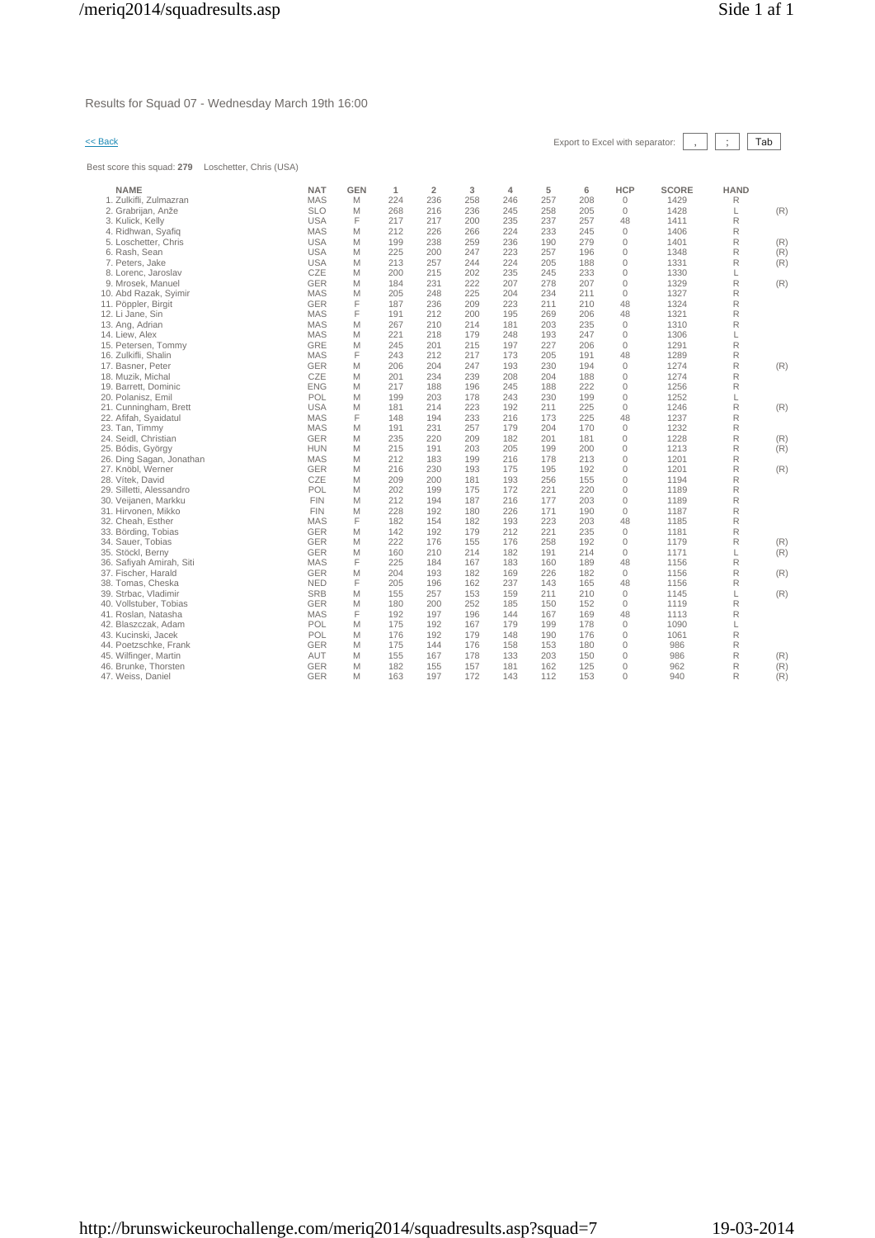Results for Squad 07 - Wednesday March 19th 16:00

Best score this squad: **279** Loschetter, Chris (USA)

| << Back |  |  |  |  |
|---------|--|--|--|--|
|         |  |  |  |  |

| <b>NAME</b>              | <b>NAT</b> | <b>GEN</b> | $\mathbf{1}$ | $\overline{2}$ | 3   | 4   | 5   | 6   | <b>HCP</b>   | <b>SCORE</b> | <b>HAND</b> |     |
|--------------------------|------------|------------|--------------|----------------|-----|-----|-----|-----|--------------|--------------|-------------|-----|
| 1. Zulkifli. Zulmazran   | <b>MAS</b> | M          | 224          | 236            | 258 | 246 | 257 | 208 | $\mathbf{0}$ | 1429         | R           |     |
| 2. Grabrijan, Anže       | <b>SLO</b> | M          | 268          | 216            | 236 | 245 | 258 | 205 | $\mathbf{0}$ | 1428         | L           | (R) |
| 3. Kulick, Kelly         | <b>USA</b> | F          | 217          | 217            | 200 | 235 | 237 | 257 | 48           | 1411         | R           |     |
| 4. Ridhwan, Syafiq       | <b>MAS</b> | M          | 212          | 226            | 266 | 224 | 233 | 245 | $\Omega$     | 1406         | R           |     |
| 5. Loschetter, Chris     | <b>USA</b> | M          | 199          | 238            | 259 | 236 | 190 | 279 | $\mathbf{0}$ | 1401         | R           | (R) |
| 6. Rash, Sean            | <b>USA</b> | M          | 225          | 200            | 247 | 223 | 257 | 196 | $\Omega$     | 1348         | R           | (R) |
| 7. Peters, Jake          | <b>USA</b> | M          | 213          | 257            | 244 | 224 | 205 | 188 | $\mathbf{0}$ | 1331         | R           | (R) |
| 8. Lorenc, Jaroslav      | CZE        | M          | 200          | 215            | 202 | 235 | 245 | 233 | $\mathbf{0}$ | 1330         | L           |     |
| 9. Mrosek, Manuel        | <b>GER</b> | M          | 184          | 231            | 222 | 207 | 278 | 207 | $\mathbf{0}$ | 1329         | R           | (R) |
| 10. Abd Razak, Syimir    | <b>MAS</b> | M          | 205          | 248            | 225 | 204 | 234 | 211 | $\Omega$     | 1327         | R           |     |
| 11. Pöppler, Birgit      | <b>GER</b> | F          | 187          | 236            | 209 | 223 | 211 | 210 | 48           | 1324         | R           |     |
| 12. Li Jane, Sin         | <b>MAS</b> | F          | 191          | 212            | 200 | 195 | 269 | 206 | 48           | 1321         | R           |     |
| 13. Ang, Adrian          | <b>MAS</b> | M          | 267          | 210            | 214 | 181 | 203 | 235 | $\mathbb O$  | 1310         | R           |     |
| 14. Liew. Alex           | <b>MAS</b> | M          | 221          | 218            | 179 | 248 | 193 | 247 | $\mathbf{0}$ | 1306         | L           |     |
| 15. Petersen, Tommy      | GRE        | M          | 245          | 201            | 215 | 197 | 227 | 206 | $\mathbb O$  | 1291         | R           |     |
| 16. Zulkifli, Shalin     | <b>MAS</b> | F          | 243          | 212            | 217 | 173 | 205 | 191 | 48           | 1289         | R           |     |
| 17. Basner, Peter        | <b>GER</b> | M          | 206          | 204            | 247 | 193 | 230 | 194 | $\mathbf{0}$ | 1274         | R           | (R) |
| 18. Muzik, Michal        | CZE        | M          | 201          | 234            | 239 | 208 | 204 | 188 | $\mathbf{0}$ | 1274         | R           |     |
| 19. Barrett, Dominic     | <b>ENG</b> | M          | 217          | 188            | 196 | 245 | 188 | 222 | $\mathbf 0$  | 1256         | R           |     |
| 20. Polanisz, Emil       | POL        | M          | 199          | 203            | 178 | 243 | 230 | 199 | $\mathbf 0$  | 1252         | L           |     |
| 21. Cunningham, Brett    | <b>USA</b> | M          | 181          | 214            | 223 | 192 | 211 | 225 | $\mathbf{0}$ | 1246         | $\mathsf R$ | (R) |
|                          | <b>MAS</b> | F          | 148          | 194            |     | 216 | 173 | 225 | 48           |              |             |     |
| 22. Afifah, Syaidatul    |            |            |              |                | 233 |     |     |     |              | 1237         | R           |     |
| 23. Tan, Timmy           | <b>MAS</b> | M          | 191          | 231            | 257 | 179 | 204 | 170 | $\mathbf{0}$ | 1232         | R           |     |
| 24. Seidl, Christian     | <b>GER</b> | M          | 235          | 220            | 209 | 182 | 201 | 181 | $\mathbf{0}$ | 1228         | R           | (R) |
| 25. Bódis, György        | <b>HUN</b> | M          | 215          | 191            | 203 | 205 | 199 | 200 | $\mathbf{0}$ | 1213         | R           | (R) |
| 26. Ding Sagan, Jonathan | <b>MAS</b> | M          | 212          | 183            | 199 | 216 | 178 | 213 | $\mathbf{0}$ | 1201         | R           |     |
| 27. Knöbl, Werner        | GER        | M          | 216          | 230            | 193 | 175 | 195 | 192 | $\mathbf{0}$ | 1201         | R           | (R) |
| 28. Vítek, David         | CZE        | M          | 209          | 200            | 181 | 193 | 256 | 155 | $\mathbf{0}$ | 1194         | R           |     |
| 29. Silletti, Alessandro | POL        | M          | 202          | 199            | 175 | 172 | 221 | 220 | $\mathbf{0}$ | 1189         | R           |     |
| 30. Veijanen, Markku     | <b>FIN</b> | M          | 212          | 194            | 187 | 216 | 177 | 203 | $\mathbf{0}$ | 1189         | R           |     |
| 31. Hirvonen, Mikko      | <b>FIN</b> | M          | 228          | 192            | 180 | 226 | 171 | 190 | $\mathbf 0$  | 1187         | R           |     |
| 32. Cheah, Esther        | <b>MAS</b> | F          | 182          | 154            | 182 | 193 | 223 | 203 | 48           | 1185         | R           |     |
| 33. Börding, Tobias      | <b>GER</b> | M          | 142          | 192            | 179 | 212 | 221 | 235 | $\mathbf{0}$ | 1181         | R           |     |
| 34. Sauer, Tobias        | <b>GER</b> | M          | 222          | 176            | 155 | 176 | 258 | 192 | $\mathbf{0}$ | 1179         | R           | (R) |
| 35. Stöckl, Berny        | <b>GER</b> | M          | 160          | 210            | 214 | 182 | 191 | 214 | $\mathbf{0}$ | 1171         | L           | (R) |
| 36. Safiyah Amirah, Siti | <b>MAS</b> | F          | 225          | 184            | 167 | 183 | 160 | 189 | 48           | 1156         | R           |     |
| 37. Fischer, Harald      | <b>GER</b> | M          | 204          | 193            | 182 | 169 | 226 | 182 | $\mathbf{0}$ | 1156         | R           | (R) |
| 38. Tomas, Cheska        | <b>NED</b> | F          | 205          | 196            | 162 | 237 | 143 | 165 | 48           | 1156         | R           |     |
| 39. Strbac, Vladimir     | <b>SRB</b> | M          | 155          | 257            | 153 | 159 | 211 | 210 | $\mathbf{0}$ | 1145         | L           | (R) |
| 40. Vollstuber, Tobias   | <b>GER</b> | M          | 180          | 200            | 252 | 185 | 150 | 152 | $\mathbb O$  | 1119         | R           |     |
| 41. Roslan, Natasha      | <b>MAS</b> | F          | 192          | 197            | 196 | 144 | 167 | 169 | 48           | 1113         | R           |     |
| 42. Blaszczak, Adam      | POL        | M          | 175          | 192            | 167 | 179 | 199 | 178 | $\mathbf{0}$ | 1090         | L           |     |
| 43. Kucinski, Jacek      | POL        | M          | 176          | 192            | 179 | 148 | 190 | 176 | $\mathbf{0}$ | 1061         | R           |     |
| 44. Poetzschke, Frank    | <b>GER</b> | M          | 175          | 144            | 176 | 158 | 153 | 180 | $\mathbf 0$  | 986          | $\mathsf R$ |     |
| 45. Wilfinger, Martin    | AUT        | M          | 155          | 167            | 178 | 133 | 203 | 150 | $\mathbf 0$  | 986          | R           | (R) |
| 46. Brunke, Thorsten     | <b>GER</b> | M          | 182          | 155            | 157 | 181 | 162 | 125 | $\mathbf{0}$ | 962          | R           | (R) |
| 47. Weiss, Daniel        | GER        | M          | 163          | 197            | 172 | 143 | 112 | 153 | $\Omega$     | 940          | R           | (R) |
|                          |            |            |              |                |     |     |     |     |              |              |             |     |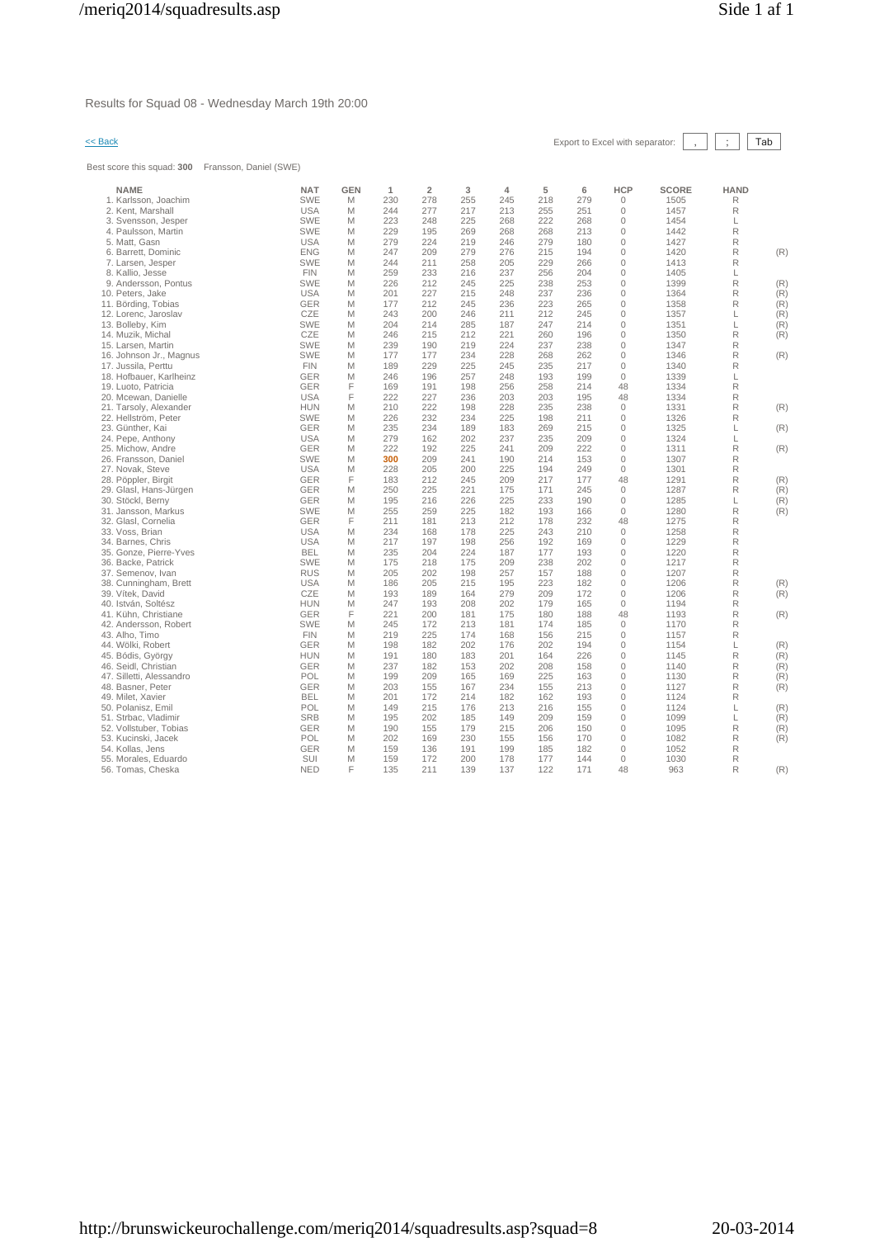Results for Squad 08 - Wednesday March 19th 20:00

Best score this squad: **300** Fransson, Daniel (SWE)

| << Back | Export to Excel with separator: | ,    ;    Tab |  |  |
|---------|---------------------------------|---------------|--|--|
|         |                                 |               |  |  |

| <b>NAME</b><br>1. Karlsson, Joachim | <b>NAT</b><br><b>SWE</b> | <b>GEN</b><br>M | 1<br>230 | $\overline{2}$<br>278 | 3<br>255 | $\overline{4}$<br>245 | 5<br>218 | 6<br>279 | <b>HCP</b><br>$\mathbf{0}$ | <b>SCORE</b><br>1505 | <b>HAND</b><br>R |     |
|-------------------------------------|--------------------------|-----------------|----------|-----------------------|----------|-----------------------|----------|----------|----------------------------|----------------------|------------------|-----|
| 2. Kent, Marshall                   | <b>USA</b>               | M               | 244      | 277                   | 217      | 213                   | 255      | 251      | $\mathbf{0}$               | 1457                 | R                |     |
| 3. Svensson, Jesper                 | <b>SWE</b>               | M               | 223      | 248                   | 225      | 268                   | 222      | 268      | $\mathbf{0}$               | 1454                 | L                |     |
| 4. Paulsson, Martin                 | <b>SWE</b>               | M               | 229      | 195                   | 269      | 268                   | 268      | 213      | $\mathbf{0}$               | 1442                 | R                |     |
| 5. Matt, Gasn                       | <b>USA</b>               | M               | 279      | 224                   | 219      | 246                   | 279      | 180      | $\mathbf{0}$               | 1427                 | R                |     |
| 6. Barrett, Dominic                 | <b>ENG</b>               | M               | 247      | 209                   | 279      | 276                   | 215      | 194      | $\Omega$                   | 1420                 | R                | (R) |
| 7. Larsen, Jesper                   | SWE                      | M               | 244      | 211                   | 258      | 205                   | 229      | 266      | $\mathbf{0}$               | 1413                 | R                |     |
| 8. Kallio, Jesse                    | <b>FIN</b>               | M               | 259      | 233                   | 216      | 237                   | 256      | 204      | $\mathbf{0}$               | 1405                 | L                |     |
| 9. Andersson, Pontus                | <b>SWE</b>               | M               | 226      | 212                   | 245      | 225                   | 238      | 253      | $\mathbf 0$                | 1399                 | R                | (R) |
| 10. Peters, Jake                    | <b>USA</b>               | M               | 201      | 227                   | 215      | 248                   | 237      | 236      | $\mathbf 0$                | 1364                 | R                | (R) |
| 11. Börding, Tobias                 | GER                      | M               | 177      | 212                   | 245      | 236                   | 223      | 265      | $\mathbf 0$                | 1358                 | R                | (R) |
| 12. Lorenc, Jaroslav                | CZE                      | M               | 243      | 200                   | 246      | 211                   | 212      | 245      | $\mathbf{0}$               | 1357                 | L                | (R) |
| 13. Bolleby, Kim                    | <b>SWE</b>               | M               | 204      | 214                   | 285      | 187                   | 247      | 214      | $\mathbf 0$                | 1351                 | L                | (R) |
| 14. Muzik, Michal                   | CZE                      | M               | 246      | 215                   | 212      | 221                   | 260      | 196      | $\mathbf{0}$               | 1350                 | R                | (R) |
| 15. Larsen, Martin                  | <b>SWE</b>               | M               | 239      | 190                   | 219      | 224                   | 237      | 238      | $\mathbf 0$                | 1347                 | R                |     |
| 16. Johnson Jr., Magnus             | <b>SWE</b>               | M               | 177      | 177                   | 234      | 228                   | 268      | 262      | $\mathbf 0$                | 1346                 | R                | (R) |
| 17. Jussila, Perttu                 | <b>FIN</b>               | M               | 189      | 229                   | 225      | 245                   | 235      | 217      | $\mathbf{0}$               | 1340                 | R                |     |
| 18. Hofbauer, Karlheinz             | GER                      | M               | 246      | 196                   | 257      | 248                   | 193      | 199      | $\circ$                    | 1339                 | L                |     |
| 19. Luoto. Patricia                 | <b>GER</b>               | F               | 169      | 191                   | 198      | 256                   | 258      | 214      | 48                         | 1334                 | R                |     |
| 20. Mcewan, Danielle                | <b>USA</b>               | F               | 222      | 227                   | 236      | 203                   | 203      | 195      | 48                         | 1334                 | R                |     |
| 21. Tarsoly, Alexander              | <b>HUN</b>               | М               | 210      | 222                   | 198      | 228                   | 235      | 238      | $\mathbf{0}$               | 1331                 | R                | (R) |
| 22. Hellström, Peter                | <b>SWE</b>               | M               | 226      | 232                   | 234      | 225                   | 198      | 211      | $\mathbf 0$                | 1326                 | R                |     |
| 23. Günther, Kai                    | GER                      | M               | 235      | 234                   | 189      | 183                   | 269      | 215      | $\mathbf 0$                | 1325                 | L                | (R) |
| 24. Pepe, Anthony                   | <b>USA</b>               | M               | 279      | 162                   | 202      | 237                   | 235      | 209      | $\mathbf{0}$               | 1324                 | L                |     |
| 25. Michow, Andre                   | GER                      | M               | 222      | 192                   | 225      | 241                   | 209      | 222      | $\mathbf 0$                | 1311                 | R                | (R) |
| 26. Fransson, Daniel                | <b>SWE</b>               | M               | 300      | 209                   | 241      | 190                   | 214      | 153      | $\Omega$                   | 1307                 | R                |     |
| 27. Novak, Steve                    | <b>USA</b>               | M               | 228      | 205                   | 200      | 225                   | 194      | 249      | $\mathbf{0}$               | 1301                 | R                |     |
| 28. Pöppler, Birgit                 | GER                      | F               | 183      | 212                   | 245      | 209                   | 217      | 177      | 48                         | 1291                 | R                | (R) |
| 29. Glasl, Hans-Jürgen              | GER                      | M               | 250      | 225                   | 221      | 175                   | 171      | 245      | $\mathbf{0}$               | 1287                 | R                | (R) |
| 30. Stöckl, Berny                   | GER                      | M               | 195      | 216                   | 226      | 225                   | 233      | 190      | $\mathbf{0}$               | 1285                 | L                | (R) |
| 31. Jansson, Markus                 | <b>SWE</b>               | M               | 255      | 259                   | 225      | 182                   | 193      | 166      | $\mathbf{0}$               | 1280                 | R                | (R) |
| 32. Glasl, Cornelia                 | <b>GER</b>               | F               | 211      | 181                   | 213      | 212                   | 178      | 232      | 48                         | 1275                 | R                |     |
| 33. Voss, Brian                     | <b>USA</b>               | M               | 234      | 168                   | 178      | 225                   | 243      | 210      | $\mathbf{0}$               | 1258                 | R                |     |
| 34. Barnes, Chris                   | <b>USA</b>               | M               | 217      | 197                   | 198      | 256                   | 192      | 169      | $\mathbf{0}$               | 1229                 | R                |     |
| 35. Gonze. Pierre-Yves              | <b>BEL</b>               | M               | 235      | 204                   | 224      | 187                   | 177      | 193      | $\mathbf 0$                | 1220                 | R                |     |
| 36. Backe, Patrick                  | <b>SWE</b>               | M               | 175      | 218                   | 175      | 209                   | 238      | 202      | $\mathbf 0$                | 1217                 | R                |     |
| 37. Semenov, Ivan                   | <b>RUS</b>               | M               | 205      | 202                   | 198      | 257                   | 157      | 188      | $\mathbf 0$                | 1207                 | R                |     |
| 38. Cunningham, Brett               | <b>USA</b>               | M               | 186      | 205                   | 215      | 195                   | 223      | 182      | $\mathbb O$                | 1206                 | R                | (R) |
| 39. Vítek, David                    | CZE                      | M               | 193      | 189                   | 164      | 279                   | 209      | 172      | $\mathbb O$                | 1206                 | R                | (R) |
| 40. István, Soltész                 | <b>HUN</b>               | M               | 247      | 193                   | 208      | 202                   | 179      | 165      | $\circ$                    | 1194                 | R                |     |
| 41. Kühn, Christiane                | <b>GER</b>               | F               | 221      | 200                   | 181      | 175                   | 180      | 188      | 48                         | 1193                 | R                | (R) |
| 42. Andersson, Robert               | <b>SWE</b>               | M               | 245      | 172                   | 213      | 181                   | 174      | 185      | $\mathbf{0}$               | 1170                 | R                |     |
| 43. Alho, Timo                      | <b>FIN</b>               | M               | 219      | 225                   | 174      | 168                   | 156      | 215      | $\mathbf 0$                | 1157                 | R                |     |
| 44. Wölki, Robert                   | <b>GER</b>               | M               | 198      | 182                   | 202      | 176                   | 202      | 194      | $\mathbb O$                | 1154                 | L                | (R) |
| 45. Bódis, György                   | <b>HUN</b>               | M               | 191      | 180                   | 183      | 201                   | 164      | 226      | $\mathbf 0$                | 1145                 | R                | (R) |
| 46. Seidl, Christian                | <b>GER</b>               | M               | 237      | 182                   | 153      | 202                   | 208      | 158      | $\mathbb O$                | 1140                 | R                | (R) |
| 47. Silletti, Alessandro            | POL                      | M               | 199      | 209                   | 165      | 169                   | 225      | 163      | $\mathbf 0$                | 1130                 | R                | (R) |
| 48. Basner, Peter                   | <b>GER</b>               | M               | 203      | 155                   | 167      | 234                   | 155      | 213      | $\mathbf 0$                | 1127                 | R                | (R) |
| 49. Milet, Xavier                   | <b>BEL</b>               | M               | 201      | 172                   | 214      | 182                   | 162      | 193      | $\mathbb O$                | 1124                 | R                |     |
| 50. Polanisz, Emil                  | POL                      | M               | 149      | 215                   | 176      | 213                   | 216      | 155      | $\mathbf 0$                | 1124                 | L                | (R) |
| 51. Strbac, Vladimir                | <b>SRB</b>               | M               | 195      | 202                   | 185      | 149                   | 209      | 159      | $\mathbb O$                | 1099                 | L                | (R) |
| 52. Vollstuber, Tobias              | <b>GER</b>               | M               | 190      | 155                   | 179      | 215                   | 206      | 150      | $\mathbb O$                | 1095                 | R                | (R) |
| 53. Kucinski, Jacek                 | POL                      | M               | 202      | 169                   | 230      | 155                   | 156      | 170      | $\mathbf 0$                | 1082                 | R                | (R) |
| 54. Kollas, Jens                    | <b>GER</b>               | M               | 159      | 136                   | 191      | 199                   | 185      | 182      | $\mathbb O$                | 1052                 | R                |     |
| 55. Morales, Eduardo                | SUI                      | M               | 159      | 172                   | 200      | 178                   | 177      | 144      | $\mathbf 0$                | 1030                 | R                |     |
| 56. Tomas, Cheska                   | <b>NED</b>               | F               | 135      | 211                   | 139      | 137                   | 122      | 171      | 48                         | 963                  | R                | (R) |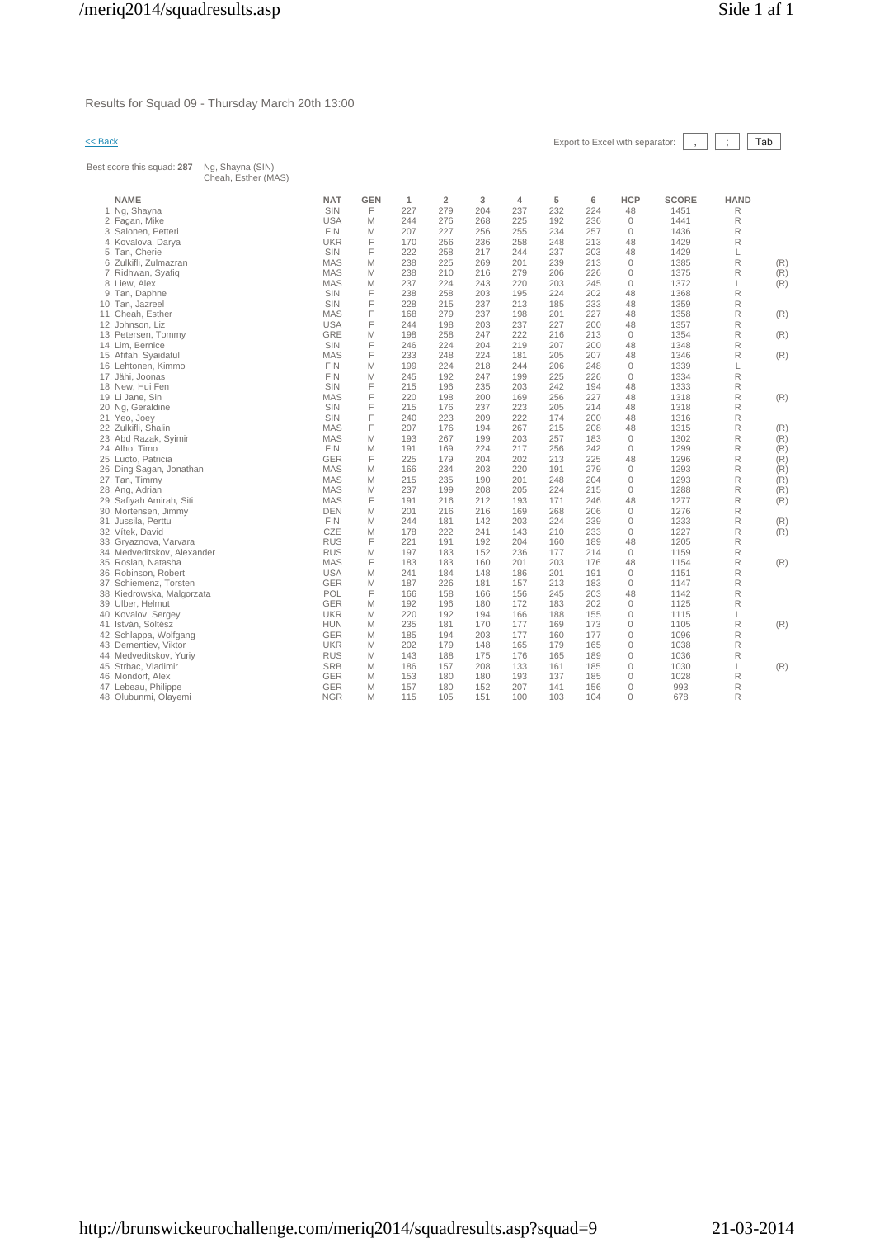Results for Squad 09 - Thursday March 20th 13:00

## $\leq$  Back Export to Excel with separator:  $\boxed{\phantom{s}}$ ,  $\boxed{\phantom{s}}$  Tab

Best score this squad: **287** Ng, Shayna (SIN) Cheah, Esther (MAS)

| Cheah, Esther (MAS)         |            |            |     |                |     |     |     |     |              |       |             |     |
|-----------------------------|------------|------------|-----|----------------|-----|-----|-----|-----|--------------|-------|-------------|-----|
| <b>NAME</b>                 | <b>NAT</b> | <b>GEN</b> | 1   | $\overline{2}$ | 3   | 4   | 5   | 6   | <b>HCP</b>   | SCORE | <b>HAND</b> |     |
| 1. Ng, Shayna               | SIN        | F          | 227 | 279            | 204 | 237 | 232 | 224 | 48           | 1451  | R           |     |
| 2. Fagan, Mike              | <b>USA</b> | M          | 244 | 276            | 268 | 225 | 192 | 236 | $\mathbf{0}$ | 1441  | R           |     |
| 3. Salonen, Petteri         | <b>FIN</b> | M          | 207 | 227            | 256 | 255 | 234 | 257 | $\mathbf{0}$ | 1436  | R           |     |
| 4. Kovalova, Darya          | <b>UKR</b> | F          | 170 | 256            | 236 | 258 | 248 | 213 | 48           | 1429  | R           |     |
| 5. Tan, Cherie              | SIN        | F          | 222 | 258            | 217 | 244 | 237 | 203 | 48           | 1429  | L           |     |
| 6. Zulkifli, Zulmazran      | <b>MAS</b> | M          | 238 | 225            | 269 | 201 | 239 | 213 | $\mathbf{0}$ | 1385  | R           | (R) |
| 7. Ridhwan, Syafiq          | <b>MAS</b> | M          | 238 | 210            | 216 | 279 | 206 | 226 | 0            | 1375  | R           | (R) |
| 8. Liew, Alex               | <b>MAS</b> | M          | 237 | 224            | 243 | 220 | 203 | 245 | $\mathbf{0}$ | 1372  | L           | (R) |
| 9. Tan, Daphne              | SIN        | F          | 238 | 258            | 203 | 195 | 224 | 202 | 48           | 1368  | R           |     |
| 10. Tan, Jazreel            | SIN        | F          | 228 | 215            | 237 | 213 | 185 | 233 | 48           | 1359  | R           |     |
| 11. Cheah, Esther           | <b>MAS</b> | F          | 168 | 279            | 237 | 198 | 201 | 227 | 48           | 1358  | R           | (R) |
| 12. Johnson, Liz            | <b>USA</b> | F          | 244 | 198            | 203 | 237 | 227 | 200 | 48           | 1357  | R           |     |
| 13. Petersen, Tommy         | GRE        | M          | 198 | 258            | 247 | 222 | 216 | 213 | $\mathbf 0$  | 1354  | R           | (R) |
| 14. Lim. Bernice            | SIN        | F          | 246 | 224            | 204 | 219 | 207 | 200 | 48           | 1348  | R           |     |
| 15. Afifah, Syaidatul       | <b>MAS</b> | F          | 233 | 248            | 224 | 181 | 205 | 207 | 48           | 1346  | R           | (R) |
| 16. Lehtonen, Kimmo         | <b>FIN</b> | M          | 199 | 224            | 218 | 244 | 206 | 248 | $\mathbf{0}$ | 1339  | L           |     |
| 17. Jähi, Joonas            | <b>FIN</b> | M          | 245 | 192            | 247 | 199 | 225 | 226 | $\mathbf{0}$ | 1334  | R           |     |
| 18. New, Hui Fen            | SIN        | F          | 215 | 196            | 235 | 203 | 242 | 194 | 48           | 1333  | R           |     |
| 19. Li Jane, Sin            | <b>MAS</b> | F          | 220 | 198            | 200 | 169 | 256 | 227 | 48           | 1318  | R           | (R) |
| 20. Ng, Geraldine           | SIN        | F          | 215 | 176            | 237 | 223 | 205 | 214 | 48           | 1318  | R           |     |
| 21. Yeo, Joey               | SIN        | F          | 240 | 223            | 209 | 222 | 174 | 200 | 48           | 1316  | R           |     |
| 22. Zulkifli, Shalin        | <b>MAS</b> | F          | 207 | 176            | 194 | 267 | 215 | 208 | 48           | 1315  | R           | (R) |
| 23. Abd Razak, Syimir       | <b>MAS</b> | M          | 193 | 267            | 199 | 203 | 257 | 183 | $\mathbf{0}$ | 1302  | R           | (R) |
| 24. Alho, Timo              | <b>FIN</b> | M          | 191 | 169            | 224 | 217 | 256 | 242 | $\mathbf{0}$ | 1299  | R           | (R) |
| 25. Luoto, Patricia         | GER        | F          | 225 | 179            | 204 | 202 | 213 | 225 | 48           | 1296  | R           | (R) |
| 26. Ding Sagan, Jonathan    | <b>MAS</b> | M          | 166 | 234            | 203 | 220 | 191 | 279 | $\mathbf 0$  | 1293  | R           | (R) |
| 27. Tan, Timmy              | <b>MAS</b> | M          | 215 | 235            | 190 | 201 | 248 | 204 | $\mathbf{0}$ | 1293  | R           | (R) |
| 28. Ang, Adrian             | <b>MAS</b> | M          | 237 | 199            | 208 | 205 | 224 | 215 | $\mathbf{0}$ | 1288  | R           | (R) |
| 29. Safiyah Amirah, Siti    | <b>MAS</b> | F          | 191 | 216            | 212 | 193 | 171 | 246 | 48           | 1277  | R           | (R) |
| 30. Mortensen, Jimmy        | <b>DEN</b> | M          | 201 | 216            | 216 | 169 | 268 | 206 | $\mathbf 0$  | 1276  | R           |     |
| 31. Jussila, Perttu         | <b>FIN</b> | M          | 244 | 181            | 142 | 203 | 224 | 239 | $\mathbf{0}$ | 1233  | R           | (R) |
| 32. Vítek, David            | CZE        | M          | 178 | 222            | 241 | 143 | 210 | 233 | $\mathbf 0$  | 1227  | R           | (R) |
| 33. Gryaznova, Varvara      | <b>RUS</b> | F          | 221 | 191            | 192 | 204 | 160 | 189 | 48           | 1205  | R           |     |
| 34. Medveditskov, Alexander | <b>RUS</b> | M          | 197 | 183            | 152 | 236 | 177 | 214 | $\mathbf{0}$ | 1159  | R           |     |
| 35. Roslan, Natasha         | <b>MAS</b> | F          | 183 | 183            | 160 | 201 | 203 | 176 | 48           | 1154  | R           | (R) |
| 36. Robinson, Robert        | <b>USA</b> | M          | 241 | 184            | 148 | 186 | 201 | 191 | $\mathbf 0$  | 1151  | R           |     |
| 37. Schiemenz, Torsten      | <b>GER</b> | M          | 187 | 226            | 181 | 157 | 213 | 183 | $\mathbf{0}$ | 1147  | R           |     |
| 38. Kiedrowska, Malgorzata  | POL        | F          | 166 | 158            | 166 | 156 | 245 | 203 | 48           | 1142  | R           |     |
| 39. Ulber, Helmut           | GER        | M          | 192 | 196            | 180 | 172 | 183 | 202 | $\mathbf{0}$ | 1125  | R           |     |
| 40. Kovalov, Sergey         | <b>UKR</b> | M          | 220 | 192            | 194 | 166 | 188 | 155 | $\mathbf 0$  | 1115  | L           |     |
| 41. István, Soltész         | <b>HUN</b> | M          | 235 | 181            | 170 | 177 | 169 | 173 | $\mathbf{0}$ | 1105  | R           | (R) |
| 42. Schlappa, Wolfgang      | GER        | M          | 185 | 194            | 203 | 177 | 160 | 177 | $\mathbf{0}$ | 1096  | R           |     |
| 43. Dementiev, Viktor       | <b>UKR</b> | M          | 202 | 179            | 148 | 165 | 179 | 165 | 0            | 1038  | R           |     |
| 44. Medveditskov, Yuriy     | <b>RUS</b> | M          | 143 | 188            | 175 | 176 | 165 | 189 | $\mathbf{0}$ | 1036  | R           |     |
| 45. Strbac, Vladimir        | <b>SRB</b> | M          | 186 | 157            | 208 | 133 | 161 | 185 | $\mathbf{0}$ | 1030  | L           | (R) |
| 46. Mondorf, Alex           | GER        | M          | 153 | 180            | 180 | 193 | 137 | 185 | $\mathbf 0$  | 1028  | R           |     |
| 47. Lebeau, Philippe        | GER        | M          | 157 | 180            | 152 | 207 | 141 | 156 | $\mathbf{0}$ | 993   | R           |     |
| 48. Olubunmi, Olayemi       | <b>NGR</b> | M          | 115 | 105            | 151 | 100 | 103 | 104 | $\Omega$     | 678   | R           |     |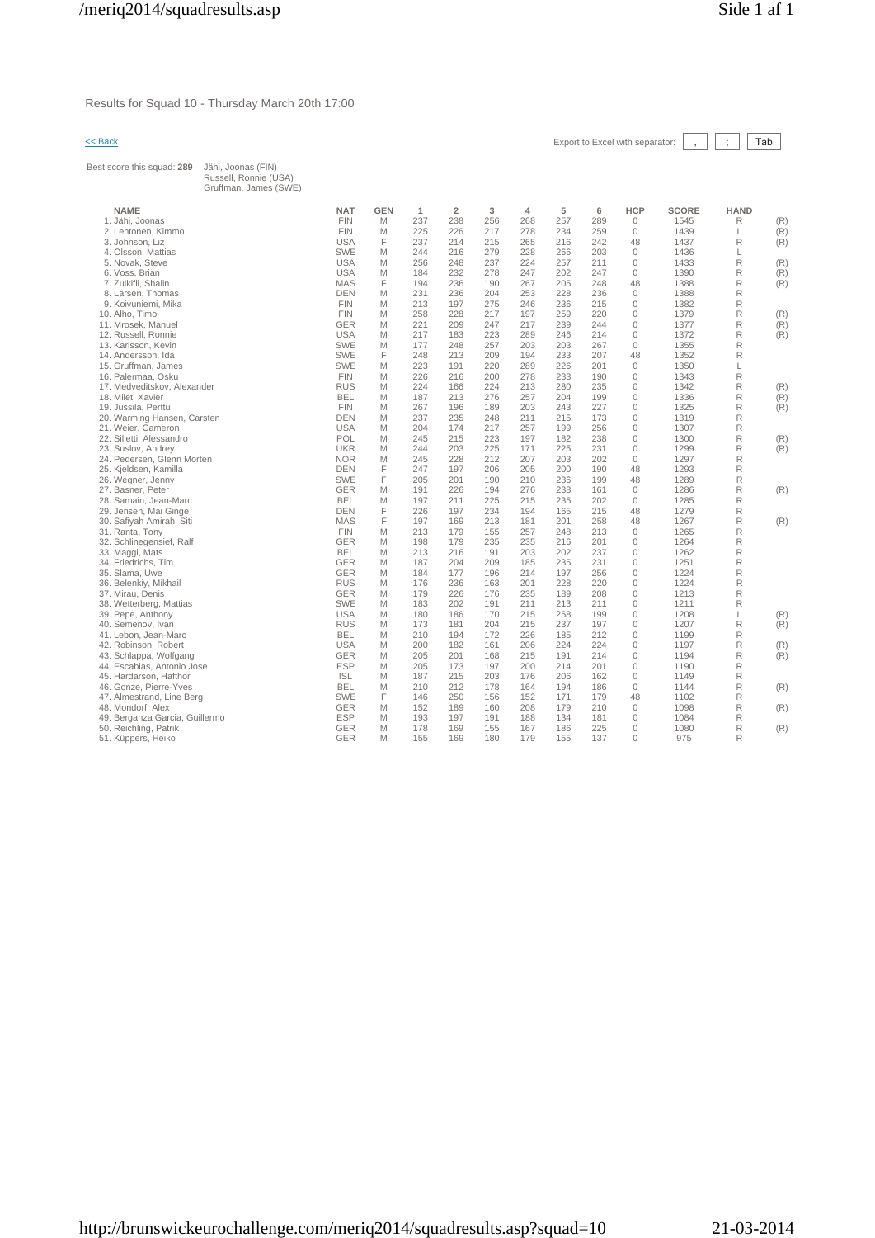Results for Squad 10 - Thursday March 20th 17:00

<< Back Export to Excel with separator: , ; Tab

| Best score this squad: 289                     | Jähi, Joonas (FIN)<br>Russell, Ronnie (USA)<br>Gruffman, James (SWE) |                          |            |              |                |            |                |            |            |                          |              |                  |            |
|------------------------------------------------|----------------------------------------------------------------------|--------------------------|------------|--------------|----------------|------------|----------------|------------|------------|--------------------------|--------------|------------------|------------|
| <b>NAME</b>                                    |                                                                      | <b>NAT</b>               | <b>GEN</b> | $\mathbf{1}$ | $\overline{2}$ | 3          | $\overline{4}$ | 5          | 6          | <b>HCP</b>               | <b>SCORE</b> | <b>HAND</b>      |            |
| 1. Jähi, Joonas                                |                                                                      | <b>FIN</b>               | M          | 237          | 238            | 256        | 268            | 257        | 289        | $\circ$                  | 1545         | R                | (R)        |
| 2. Lehtonen, Kimmo                             |                                                                      | <b>FIN</b>               | M          | 225          | 226            | 217        | 278            | 234        | 259        | $\mathbf{0}$             | 1439         | L                | (R)        |
| 3. Johnson, Liz                                |                                                                      | <b>USA</b>               | F          | 237          | 214            | 215        | 265            | 216        | 242        | 48                       | 1437         | $\mathsf{R}$     | (R)        |
| 4. Olsson, Mattias                             |                                                                      | <b>SWE</b>               | M          | 244          | 216            | 279        | 228            | 266        | 203        | $\mathbf{0}$             | 1436         | L                |            |
| 5. Novak. Steve                                |                                                                      | <b>USA</b>               | M          | 256          | 248            | 237        | 224            | 257        | 211        | $\mathbf{0}$             | 1433         | R                | (R)        |
| 6. Voss, Brian                                 |                                                                      | <b>USA</b>               | M          | 184          | 232            | 278        | 247            | 202        | 247        | $\Omega$                 | 1390         | R                | (R)        |
| 7. Zulkifli, Shalin                            |                                                                      | <b>MAS</b>               | F          | 194          | 236            | 190        | 267            | 205        | 248        | 48                       | 1388         | $\mathsf{R}$     | (R)        |
| 8. Larsen, Thomas                              |                                                                      | <b>DEN</b>               | M          | 231          | 236            | 204        | 253            | 228        | 236        | $\Omega$                 | 1388         | R                |            |
| 9. Koivuniemi, Mika                            |                                                                      | <b>FIN</b>               | M          | 213          | 197            | 275        | 246            | 236        | 215        | $\mathbf{0}$             | 1382         | R                |            |
| 10. Alho, Timo                                 |                                                                      | <b>FIN</b>               | M          | 258          | 228            | 217        | 197            | 259        | 220        | $\mathbf{0}$             | 1379         | R                | (R)        |
| 11. Mrosek, Manuel                             |                                                                      | <b>GER</b>               | M          | 221          | 209            | 247        | 217            | 239        | 244        | $\mathbf{0}$             | 1377         | R                | (R)        |
| 12. Russell, Ronnie                            |                                                                      | <b>USA</b>               | M          | 217          | 183            | 223        | 289            | 246        | 214        | $\mathbf{0}$             | 1372         | $\mathsf{R}$     | (R)        |
| 13. Karlsson, Kevin                            |                                                                      | <b>SWE</b>               | M          | 177          | 248            | 257        | 203            | 203        | 267        | $\Omega$                 | 1355         | $\mathsf{R}$     |            |
| 14. Andersson, Ida                             |                                                                      | <b>SWE</b>               | F          | 248          | 213            | 209        | 194            | 233        | 207        | 48                       | 1352         | $\mathsf{R}$     |            |
| 15. Gruffman, James                            |                                                                      | <b>SWE</b>               | M          | 223          | 191            | 220        | 289            | 226        | 201        | $\Omega$                 | 1350         | L                |            |
| 16. Palermaa, Osku                             |                                                                      | <b>FIN</b>               | M          | 226          | 216            | 200        | 278            | 233        | 190        | $\mathbf{0}$             | 1343         | $\mathsf R$      |            |
| 17. Medveditskov, Alexander                    |                                                                      | <b>RUS</b>               | M          | 224          | 166            | 224        | 213            | 280        | 235        | $\Omega$                 | 1342         | $\mathsf{R}$     | (R)        |
| 18. Milet, Xavier                              |                                                                      | <b>BEL</b>               | M          | 187          | 213            | 276        | 257            | 204        | 199        | $\mathbf{0}$             | 1336         | R                | (R)        |
| 19. Jussila, Perttu                            |                                                                      | <b>FIN</b>               | M          | 267          | 196            | 189        | 203            | 243        | 227        | $\Omega$                 | 1325         | R                | (R)        |
| 20. Warming Hansen, Carsten                    |                                                                      | <b>DEN</b><br><b>USA</b> | M          | 237          | 235            | 248        | 211            | 215        | 173<br>256 | $\Omega$                 | 1319         | R                |            |
| 21. Weier, Cameron<br>22. Silletti, Alessandro |                                                                      | POL                      | M<br>M     | 204<br>245   | 174<br>215     | 217<br>223 | 257<br>197     | 199<br>182 | 238        | $\mathbf{0}$<br>$\Omega$ | 1307<br>1300 | R<br>R           |            |
| 23. Suslov, Andrey                             |                                                                      | <b>UKR</b>               | M          | 244          | 203            | 225        | 171            | 225        | 231        | $\mathbf{0}$             | 1299         | R                | (R)<br>(R) |
| 24. Pedersen, Glenn Morten                     |                                                                      | <b>NOR</b>               | M          | 245          | 228            | 212        | 207            | 203        | 202        | $\mathbf{0}$             | 1297         | $\mathsf{R}$     |            |
| 25. Kjeldsen, Kamilla                          |                                                                      | <b>DEN</b>               | F          | 247          | 197            | 206        | 205            | 200        | 190        | 48                       | 1293         | $\mathsf R$      |            |
| 26. Wegner, Jenny                              |                                                                      | <b>SWE</b>               | F          | 205          | 201            | 190        | 210            | 236        | 199        | 48                       | 1289         | R                |            |
| 27. Basner, Peter                              |                                                                      | <b>GER</b>               | M          | 191          | 226            | 194        | 276            | 238        | 161        | $\Omega$                 | 1286         | R                | (R)        |
| 28. Samain, Jean-Marc                          |                                                                      | <b>BEL</b>               | M          | 197          | 211            | 225        | 215            | 235        | 202        | $\mathbf{0}$             | 1285         | R                |            |
| 29. Jensen, Mai Ginge                          |                                                                      | <b>DEN</b>               | F          | 226          | 197            | 234        | 194            | 165        | 215        | 48                       | 1279         | $\mathsf{R}$     |            |
| 30. Safiyah Amirah, Siti                       |                                                                      | <b>MAS</b>               | F          | 197          | 169            | 213        | 181            | 201        | 258        | 48                       | 1267         | $\mathsf{R}$     | (R)        |
| 31. Ranta, Tony                                |                                                                      | <b>FIN</b>               | M          | 213          | 179            | 155        | 257            | 248        | 213        | $\mathbf{0}$             | 1265         | $\mathsf{R}$     |            |
| 32. Schlinegensief, Ralf                       |                                                                      | <b>GER</b>               | M          | 198          | 179            | 235        | 235            | 216        | 201        | $\Omega$                 | 1264         | $\mathsf{R}$     |            |
| 33. Maggi, Mats                                |                                                                      | <b>BEL</b>               | M          | 213          | 216            | 191        | 203            | 202        | 237        | $\mathbf{0}$             | 1262         | R                |            |
| 34. Friedrichs. Tim                            |                                                                      | <b>GER</b>               | M          | 187          | 204            | 209        | 185            | 235        | 231        | $\Omega$                 | 1251         | R                |            |
| 35. Slama, Uwe                                 |                                                                      | <b>GER</b>               | M          | 184          | 177            | 196        | 214            | 197        | 256        | $\mathbf{0}$             | 1224         | R                |            |
| 36. Belenkiy, Mikhail                          |                                                                      | <b>RUS</b>               | M          | 176          | 236            | 163        | 201            | 228        | 220        | $\Omega$                 | 1224         | $\mathsf{R}$     |            |
| 37. Mirau, Denis                               |                                                                      | <b>GER</b>               | M          | 179          | 226            | 176        | 235            | 189        | 208        | $\Omega$                 | 1213         | R                |            |
| 38. Wetterberg, Mattias                        |                                                                      | <b>SWE</b>               | M          | 183          | 202            | 191        | 211            | 213        | 211        | $\mathbf{0}$             | 1211         | R                |            |
| 39. Pepe, Anthony                              |                                                                      | <b>USA</b>               | M          | 180          | 186            | 170        | 215            | 258        | 199        | $\mathbf{0}$             | 1208         | L                | (R)        |
| 40. Semenov, Ivan                              |                                                                      | <b>RUS</b>               | M          | 173          | 181            | 204        | 215            | 237        | 197        | $\mathbf{0}$             | 1207         | R                | (R)        |
| 41. Lebon, Jean-Marc                           |                                                                      | <b>BEL</b>               | M          | 210          | 194            | 172        | 226            | 185        | 212        | $\mathbf{0}$             | 1199         | $\mathsf{R}$     |            |
| 42. Robinson, Robert                           |                                                                      | <b>USA</b>               | M          | 200          | 182            | 161        | 206            | 224        | 224        | $\mathbf{0}$             | 1197         | $\mathsf R$      | (R)        |
| 43. Schlappa, Wolfgang                         |                                                                      | <b>GER</b>               | M          | 205          | 201            | 168        | 215            | 191        | 214        | $\mathbf{0}$             | 1194         | $\mathsf R$      | (R)        |
| 44. Escabias, Antonio Jose                     |                                                                      | <b>ESP</b>               | M          | 205<br>187   | 173<br>215     | 197<br>203 | 200<br>176     | 214<br>206 | 201<br>162 | $\Omega$<br>$\mathbf{0}$ | 1190<br>1149 | R<br>$\mathsf R$ |            |
| 45. Hardarson, Hafthor                         |                                                                      | <b>ISL</b><br><b>BEL</b> | M<br>M     | 210          | 212            | 178        | 164            | 194        | 186        | $\mathbf{0}$             | 1144         | $\mathsf{R}$     |            |
| 46. Gonze, Pierre-Yves                         |                                                                      | <b>SWE</b>               | E          | 146          | 250            | 156        | 152            | 171        | 179        | 48                       | 1102         | $\mathsf{R}$     | (R)        |
| 47. Almestrand, Line Berg<br>48. Mondorf, Alex |                                                                      | <b>GER</b>               | M          | 152          | 189            | 160        | 208            | 179        | 210        | $\mathbf{0}$             | 1098         | $\mathsf{R}$     | (R)        |
| 49. Berganza Garcia, Guillermo                 |                                                                      | <b>ESP</b>               | M          | 193          | 197            | 191        | 188            | 134        | 181        | $\Omega$                 | 1084         | R                |            |
| 50. Reichling, Patrik                          |                                                                      | GER                      | M          | 178          | 169            | 155        | 167            | 186        | 225        | $\mathbf{0}$             | 1080         | R                | (R)        |
| 51. Küppers, Heiko                             |                                                                      | <b>GER</b>               | M          | 155          | 169            | 180        | 179            | 155        | 137        | $\Omega$                 | 975          | R                |            |
|                                                |                                                                      |                          |            |              |                |            |                |            |            |                          |              |                  |            |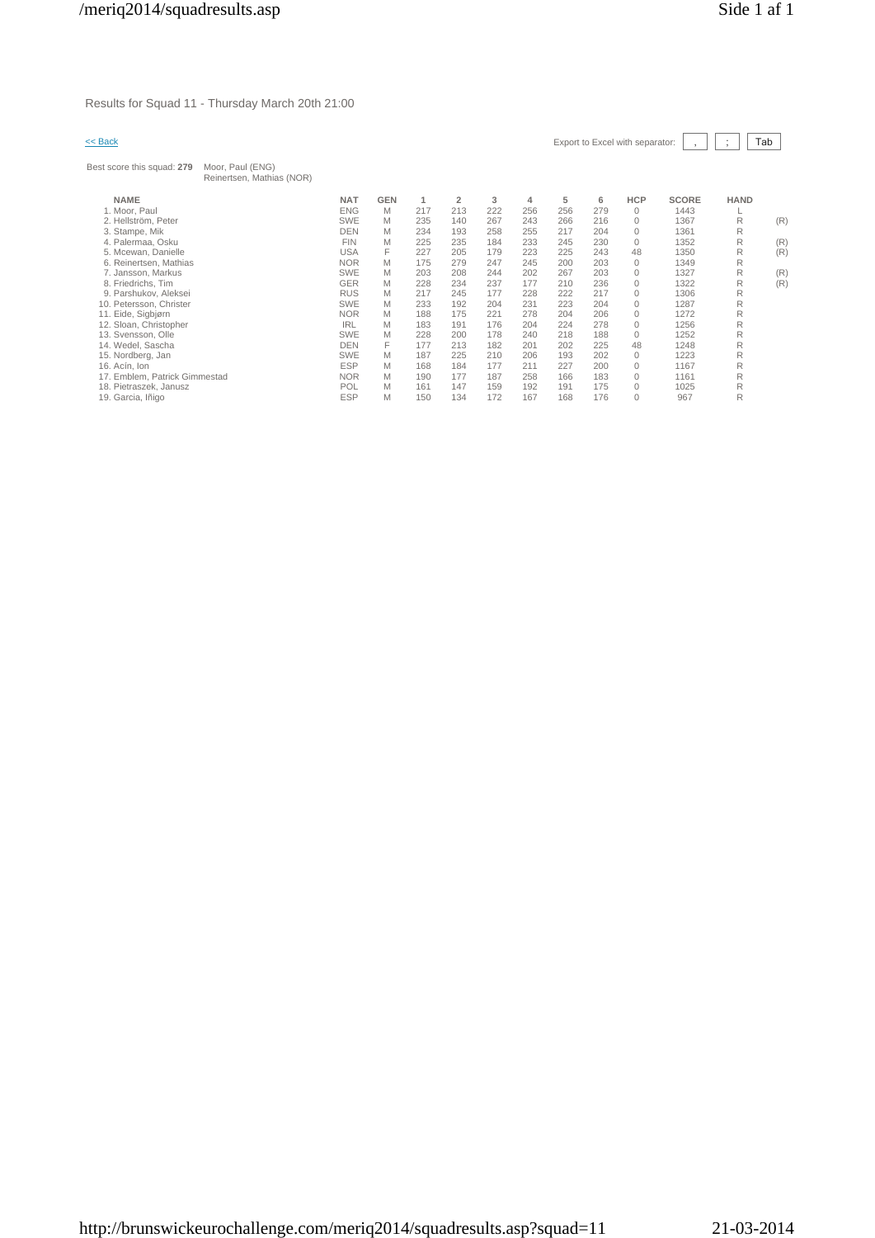Results for Squad 11 - Thursday March 20th 21:00

| << Back                       |                                               |            |            |     |                |     |     |     |     | Export to Excel with separator: |              |             | Tab |
|-------------------------------|-----------------------------------------------|------------|------------|-----|----------------|-----|-----|-----|-----|---------------------------------|--------------|-------------|-----|
| Best score this squad: 279    | Moor, Paul (ENG)<br>Reinertsen, Mathias (NOR) |            |            |     |                |     |     |     |     |                                 |              |             |     |
| <b>NAME</b>                   |                                               | <b>NAT</b> | <b>GEN</b> | 1   | $\overline{2}$ | 3   | 4   | 5   | 6   | HCP                             | <b>SCORE</b> | <b>HAND</b> |     |
| 1. Moor, Paul                 |                                               | <b>ENG</b> | M          | 217 | 213            | 222 | 256 | 256 | 279 | $\mathbf{0}$                    | 1443         |             |     |
| 2. Hellström, Peter           |                                               | <b>SWE</b> | M          | 235 | 140            | 267 | 243 | 266 | 216 | $\mathbf{0}$                    | 1367         | R           | (R) |
| 3. Stampe, Mik                |                                               | <b>DEN</b> | M          | 234 | 193            | 258 | 255 | 217 | 204 | $\mathbf{0}$                    | 1361         | R           |     |
| 4. Palermaa, Osku             |                                               | <b>FIN</b> | M          | 225 | 235            | 184 | 233 | 245 | 230 | $\mathbf{0}$                    | 1352         | R           | (R) |
| 5. Mcewan, Danielle           |                                               | <b>USA</b> | F          | 227 | 205            | 179 | 223 | 225 | 243 | 48                              | 1350         | R           | (R) |
| 6. Reinertsen, Mathias        |                                               | <b>NOR</b> | M          | 175 | 279            | 247 | 245 | 200 | 203 | $\mathbf{0}$                    | 1349         | R           |     |
| 7. Jansson, Markus            |                                               | <b>SWE</b> | M          | 203 | 208            | 244 | 202 | 267 | 203 | $\mathbf{0}$                    | 1327         | R           | (R) |
| 8. Friedrichs, Tim            |                                               | <b>GER</b> | M          | 228 | 234            | 237 | 177 | 210 | 236 | $\mathbf{0}$                    | 1322         | R           | (R) |
| 9. Parshukov, Aleksei         |                                               | <b>RUS</b> | M          | 217 | 245            | 177 | 228 | 222 | 217 | $\mathbf{0}$                    | 1306         | R           |     |
| 10. Petersson, Christer       |                                               | <b>SWE</b> | M          | 233 | 192            | 204 | 231 | 223 | 204 | $\mathbf{0}$                    | 1287         | R           |     |
| 11. Eide, Sigbjørn            |                                               | <b>NOR</b> | M          | 188 | 175            | 221 | 278 | 204 | 206 | $\mathbf{0}$                    | 1272         | R           |     |
| 12. Sloan, Christopher        |                                               | <b>IRL</b> | M          | 183 | 191            | 176 | 204 | 224 | 278 | $\mathbf{0}$                    | 1256         | R           |     |
| 13. Svensson, Olle            |                                               | <b>SWE</b> | M          | 228 | 200            | 178 | 240 | 218 | 188 | $\mathbf{0}$                    | 1252         | R           |     |
| 14. Wedel, Sascha             |                                               | <b>DEN</b> | F          | 177 | 213            | 182 | 201 | 202 | 225 | 48                              | 1248         | R           |     |
| 15. Nordberg, Jan             |                                               | <b>SWE</b> | M          | 187 | 225            | 210 | 206 | 193 | 202 | $\mathbf{0}$                    | 1223         | R           |     |
| 16. Acín, Ion                 |                                               | <b>ESP</b> | M          | 168 | 184            | 177 | 211 | 227 | 200 | $\mathbf{0}$                    | 1167         | R           |     |
| 17. Emblem, Patrick Gimmestad |                                               | <b>NOR</b> | M          | 190 | 177            | 187 | 258 | 166 | 183 | $\mathbf{0}$                    | 1161         | R           |     |
| 18. Pietraszek, Janusz        |                                               | POL        | M          | 161 | 147            | 159 | 192 | 191 | 175 | $\mathbf{0}$                    | 1025         | R           |     |
| 19. Garcia, Iñigo             |                                               | <b>ESP</b> | M          | 150 | 134            | 172 | 167 | 168 | 176 | $\Omega$                        | 967          | R           |     |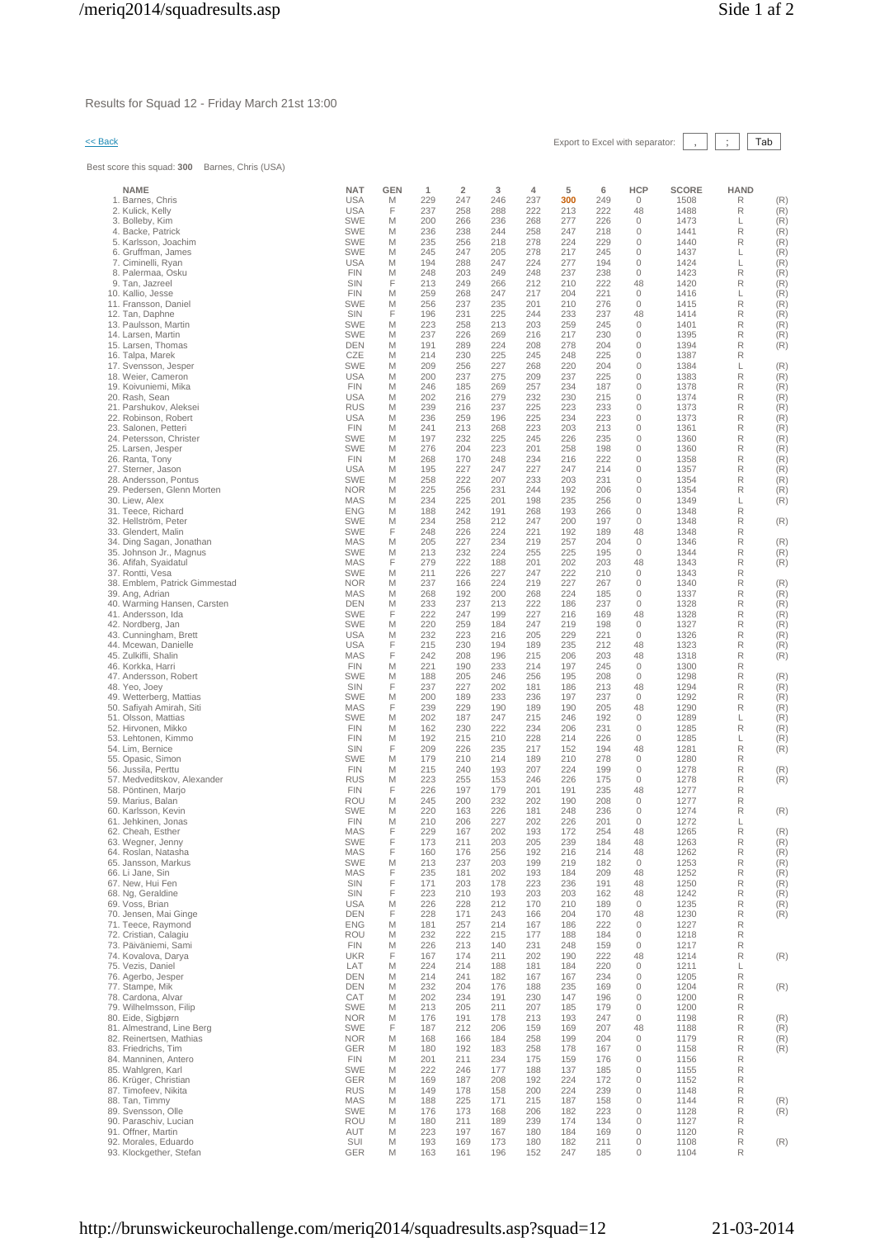Results for Squad 12 - Friday March 21st 13:00

# << Back Export to Excel with separator: , ; Tab

Best score this squad: **300** Barnes, Chris (USA)

| <b>NAME</b>                                          | <b>NAT</b>               | <b>GEN</b> | 1          | $\overline{\mathbf{2}}$ | 3          | 4          | 5          | 6          | <b>HCP</b>         | <b>SCORE</b> | <b>HAND</b> |            |
|------------------------------------------------------|--------------------------|------------|------------|-------------------------|------------|------------|------------|------------|--------------------|--------------|-------------|------------|
| 1. Barnes, Chris                                     | <b>USA</b>               | M          | 229        | 247                     | 246        | 237        | 300        | 249        | 0                  | 1508         | R           | (R)        |
| 2. Kulick, Kelly<br>3. Bolleby, Kim                  | <b>USA</b><br><b>SWE</b> | F<br>M     | 237<br>200 | 258<br>266              | 288<br>236 | 222<br>268 | 213<br>277 | 222<br>226 | 48<br>0            | 1488<br>1473 | R<br>L      | (R)<br>(R) |
| 4. Backe, Patrick                                    | <b>SWE</b>               | M          | 236        | 238                     | 244        | 258        | 247        | 218        | 0                  | 1441         | R           | (R)        |
| 5. Karlsson, Joachim                                 | <b>SWE</b>               | M          | 235        | 256                     | 218        | 278        | 224        | 229        | $\mathbf{0}$       | 1440         | R           | (R)        |
| 6. Gruffman, James                                   | <b>SWE</b>               | M          | 245        | 247                     | 205        | 278        | 217        | 245        | 0                  | 1437         | L           | (R)        |
| 7. Ciminelli, Ryan<br>8. Palermaa, Osku              | <b>USA</b><br><b>FIN</b> | M<br>M     | 194<br>248 | 288<br>203              | 247<br>249 | 224<br>248 | 277<br>237 | 194<br>238 | 0<br>$\mathbf{0}$  | 1424<br>1423 | L<br>R      | (R)<br>(R) |
| 9. Tan, Jazreel                                      | SIN                      | F          | 213        | 249                     | 266        | 212        | 210        | 222        | 48                 | 1420         | R           | (R)        |
| 10. Kallio, Jesse                                    | <b>FIN</b>               | M          | 259        | 268                     | 247        | 217        | 204        | 221        | 0                  | 1416         | L           | (R)        |
| 11. Fransson, Daniel                                 | <b>SWE</b>               | M          | 256        | 237                     | 235        | 201        | 210        | 276        | $\mathbf{0}$       | 1415         | R           | (R)        |
| 12. Tan, Daphne<br>13. Paulsson, Martin              | SIN<br><b>SWE</b>        | F<br>M     | 196<br>223 | 231<br>258              | 225<br>213 | 244<br>203 | 233<br>259 | 237<br>245 | 48<br>0            | 1414<br>1401 | R<br>R      | (R)<br>(R) |
| 14. Larsen, Martin                                   | <b>SWE</b>               | M          | 237        | 226                     | 269        | 216        | 217        | 230        | $\mathbf{0}$       | 1395         | R           | (R)        |
| 15. Larsen, Thomas                                   | <b>DEN</b>               | M          | 191        | 289                     | 224        | 208        | 278        | 204        | 0                  | 1394         | R           | (R)        |
| 16. Talpa, Marek                                     | CZE                      | M          | 214        | 230                     | 225        | 245        | 248        | 225        | 0                  | 1387         | R           |            |
| 17. Svensson, Jesper<br>18. Weier, Cameron           | <b>SWE</b><br><b>USA</b> | M<br>M     | 209<br>200 | 256<br>237              | 227<br>275 | 268<br>209 | 220<br>237 | 204<br>225 | 0<br>0             | 1384<br>1383 | L<br>R      | (R)<br>(R) |
| 19. Koivuniemi, Mika                                 | <b>FIN</b>               | M          | 246        | 185                     | 269        | 257        | 234        | 187        | 0                  | 1378         | R           | (R)        |
| 20. Rash, Sean                                       | <b>USA</b>               | M          | 202        | 216                     | 279        | 232        | 230        | 215        | $\mathbf{0}$       | 1374         | R           | (R)        |
| 21. Parshukov, Aleksei                               | <b>RUS</b>               | M          | 239        | 216                     | 237        | 225        | 223        | 233        | 0                  | 1373         | R           | (R)        |
| 22. Robinson, Robert<br>23. Salonen, Petteri         | <b>USA</b><br><b>FIN</b> | M<br>M     | 236<br>241 | 259<br>213              | 196<br>268 | 225<br>223 | 234<br>203 | 223<br>213 | 0<br>0             | 1373<br>1361 | R<br>R      | (R)<br>(R) |
| 24. Petersson, Christer                              | <b>SWE</b>               | M          | 197        | 232                     | 225        | 245        | 226        | 235        | 0                  | 1360         | R           | (R)        |
| 25. Larsen, Jesper                                   | <b>SWE</b>               | M          | 276        | 204                     | 223        | 201        | 258        | 198        | 0                  | 1360         | R           | (R)        |
| 26. Ranta, Tony                                      | <b>FIN</b>               | M          | 268        | 170                     | 248        | 234        | 216        | 222        | 0                  | 1358         | R           | (R)        |
| 27. Sterner, Jason<br>28. Andersson, Pontus          | <b>USA</b><br><b>SWE</b> | M<br>M     | 195<br>258 | 227<br>222              | 247<br>207 | 227<br>233 | 247<br>203 | 214<br>231 | 0<br>$\mathbf{0}$  | 1357<br>1354 | R<br>R      | (R)<br>(R) |
| 29. Pedersen, Glenn Morten                           | <b>NOR</b>               | M          | 225        | 256                     | 231        | 244        | 192        | 206        | 0                  | 1354         | R           | (R)        |
| 30. Liew, Alex                                       | MAS                      | M          | 234        | 225                     | 201        | 198        | 235        | 256        | 0                  | 1349         | L           | (R)        |
| 31. Teece, Richard                                   | <b>ENG</b>               | M          | 188        | 242                     | 191        | 268        | 193        | 266        | $\mathbf{0}$       | 1348         | R           |            |
| 32. Hellström. Peter<br>33. Glendert, Malin          | <b>SWE</b><br><b>SWE</b> | M<br>F     | 234<br>248 | 258<br>226              | 212<br>224 | 247<br>221 | 200<br>192 | 197<br>189 | $\mathbf{0}$<br>48 | 1348<br>1348 | R<br>R      | (R)        |
| 34. Ding Sagan, Jonathan                             | MAS                      | M          | 205        | 227                     | 234        | 219        | 257        | 204        | 0                  | 1346         | R           | (R)        |
| 35. Johnson Jr., Magnus                              | <b>SWE</b>               | M          | 213        | 232                     | 224        | 255        | 225        | 195        | 0                  | 1344         | R           | (R)        |
| 36. Afifah, Syaidatul                                | MAS                      | F          | 279        | 222                     | 188        | 201        | 202        | 203        | 48                 | 1343         | R           | (R)        |
| 37. Rontti, Vesa<br>38. Emblem, Patrick Gimmestad    | <b>SWE</b><br><b>NOR</b> | M<br>M     | 211<br>237 | 226<br>166              | 227<br>224 | 247<br>219 | 222<br>227 | 210<br>267 | 0<br>0             | 1343<br>1340 | R<br>R      | (R)        |
| 39. Ang, Adrian                                      | MAS                      | M          | 268        | 192                     | 200        | 268        | 224        | 185        | 0                  | 1337         | R           | (R)        |
| 40. Warming Hansen, Carsten                          | DEN                      | M          | 233        | 237                     | 213        | 222        | 186        | 237        | 0                  | 1328         | R           | (R)        |
| 41. Andersson, Ida                                   | <b>SWE</b>               | F          | 222        | 247                     | 199        | 227        | 216        | 169        | 48                 | 1328         | R           | (R)        |
| 42. Nordberg, Jan<br>43. Cunningham, Brett           | <b>SWE</b><br><b>USA</b> | M<br>M     | 220<br>232 | 259<br>223              | 184<br>216 | 247<br>205 | 219<br>229 | 198<br>221 | 0<br>$\mathbf{0}$  | 1327<br>1326 | R<br>R      | (R)<br>(R) |
| 44. Mcewan, Danielle                                 | <b>USA</b>               | F          | 215        | 230                     | 194        | 189        | 235        | 212        | 48                 | 1323         | R           | (R)        |
| 45. Zulkifli, Shalin                                 | <b>MAS</b>               | F          | 242        | 208                     | 196        | 215        | 206        | 203        | 48                 | 1318         | R           | (R)        |
| 46. Korkka, Harri                                    | <b>FIN</b>               | M          | 221        | 190                     | 233        | 214        | 197        | 245        | 0                  | 1300         | R           |            |
| 47. Andersson, Robert<br>48. Yeo, Joey               | <b>SWE</b><br>SIN        | M<br>F     | 188<br>237 | 205<br>227              | 246<br>202 | 256<br>181 | 195<br>186 | 208<br>213 | 0<br>48            | 1298<br>1294 | R<br>R      | (R)<br>(R) |
| 49. Wetterberg, Mattias                              | <b>SWE</b>               | M          | 200        | 189                     | 233        | 236        | 197        | 237        | 0                  | 1292         | R           | (R)        |
| 50. Safiyah Amirah, Siti                             | MAS                      | F          | 239        | 229                     | 190        | 189        | 190        | 205        | 48                 | 1290         | R           | (R)        |
| 51. Olsson, Mattias                                  | <b>SWE</b>               | M          | 202        | 187                     | 247        | 215        | 246        | 192        | 0                  | 1289         | L           | (R)        |
| 52. Hirvonen, Mikko<br>53. Lehtonen, Kimmo           | <b>FIN</b><br><b>FIN</b> | M<br>M     | 162<br>192 | 230<br>215              | 222<br>210 | 234<br>228 | 206<br>214 | 231<br>226 | 0<br>0             | 1285<br>1285 | R<br>L      | (R)<br>(R) |
| 54. Lim. Bernice                                     | <b>SIN</b>               | F          | 209        | 226                     | 235        | 217        | 152        | 194        | 48                 | 1281         | R           | (R)        |
| 55. Opasic, Simon                                    | <b>SWE</b>               | M          | 179        | 210                     | 214        | 189        | 210        | 278        | 0                  | 1280         | R           |            |
| 56. Jussila, Perttu                                  | <b>FIN</b>               | M          | 215        | 240                     | 193        | 207        | 224        | 199        | 0                  | 1278         | R           | (R)        |
| 57. Medveditskov, Alexander<br>58. Pöntinen, Marjo   | <b>RUS</b><br><b>FIN</b> | M<br>F     | 223<br>226 | 255<br>197              | 153<br>179 | 246<br>201 | 226<br>191 | 175<br>235 | 0<br>48            | 1278<br>1277 | R<br>R      | (R)        |
| 59. Marius, Balan                                    | <b>ROU</b>               | M          | 245        | 200                     | 232        | 202        | 190        | 208        | 0                  | 1277         | R           |            |
| 60. Karlsson, Kevin                                  | <b>SWE</b>               | M          | 220        | 163                     | 226        | 181        | 248        | 236        | 0                  | 1274         | R           | (R)        |
| 61. Jehkinen, Jonas                                  | <b>FIN</b><br><b>MAS</b> | M<br>F     | 210<br>229 | 206                     | 227        | 202        | 226        | 201<br>254 | 0                  | 1272         | L<br>R      |            |
| 62. Cheah, Esther<br>63. wegner, Jenny               | <b>SWE</b>               |            | 173        | 167<br>211              | 202<br>203 | 193<br>205 | 172<br>239 | 184        | 48<br>48           | 1265<br>1263 | R           | (R)<br>(R) |
| 64. Roslan, Natasha                                  | MAS                      | F          | 160        | 176                     | 256        | 192        | 216        | 214        | 48                 | 1262         | R           | (R)        |
| 65. Jansson, Markus                                  | <b>SWE</b>               | M          | 213        | 237                     | 203        | 199        | 219        | 182        | 0                  | 1253         | R           | (R)        |
| 66. Li Jane, Sin<br>67. New, Hui Fen                 | MAS<br>SIN               | F<br>F     | 235<br>171 | 181<br>203              | 202<br>178 | 193<br>223 | 184<br>236 | 209<br>191 | 48<br>48           | 1252<br>1250 | R<br>R      | (R)<br>(R) |
| 68. Ng, Geraldine                                    | SIN                      | F          | 223        | 210                     | 193        | 203        | 203        | 162        | 48                 | 1242         | R           | (R)        |
| 69. Voss, Brian                                      | <b>USA</b>               | M          | 226        | 228                     | 212        | 170        | 210        | 189        | 0                  | 1235         | R           | (R)        |
| 70. Jensen, Mai Ginge                                | <b>DEN</b>               | F          | 228        | 171                     | 243        | 166        | 204        | 170        | 48                 | 1230         | R           | (R)        |
| 71. Teece. Ravmond<br>72. Cristian, Calagiu          | <b>ENG</b><br>ROU        | M<br>M     | 181<br>232 | 257<br>222              | 214<br>215 | 167<br>177 | 186<br>188 | 222<br>184 | 0<br>$\mathbf{0}$  | 1227<br>1218 | R<br>R      |            |
| 73. Päiväniemi, Sami                                 | <b>FIN</b>               | M          | 226        | 213                     | 140        | 231        | 248        | 159        | 0                  | 1217         | R           |            |
| 74. Kovalova, Darya                                  | <b>UKR</b>               | F          | 167        | 174                     | 211        | 202        | 190        | 222        | 48                 | 1214         | R           | (R)        |
| 75. Vezis, Daniel                                    | LAT                      | M          | 224        | 214                     | 188        | 181        | 184        | 220        | 0                  | 1211         | L           |            |
| 76. Agerbo, Jesper<br>77. Stampe, Mik                | <b>DEN</b><br><b>DEN</b> | M<br>M     | 214<br>232 | 241<br>204              | 182<br>176 | 167<br>188 | 167<br>235 | 234<br>169 | 0<br>0             | 1205<br>1204 | R<br>R      | (R)        |
| 78. Cardona, Alvar                                   | CAT                      | M          | 202        | 234                     | 191        | 230        | 147        | 196        | 0                  | 1200         | R           |            |
| 79. Wilhelmsson, Filip                               | <b>SWE</b>               | M          | 213        | 205                     | 211        | 207        | 185        | 179        | 0                  | 1200         | R           |            |
| 80. Eide, Sigbjørn                                   | <b>NOR</b>               | M          | 176        | 191                     | 178        | 213        | 193        | 247        | $\mathbf{0}$       | 1198         | R           | (R)        |
| 81. Almestrand, Line Berg<br>82. Reinertsen, Mathias | <b>SWE</b><br><b>NOR</b> | F<br>M     | 187<br>168 | 212<br>166              | 206<br>184 | 159<br>258 | 169<br>199 | 207<br>204 | 48<br>0            | 1188<br>1179 | R<br>R      | (R)<br>(R) |
| 83. Friedrichs, Tim                                  | <b>GER</b>               | M          | 180        | 192                     | 183        | 258        | 178        | 167        | $\mathbf{0}$       | 1158         | R           | (R)        |
| 84. Manninen, Antero                                 | <b>FIN</b>               | M          | 201        | 211                     | 234        | 175        | 159        | 176        | 0                  | 1156         | R           |            |
| 85. Wahlgren, Karl                                   | <b>SWE</b>               | M          | 222        | 246                     | 177        | 188        | 137        | 185        | 0                  | 1155         | R           |            |
| 86. Krüger, Christian<br>87. Timofeev, Nikita        | <b>GER</b><br><b>RUS</b> | M<br>M     | 169<br>149 | 187<br>178              | 208<br>158 | 192<br>200 | 224<br>224 | 172<br>239 | 0<br>0             | 1152<br>1148 | R<br>R      |            |
| 88. Tan, Timmy                                       | MAS                      | M          | 188        | 225                     | 171        | 215        | 187        | 158        | 0                  | 1144         | R           | (R)        |
| 89. Svensson, Olle                                   | <b>SWE</b>               | M          | 176        | 173                     | 168        | 206        | 182        | 223        | $\mathbf{0}$       | 1128         | R           | (R)        |
| 90. Paraschiv, Lucian                                | ROU                      | M          | 180        | 211                     | 189        | 239        | 174        | 134        | 0                  | 1127         | R           |            |
| 91. Offner, Martin<br>92. Morales, Eduardo           | AUT<br>SUI               | M<br>M     | 223<br>193 | 197<br>169              | 167<br>173 | 180<br>180 | 184<br>182 | 169<br>211 | 0<br>0             | 1120<br>1108 | R<br>R      | (R)        |
| 93. Klockgether, Stefan                              | GER                      | M          | 163        | 161                     | 196        | 152        | 247        | 185        | 0                  | 1104         | R           |            |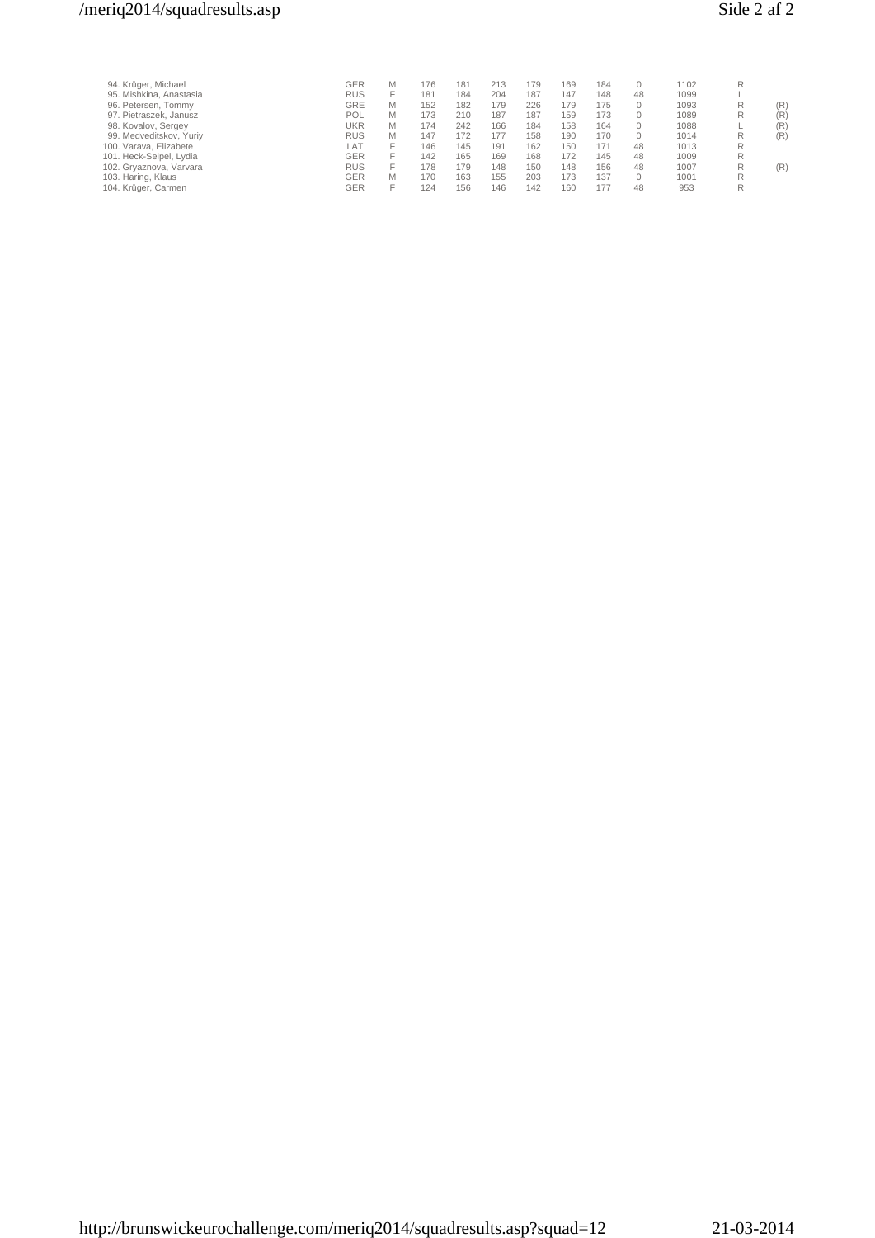# /meriq2014/squadresults.asp Side 2 af 2

| 94. Krüger, Michael     | GER        | M | 176 | 181 | 213 | 179 | 169 | 184 |    | 1102 |   |     |
|-------------------------|------------|---|-----|-----|-----|-----|-----|-----|----|------|---|-----|
| 95. Mishkina, Anastasia | <b>RUS</b> |   | 181 | 184 | 204 | 187 | 147 | 148 | 48 | 1099 |   |     |
| 96. Petersen, Tommy     | GRE        | M | 152 | 182 | 179 | 226 | 179 | 175 |    | 1093 | R | (R) |
| 97. Pietraszek, Janusz  | POL        | M | 173 | 210 | 187 | 187 | 159 | 173 |    | 1089 | R | (R) |
| 98. Kovalov, Sergey     | UKR        | M | 174 | 242 | 166 | 184 | 158 | 164 |    | 1088 |   | (R) |
| 99. Medveditskov, Yuriy | <b>RUS</b> | M | 147 | 172 | 177 | 158 | 190 | 170 |    | 1014 | R | (R) |
| 100. Varava, Elizabete  | AT         |   | 146 | 145 | 191 | 162 | 150 | 171 | 48 | 1013 | R |     |
| 101. Heck-Seipel, Lydia | GER        |   | 142 | 165 | 169 | 168 | 172 | 145 | 48 | 1009 | R |     |
| 102. Gryaznova, Varvara | <b>RUS</b> |   | 178 | 179 | 148 | 150 | 148 | 156 | 48 | 1007 | R | (R) |
| 103. Haring, Klaus      | GER        | M | 170 | 163 | 155 | 203 | 173 | 137 |    | 1001 |   |     |
| 104. Krüger, Carmen     | GER        |   | 124 | 156 | 146 | 142 | 160 | 177 | 48 | 953  | R |     |
|                         |            |   |     |     |     |     |     |     |    |      |   |     |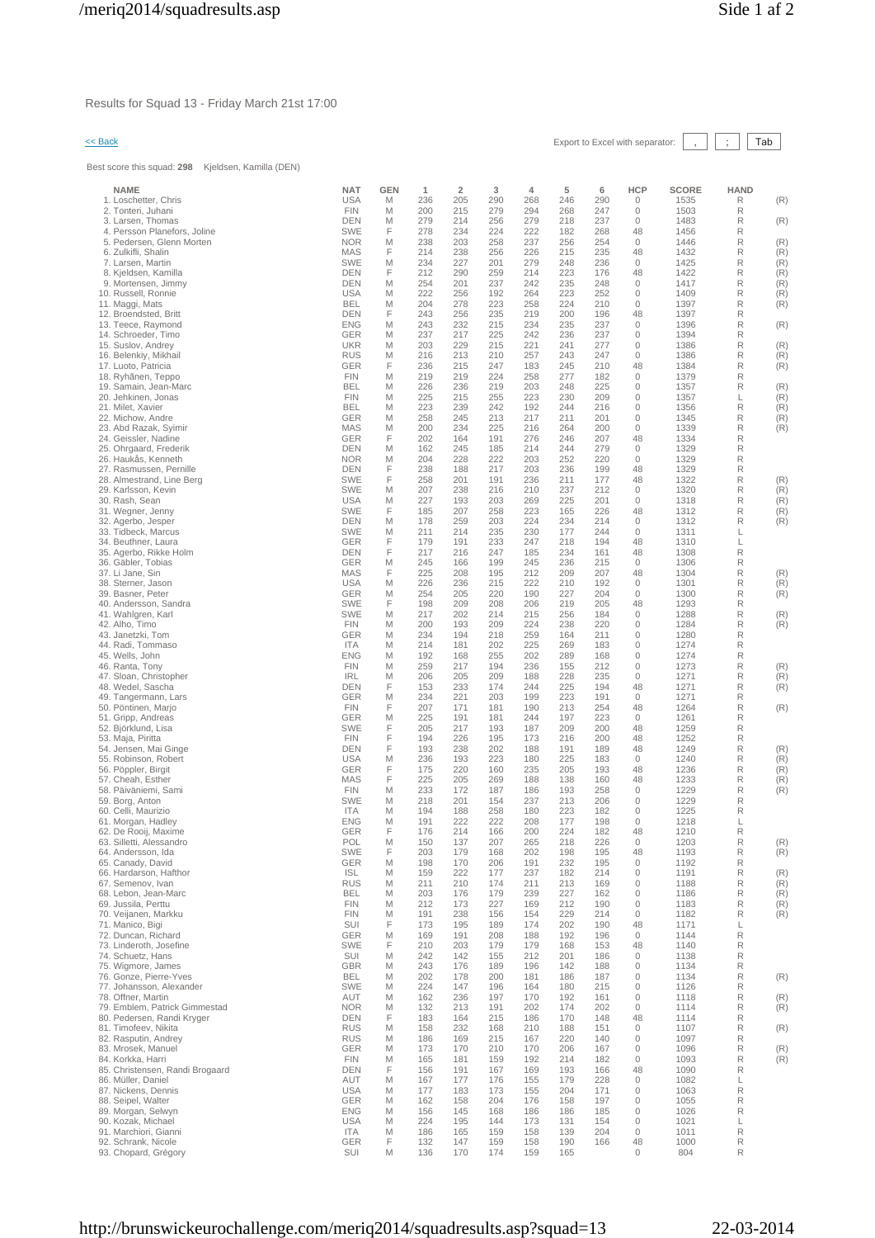Results for Squad 13 - Friday March 21st 17:00

# $\leq$  Back Export to Excel with separator:  $\boxed{\phantom{s}}$ ,  $\boxed{\phantom{s}}$  Tab

Best score this squad: **298** Kjeldsen, Kamilla (DEN)

| <b>NAME</b>                                        | <b>NAT</b>               | <b>GEN</b> | $\mathbf{1}$ | $\overline{2}$ | 3          | 4          | 5          | 6          | <b>HCP</b>                   | <b>SCORE</b> | <b>HAND</b> |            |
|----------------------------------------------------|--------------------------|------------|--------------|----------------|------------|------------|------------|------------|------------------------------|--------------|-------------|------------|
| 1. Loschetter, Chris<br>2. Tonteri, Juhani         | <b>USA</b><br><b>FIN</b> | M<br>M     | 236<br>200   | 205<br>215     | 290<br>279 | 268<br>294 | 246<br>268 | 290<br>247 | 0<br>0                       | 1535<br>1503 | R<br>R      | (R)        |
| 3. Larsen, Thomas                                  | <b>DEN</b>               | M          | 279          | 214            | 256        | 279        | 218        | 237        | 0                            | 1483         | R           | (R)        |
| 4. Persson Planefors, Joline                       | <b>SWE</b>               | F          | 278          | 234            | 224        | 222        | 182        | 268        | 48                           | 1456         | R           |            |
| 5. Pedersen, Glenn Morten                          | <b>NOR</b>               | M          | 238          | 203            | 258        | 237        | 256        | 254        | 0                            | 1446         | R           | (R)        |
| 6. Zulkifli, Shalin<br>7. Larsen, Martin           | <b>MAS</b><br><b>SWE</b> | F<br>M     | 214<br>234   | 238<br>227     | 256<br>201 | 226<br>279 | 215<br>248 | 235<br>236 | 48<br>0                      | 1432<br>1425 | R<br>R      | (R)<br>(R) |
| 8. Kjeldsen, Kamilla                               | <b>DEN</b>               | F          | 212          | 290            | 259        | 214        | 223        | 176        | 48                           | 1422         | R           | (R)        |
| 9. Mortensen, Jimmy                                | <b>DEN</b>               | M          | 254          | 201            | 237        | 242        | 235        | 248        | 0                            | 1417         | R           | (R)        |
| 10. Russell, Ronnie                                | <b>USA</b>               | M          | 222          | 256            | 192        | 264        | 223        | 252        | 0                            | 1409         | R           | (R)        |
| 11. Maggi, Mats<br>12. Broendsted, Britt           | <b>BEL</b><br>DEN        | M<br>F     | 204<br>243   | 278<br>256     | 223<br>235 | 258<br>219 | 224<br>200 | 210<br>196 | 0<br>48                      | 1397<br>1397 | R<br>R      | (R)        |
| 13. Teece, Raymond                                 | <b>ENG</b>               | M          | 243          | 232            | 215        | 234        | 235        | 237        | 0                            | 1396         | R           | (R)        |
| 14. Schroeder, Timo                                | <b>GER</b>               | M          | 237          | 217            | 225        | 242        | 236        | 237        | 0                            | 1394         | R           |            |
| 15. Suslov, Andrey                                 | <b>UKR</b>               | M          | 203          | 229            | 215        | 221        | 241        | 277        | 0                            | 1386         | R           | (R)        |
| 16. Belenkiy, Mikhail<br>17. Luoto, Patricia       | <b>RUS</b><br><b>GER</b> | M<br>F     | 216<br>236   | 213<br>215     | 210<br>247 | 257<br>183 | 243<br>245 | 247<br>210 | 0<br>48                      | 1386<br>1384 | R<br>R      | (R)<br>(R) |
| 18. Ryhãnen, Teppo                                 | <b>FIN</b>               | M          | 219          | 219            | 224        | 258        | 277        | 182        | 0                            | 1379         | R           |            |
| 19. Samain, Jean-Marc                              | <b>BEL</b>               | M          | 226          | 236            | 219        | 203        | 248        | 225        | 0                            | 1357         | R           | (R)        |
| 20. Jehkinen, Jonas                                | <b>FIN</b>               | M          | 225          | 215            | 255        | 223        | 230        | 209        | 0                            | 1357         | L           | (R)        |
| 21. Milet, Xavier<br>22. Michow, Andre             | <b>BEL</b><br><b>GER</b> | M<br>M     | 223<br>258   | 239<br>245     | 242<br>213 | 192<br>217 | 244<br>211 | 216<br>201 | 0<br>0                       | 1356<br>1345 | R<br>R      | (R)<br>(R) |
| 23. Abd Razak, Syimir                              | MAS                      | M          | 200          | 234            | 225        | 216        | 264        | 200        | $\mathbf 0$                  | 1339         | R           | (R)        |
| 24. Geissler, Nadine                               | <b>GER</b>               | F          | 202          | 164            | 191        | 276        | 246        | 207        | 48                           | 1334         | R           |            |
| 25. Ohrgaard, Frederik                             | DEN                      | M          | 162          | 245            | 185        | 214        | 244        | 279        | 0                            | 1329         | R           |            |
| 26. Haukås, Kenneth<br>27. Rasmussen, Pernille     | <b>NOR</b><br>DEN        | M<br>F     | 204<br>238   | 228<br>188     | 222<br>217 | 203<br>203 | 252<br>236 | 220<br>199 | 0<br>48                      | 1329<br>1329 | R<br>R      |            |
| 28. Almestrand, Line Berg                          | <b>SWE</b>               | F          | 258          | 201            | 191        | 236        | 211        | 177        | 48                           | 1322         | R           | (R)        |
| 29. Karlsson, Kevin                                | <b>SWE</b>               | M          | 207          | 238            | 216        | 210        | 237        | 212        | 0                            | 1320         | R           | (R)        |
| 30. Rash, Sean                                     | <b>USA</b>               | Μ          | 227          | 193            | 203        | 269        | 225        | 201        | 0                            | 1318         | R           | (R)        |
| 31. Wegner, Jenny<br>32. Agerbo, Jesper            | <b>SWE</b><br><b>DEN</b> | F<br>M     | 185<br>178   | 207<br>259     | 258<br>203 | 223<br>224 | 165<br>234 | 226<br>214 | 48<br>0                      | 1312<br>1312 | R<br>R      | (R)        |
| 33. Tidbeck, Marcus                                | <b>SWE</b>               | M          | 211          | 214            | 235        | 230        | 177        | 244        | 0                            | 1311         | L           | (R)        |
| 34. Beuthner, Laura                                | <b>GER</b>               | F          | 179          | 191            | 233        | 247        | 218        | 194        | 48                           | 1310         | L           |            |
| 35. Agerbo, Rikke Holm                             | DEN                      | F          | 217          | 216            | 247        | 185        | 234        | 161        | 48                           | 1308         | R           |            |
| 36. Gäbler, Tobias<br>37. Li Jane, Sin             | <b>GER</b><br><b>MAS</b> | M<br>F     | 245<br>225   | 166<br>208     | 199<br>195 | 245<br>212 | 236<br>209 | 215<br>207 | 0<br>48                      | 1306<br>1304 | R<br>R      | (R)        |
| 38. Sterner, Jason                                 | <b>USA</b>               | M          | 226          | 236            | 215        | 222        | 210        | 192        | 0                            | 1301         | R           | (R)        |
| 39. Basner, Peter                                  | <b>GER</b>               | M          | 254          | 205            | 220        | 190        | 227        | 204        | 0                            | 1300         | R           | (R)        |
| 40. Andersson, Sandra                              | <b>SWE</b>               | F          | 198          | 209            | 208        | 206        | 219        | 205        | 48                           | 1293         | R           |            |
| 41. Wahlgren, Karl<br>42. Alho, Timo               | <b>SWE</b><br><b>FIN</b> | M<br>M     | 217<br>200   | 202<br>193     | 214<br>209 | 215<br>224 | 256<br>238 | 184<br>220 | 0<br>0                       | 1288<br>1284 | R<br>R      | (R)<br>(R) |
| 43. Janetzki, Tom                                  | <b>GER</b>               | M          | 234          | 194            | 218        | 259        | 164        | 211        | 0                            | 1280         | R           |            |
| 44. Radi, Tommaso                                  | <b>ITA</b>               | M          | 214          | 181            | 202        | 225        | 269        | 183        | 0                            | 1274         | R           |            |
| 45. Wells, John                                    | <b>ENG</b>               | M          | 192          | 168            | 255        | 202        | 289        | 168        | 0                            | 1274         | R           |            |
| 46. Ranta, Tony<br>47. Sloan, Christopher          | <b>FIN</b><br><b>IRL</b> | M<br>M     | 259<br>206   | 217<br>205     | 194<br>209 | 236<br>188 | 155<br>228 | 212<br>235 | 0<br>0                       | 1273<br>1271 | R<br>R      | (R)<br>(R) |
| 48. Wedel, Sascha                                  | <b>DEN</b>               | F          | 153          | 233            | 174        | 244        | 225        | 194        | 48                           | 1271         | R           | (R)        |
| 49. Tangermann, Lars                               | <b>GER</b>               | M          | 234          | 221            | 203        | 199        | 223        | 191        | 0                            | 1271         | R           |            |
| 50. Pöntinen, Marjo                                | <b>FIN</b>               | F          | 207          | 171            | 181        | 190        | 213        | 254        | 48                           | 1264         | R           | (R)        |
| 51. Gripp, Andreas<br>52. Björklund, Lisa          | <b>GER</b><br><b>SWE</b> | M<br>F     | 225<br>205   | 191<br>217     | 181<br>193 | 244<br>187 | 197<br>209 | 223<br>200 | 0<br>48                      | 1261<br>1259 | R<br>R      |            |
| 53. Maja, Piritta                                  | <b>FIN</b>               | F          | 194          | 226            | 195        | 173        | 216        | 200        | 48                           | 1252         | R           |            |
| 54. Jensen, Mai Ginge                              | <b>DEN</b>               | F          | 193          | 238            | 202        | 188        | 191        | 189        | 48                           | 1249         | R           | (R)        |
| 55. Robinson, Robert                               | <b>USA</b>               | M          | 236          | 193            | 223        | 180        | 225        | 183        | 0                            | 1240         | R           | (R)        |
| 56. Pöppler, Birgit<br>57. Cheah, Esther           | <b>GER</b><br><b>MAS</b> | F<br>F     | 175<br>225   | 220<br>205     | 160<br>269 | 235<br>188 | 205<br>138 | 193<br>160 | 48<br>48                     | 1236<br>1233 | R<br>R      | (R)<br>(R) |
| 58. Päiväniemi, Sami                               | <b>FIN</b>               | M          | 233          | 172            | 187        | 186        | 193        | 258        | 0                            | 1229         | R           | (R)        |
| 59. Borg, Anton                                    | <b>SWE</b>               | M          | 218          | 201            | 154        | 237        | 213        | 206        | 0                            | 1229         | R           |            |
| 60. Celli, Maurizio                                | <b>ITA</b><br><b>ENG</b> | M          | 194          | 188<br>222     | 258<br>222 | 180<br>208 | 223        | 182<br>198 | $\mathbf{0}$<br>0            | 1225         | R<br>L      |            |
| 61. Morgan, Hadley<br>62. De Rooij, Maxime         | <b>GER</b>               | M<br>F     | 191<br>176   | 214            | 166        | 200        | 177<br>224 | 182        | 48                           | 1218<br>1210 | R           |            |
| 63. Silletti, Alessandro                           | POL                      | M          | 150          | 137            | 207        | 265        | 218        | 226        | U                            | 1203         | R           | (R)        |
| 64. Andersson, Ida                                 | <b>SWE</b>               | F          | 203          | 179            | 168        | 202        | 198        | 195        | 48                           | 1193         | $\mathsf R$ | (R)        |
| 65. Canady, David                                  | <b>GER</b>               | Μ          | 198          | 170            | 206        | 191        | 232        | 195        | 0                            | 1192         | R           |            |
| 66. Hardarson, Hafthor<br>67. Semenov, Ivan        | <b>ISL</b><br><b>RUS</b> | Μ<br>Μ     | 159<br>211   | 222<br>210     | 177<br>174 | 237<br>211 | 182<br>213 | 214<br>169 | $\mathbf{0}$<br>$\mathbf{0}$ | 1191<br>1188 | R<br>R      | (R)<br>(R) |
| 68. Lebon, Jean-Marc                               | <b>BEL</b>               | Μ          | 203          | 176            | 179        | 239        | 227        | 162        | 0                            | 1186         | R           | (R)        |
| 69. Jussila, Perttu                                | <b>FIN</b>               | M          | 212          | 173            | 227        | 169        | 212        | 190        | 0                            | 1183         | R           | (R)        |
| 70. Veijanen, Markku<br>71. Manico. Bigi           | <b>FIN</b><br>SUI        | M<br>F     | 191<br>173   | 238<br>195     | 156<br>189 | 154<br>174 | 229<br>202 | 214<br>190 | 0<br>48                      | 1182<br>1171 | R<br>L      | (R)        |
| 72. Duncan, Richard                                | <b>GER</b>               | Μ          | 169          | 191            | 208        | 188        | 192        | 196        | $\mathbf{0}$                 | 1144         | R           |            |
| 73. Linderoth, Josefine                            | <b>SWE</b>               | F          | 210          | 203            | 179        | 179        | 168        | 153        | 48                           | 1140         | R           |            |
| 74. Schuetz, Hans                                  | SUI                      | M          | 242          | 142            | 155        | 212        | 201        | 186        | $\mathbb O$                  | 1138         | R           |            |
| 75. Wigmore, James                                 | <b>GBR</b><br><b>BEL</b> | M          | 243          | 176            | 189        | 196        | 142        | 188        | $\mathbf 0$                  | 1134         | R<br>R      |            |
| 76. Gonze, Pierre-Yves<br>77. Johansson, Alexander | <b>SWE</b>               | Μ<br>Μ     | 202<br>224   | 178<br>147     | 200<br>196 | 181<br>164 | 186<br>180 | 187<br>215 | 0<br>0                       | 1134<br>1126 | R           | (R)        |
| 78. Offner, Martin                                 | AUT                      | Μ          | 162          | 236            | 197        | 170        | 192        | 161        | 0                            | 1118         | R           | (R)        |
| 79. Emblem, Patrick Gimmestad                      | <b>NOR</b>               | Μ          | 132          | 213            | 191        | 202        | 174        | 202        | 0                            | 1114         | R           | (R)        |
| 80. Pedersen, Randi Krvger<br>81. Timofeev, Nikita | <b>DEN</b><br><b>RUS</b> | F          | 183          | 164<br>232     | 215        | 186<br>210 | 170        | 148        | 48                           | 1114         | R<br>R      |            |
| 82. Rasputin, Andrey                               | <b>RUS</b>               | Μ<br>Μ     | 158<br>186   | 169            | 168<br>215 | 167        | 188<br>220 | 151<br>140 | $\circ$<br>0                 | 1107<br>1097 | R           | (R)        |
| 83. Mrosek, Manuel                                 | <b>GER</b>               | M          | 173          | 170            | 210        | 170        | 206        | 167        | $\mathbb O$                  | 1096         | R           | (R)        |
| 84. Korkka, Harri                                  | <b>FIN</b>               | M          | 165          | 181            | 159        | 192        | 214        | 182        | 0                            | 1093         | R           | (R)        |
| 85. Christensen, Randi Brogaard                    | <b>DEN</b>               | F          | 156          | 191            | 167        | 169        | 193        | 166        | 48<br>$\mathbb O$            | 1090         | R           |            |
| 86. Müller, Daniel<br>87. Nickens, Dennis          | AUT<br><b>USA</b>        | Μ<br>M     | 167<br>177   | 177<br>183     | 176<br>173 | 155<br>155 | 179<br>204 | 228<br>171 | $\mathbb O$                  | 1082<br>1063 | L<br>R      |            |
| 88. Seipel, Walter                                 | <b>GER</b>               | Μ          | 162          | 158            | 204        | 176        | 158        | 197        | 0                            | 1055         | R           |            |
| 89. Morgan, Selwyn                                 | <b>ENG</b>               | M          | 156          | 145            | 168        | 186        | 186        | 185        | $\mathbf{0}$                 | 1026         | R           |            |
| 90. Kozak, Michael                                 | <b>USA</b><br><b>ITA</b> | Μ          | 224          | 195            | 144        | 173        | 131        | 154        | 0<br>$\mathbb O$             | 1021         | Г<br>R      |            |
| 91. Marchiori, Gianni<br>92. Schrank, Nicole       | GER                      | Μ<br>F     | 186<br>132   | 165<br>147     | 159<br>159 | 158<br>158 | 139<br>190 | 204<br>166 | 48                           | 1011<br>1000 | R           |            |
| 93. Chopard, Grégory                               | SUI                      | М          | 136          | 170            | 174        | 159        | 165        |            | $\mathbf{0}$                 | 804          | R           |            |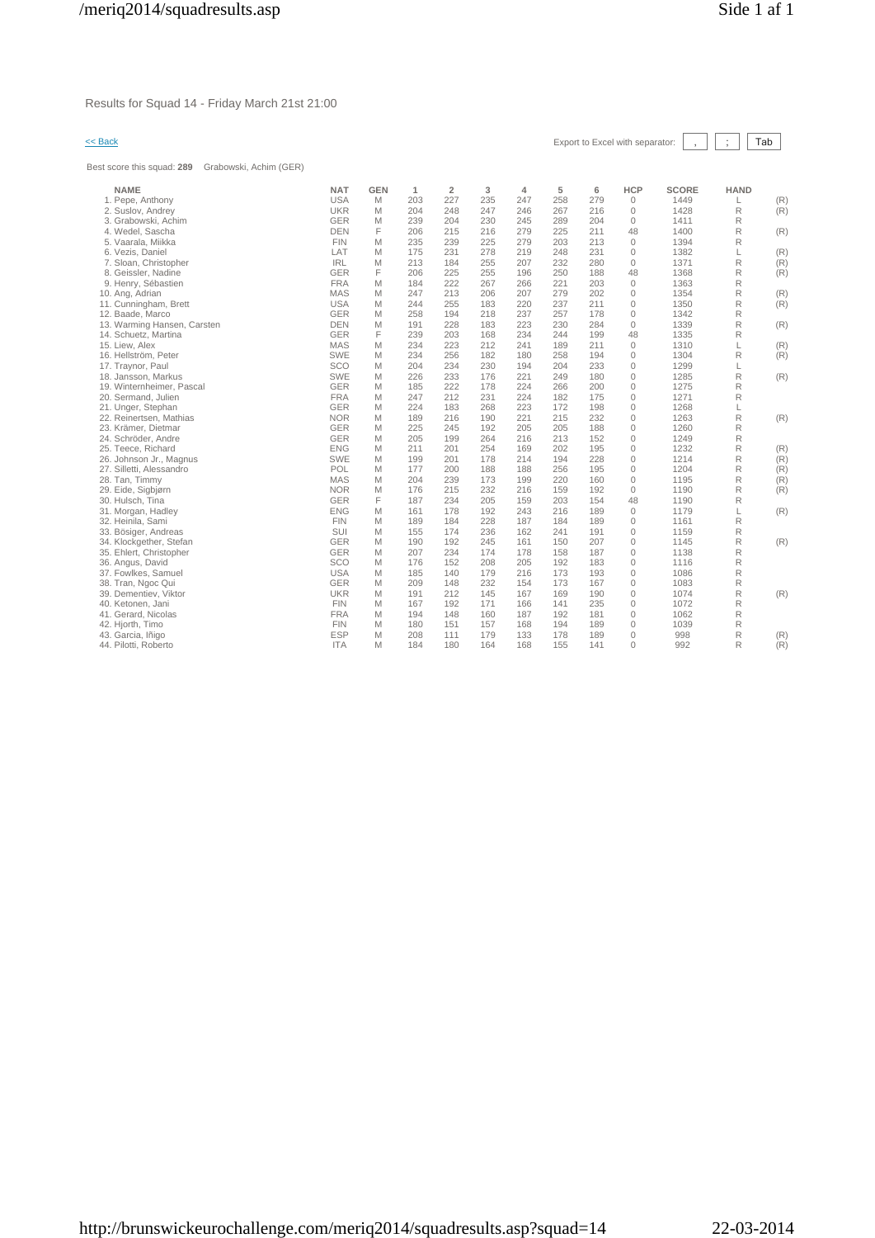Results for Squad 14 - Friday March 21st 21:00

Best score this squad: **289** Grabowski, Achim (GER)

| $<<$ Back |  |  |  |  |
|-----------|--|--|--|--|
|-----------|--|--|--|--|

| <b>USA</b><br>227<br>235<br>279<br>$\mathbb O$<br>1. Pepe, Anthony<br>M<br>203<br>247<br>258<br><b>UKR</b><br>204<br>248<br>247<br>246<br>267<br>216<br>$\mathbf 0$<br>2. Suslov, Andrey<br>M<br><b>GER</b><br>230<br>289<br>204<br>$\mathbf{0}$<br>3. Grabowski, Achim<br>239<br>204<br>245<br>M<br>F<br><b>DEN</b><br>225<br>211<br>48<br>4. Wedel, Sascha<br>206<br>215<br>216<br>279<br><b>FIN</b><br>235<br>239<br>225<br>279<br>203<br>213<br>$\mathbf 0$<br>5. Vaarala, Miikka<br>M<br>LAT<br>175<br>231<br>278<br>219<br>248<br>231<br>$\mathbf{0}$<br>6. Vezis, Daniel<br>M<br><b>IRL</b><br>213<br>255<br>207<br>232<br>280<br>$\mathbf{0}$<br>7. Sloan, Christopher<br>M<br>184<br><b>GER</b><br>F<br>48<br>8. Geissler, Nadine<br>206<br>225<br>255<br>196<br>250<br>188<br><b>FRA</b><br>9. Henry, Sébastien<br>M<br>222<br>267<br>221<br>203<br>$\mathbf{0}$<br>184<br>266<br><b>MAS</b><br>247<br>213<br>206<br>207<br>279<br>202<br>$\mathbf{0}$ | 1449<br>1428<br>1411<br>1400<br>1394<br>1382<br>1371<br>1368<br>1363<br>1354<br>1350<br>1342<br>1339<br>1335 | (R)<br>L<br>R<br>(R)<br>R<br>R<br>(R)<br>R<br>L<br>(R)<br>R<br>(R)<br>R<br>(R)<br>R<br>R<br>(R)<br>R<br>(R)<br>R<br>R<br>(R) |
|------------------------------------------------------------------------------------------------------------------------------------------------------------------------------------------------------------------------------------------------------------------------------------------------------------------------------------------------------------------------------------------------------------------------------------------------------------------------------------------------------------------------------------------------------------------------------------------------------------------------------------------------------------------------------------------------------------------------------------------------------------------------------------------------------------------------------------------------------------------------------------------------------------------------------------------------------------------|--------------------------------------------------------------------------------------------------------------|------------------------------------------------------------------------------------------------------------------------------|
|                                                                                                                                                                                                                                                                                                                                                                                                                                                                                                                                                                                                                                                                                                                                                                                                                                                                                                                                                                  |                                                                                                              |                                                                                                                              |
|                                                                                                                                                                                                                                                                                                                                                                                                                                                                                                                                                                                                                                                                                                                                                                                                                                                                                                                                                                  |                                                                                                              |                                                                                                                              |
|                                                                                                                                                                                                                                                                                                                                                                                                                                                                                                                                                                                                                                                                                                                                                                                                                                                                                                                                                                  |                                                                                                              |                                                                                                                              |
|                                                                                                                                                                                                                                                                                                                                                                                                                                                                                                                                                                                                                                                                                                                                                                                                                                                                                                                                                                  |                                                                                                              |                                                                                                                              |
|                                                                                                                                                                                                                                                                                                                                                                                                                                                                                                                                                                                                                                                                                                                                                                                                                                                                                                                                                                  |                                                                                                              |                                                                                                                              |
|                                                                                                                                                                                                                                                                                                                                                                                                                                                                                                                                                                                                                                                                                                                                                                                                                                                                                                                                                                  |                                                                                                              |                                                                                                                              |
|                                                                                                                                                                                                                                                                                                                                                                                                                                                                                                                                                                                                                                                                                                                                                                                                                                                                                                                                                                  |                                                                                                              |                                                                                                                              |
|                                                                                                                                                                                                                                                                                                                                                                                                                                                                                                                                                                                                                                                                                                                                                                                                                                                                                                                                                                  |                                                                                                              |                                                                                                                              |
|                                                                                                                                                                                                                                                                                                                                                                                                                                                                                                                                                                                                                                                                                                                                                                                                                                                                                                                                                                  |                                                                                                              |                                                                                                                              |
| 10. Ang, Adrian<br>M                                                                                                                                                                                                                                                                                                                                                                                                                                                                                                                                                                                                                                                                                                                                                                                                                                                                                                                                             |                                                                                                              |                                                                                                                              |
| <b>USA</b><br>220<br>237<br>211<br>$\mathbf{0}$<br>11. Cunningham, Brett<br>M<br>244<br>255<br>183                                                                                                                                                                                                                                                                                                                                                                                                                                                                                                                                                                                                                                                                                                                                                                                                                                                               |                                                                                                              |                                                                                                                              |
| 237<br>$\mathbb O$<br>12. Baade, Marco<br><b>GER</b><br>M<br>258<br>194<br>218<br>257<br>178                                                                                                                                                                                                                                                                                                                                                                                                                                                                                                                                                                                                                                                                                                                                                                                                                                                                     |                                                                                                              |                                                                                                                              |
| <b>DEN</b><br>228<br>223<br>230<br>284<br>$\mathbf{0}$<br>13. Warming Hansen, Carsten<br>M<br>191<br>183                                                                                                                                                                                                                                                                                                                                                                                                                                                                                                                                                                                                                                                                                                                                                                                                                                                         |                                                                                                              |                                                                                                                              |
| F<br><b>GER</b><br>239<br>234<br>244<br>199<br>48<br>14. Schuetz, Martina<br>203<br>168                                                                                                                                                                                                                                                                                                                                                                                                                                                                                                                                                                                                                                                                                                                                                                                                                                                                          |                                                                                                              | R                                                                                                                            |
| 223<br>212<br>211<br>$\mathbf{0}$<br>15. Liew. Alex<br><b>MAS</b><br>M<br>234<br>241<br>189                                                                                                                                                                                                                                                                                                                                                                                                                                                                                                                                                                                                                                                                                                                                                                                                                                                                      | 1310                                                                                                         | L<br>(R)                                                                                                                     |
| <b>SWE</b><br>16. Hellström, Peter<br>M<br>234<br>256<br>182<br>180<br>258<br>194<br>$\mathbf{0}$                                                                                                                                                                                                                                                                                                                                                                                                                                                                                                                                                                                                                                                                                                                                                                                                                                                                | 1304                                                                                                         | R<br>(R)                                                                                                                     |
| SCO<br>234<br>230<br>194<br>204<br>233<br>$\mathbf{0}$<br>17. Traynor, Paul<br>M<br>204                                                                                                                                                                                                                                                                                                                                                                                                                                                                                                                                                                                                                                                                                                                                                                                                                                                                          | 1299                                                                                                         | L                                                                                                                            |
| <b>SWE</b><br>226<br>233<br>221<br>249<br>180<br>$\mathbf{0}$<br>18. Jansson, Markus<br>M<br>176                                                                                                                                                                                                                                                                                                                                                                                                                                                                                                                                                                                                                                                                                                                                                                                                                                                                 | 1285                                                                                                         | R<br>(R)                                                                                                                     |
| $\mathbf{0}$<br>19. Winternheimer, Pascal<br><b>GER</b><br>185<br>222<br>178<br>224<br>266<br>200<br>M                                                                                                                                                                                                                                                                                                                                                                                                                                                                                                                                                                                                                                                                                                                                                                                                                                                           | 1275                                                                                                         | R                                                                                                                            |
| <b>FRA</b><br>$\mathbb O$<br>20. Sermand, Julien<br>M<br>247<br>212<br>231<br>224<br>182<br>175                                                                                                                                                                                                                                                                                                                                                                                                                                                                                                                                                                                                                                                                                                                                                                                                                                                                  | 1271                                                                                                         | R                                                                                                                            |
| <b>GER</b><br>183<br>268<br>223<br>172<br>198<br>$\mathbf{0}$<br>21. Unger, Stephan<br>M<br>224                                                                                                                                                                                                                                                                                                                                                                                                                                                                                                                                                                                                                                                                                                                                                                                                                                                                  | 1268                                                                                                         | L                                                                                                                            |
| <b>NOR</b><br>221<br>215<br>232<br>$\mathbf{0}$<br>22. Reinertsen, Mathias<br>M<br>189<br>216<br>190                                                                                                                                                                                                                                                                                                                                                                                                                                                                                                                                                                                                                                                                                                                                                                                                                                                             | 1263                                                                                                         | R<br>(R)                                                                                                                     |
| 188<br>$\mathbf{0}$<br>23. Krämer, Dietmar<br><b>GER</b><br>M<br>225<br>245<br>192<br>205<br>205                                                                                                                                                                                                                                                                                                                                                                                                                                                                                                                                                                                                                                                                                                                                                                                                                                                                 | 1260                                                                                                         | R                                                                                                                            |
| <b>GER</b><br>205<br>264<br>216<br>213<br>152<br>$\mathbf{0}$<br>24. Schröder, Andre<br>M<br>199                                                                                                                                                                                                                                                                                                                                                                                                                                                                                                                                                                                                                                                                                                                                                                                                                                                                 | 1249                                                                                                         | R                                                                                                                            |
| <b>ENG</b><br>195<br>$\mathbb O$<br>25. Teece, Richard<br>M<br>211<br>201<br>254<br>169<br>202                                                                                                                                                                                                                                                                                                                                                                                                                                                                                                                                                                                                                                                                                                                                                                                                                                                                   | 1232                                                                                                         | R<br>(R)                                                                                                                     |
| <b>SWE</b><br>214<br>194<br>228<br>$\mathbb O$<br>M<br>199<br>201<br>178<br>26. Johnson Jr., Magnus                                                                                                                                                                                                                                                                                                                                                                                                                                                                                                                                                                                                                                                                                                                                                                                                                                                              | 1214                                                                                                         | R<br>(R)                                                                                                                     |
| $\mathbf{0}$<br>27. Silletti, Alessandro<br>POL<br>200<br>188<br>188<br>256<br>195<br>M<br>177                                                                                                                                                                                                                                                                                                                                                                                                                                                                                                                                                                                                                                                                                                                                                                                                                                                                   | 1204                                                                                                         | R<br>(R)                                                                                                                     |
| <b>MAS</b><br>M<br>204<br>239<br>220<br>160<br>$\mathbf{0}$<br>28. Tan, Timmy<br>173<br>199                                                                                                                                                                                                                                                                                                                                                                                                                                                                                                                                                                                                                                                                                                                                                                                                                                                                      | 1195                                                                                                         | R<br>(R)                                                                                                                     |
| <b>NOR</b><br>232<br>$\mathbf{0}$<br>29. Eide, Sigbjørn<br>M<br>176<br>215<br>216<br>159<br>192                                                                                                                                                                                                                                                                                                                                                                                                                                                                                                                                                                                                                                                                                                                                                                                                                                                                  | 1190                                                                                                         | R<br>(R)                                                                                                                     |
| <b>GER</b><br>F<br>203<br>154<br>48<br>30. Hulsch, Tina<br>187<br>234<br>205<br>159                                                                                                                                                                                                                                                                                                                                                                                                                                                                                                                                                                                                                                                                                                                                                                                                                                                                              | 1190                                                                                                         | R                                                                                                                            |
| $\mathbb O$<br><b>ENG</b><br>M<br>161<br>178<br>192<br>243<br>216<br>189<br>31. Morgan, Hadley                                                                                                                                                                                                                                                                                                                                                                                                                                                                                                                                                                                                                                                                                                                                                                                                                                                                   | 1179                                                                                                         | L<br>(R)                                                                                                                     |
| <b>FIN</b><br>228<br>187<br>184<br>189<br>$\mathbf{0}$<br>32. Heinila, Sami<br>M<br>189<br>184                                                                                                                                                                                                                                                                                                                                                                                                                                                                                                                                                                                                                                                                                                                                                                                                                                                                   | 1161                                                                                                         | R                                                                                                                            |
| <b>SUI</b><br>236<br>191<br>$\mathbf{0}$<br>M<br>155<br>174<br>162<br>241<br>33. Bösiger, Andreas                                                                                                                                                                                                                                                                                                                                                                                                                                                                                                                                                                                                                                                                                                                                                                                                                                                                | 1159                                                                                                         | R                                                                                                                            |
| <b>GER</b><br>207<br>$\mathbf{0}$<br>34. Klockgether, Stefan<br>M<br>190<br>192<br>245<br>161<br>150                                                                                                                                                                                                                                                                                                                                                                                                                                                                                                                                                                                                                                                                                                                                                                                                                                                             | 1145                                                                                                         | R<br>(R)                                                                                                                     |
| $\mathbb O$<br><b>GER</b><br>207<br>234<br>178<br>158<br>187<br>35. Ehlert, Christopher<br>M<br>174                                                                                                                                                                                                                                                                                                                                                                                                                                                                                                                                                                                                                                                                                                                                                                                                                                                              | 1138                                                                                                         | R                                                                                                                            |
| SCO<br>36. Angus, David<br>208<br>205<br>192<br>183<br>$\mathbf{0}$<br>M<br>176<br>152                                                                                                                                                                                                                                                                                                                                                                                                                                                                                                                                                                                                                                                                                                                                                                                                                                                                           | 1116                                                                                                         | R                                                                                                                            |
| <b>USA</b><br>$\mathbf{0}$<br>37. Fowlkes, Samuel<br>M<br>185<br>140<br>179<br>216<br>173<br>193                                                                                                                                                                                                                                                                                                                                                                                                                                                                                                                                                                                                                                                                                                                                                                                                                                                                 | 1086                                                                                                         | R                                                                                                                            |
| <b>GER</b><br>232<br>173<br>167<br>$\mathbb O$<br>M<br>209<br>148<br>154<br>38. Tran, Ngoc Qui                                                                                                                                                                                                                                                                                                                                                                                                                                                                                                                                                                                                                                                                                                                                                                                                                                                                   | 1083                                                                                                         | R                                                                                                                            |
| $\mathbf{0}$<br><b>UKR</b><br>191<br>212<br>145<br>167<br>169<br>190<br>39. Dementiev, Viktor<br>M                                                                                                                                                                                                                                                                                                                                                                                                                                                                                                                                                                                                                                                                                                                                                                                                                                                               | 1074                                                                                                         | R<br>(R)                                                                                                                     |
| <b>FIN</b><br>235<br>$\mathbf{0}$<br>40. Ketonen, Jani<br>167<br>192<br>171<br>166<br>141<br>M                                                                                                                                                                                                                                                                                                                                                                                                                                                                                                                                                                                                                                                                                                                                                                                                                                                                   | 1072                                                                                                         | R                                                                                                                            |
| <b>FRA</b><br>181<br>41. Gerard, Nicolas<br>M<br>194<br>148<br>160<br>187<br>192<br>$\mathbf 0$                                                                                                                                                                                                                                                                                                                                                                                                                                                                                                                                                                                                                                                                                                                                                                                                                                                                  | 1062                                                                                                         | R                                                                                                                            |
| <b>FIN</b><br>$\mathbb O$<br>180<br>151<br>157<br>168<br>194<br>189<br>42. Hjorth, Timo<br>M                                                                                                                                                                                                                                                                                                                                                                                                                                                                                                                                                                                                                                                                                                                                                                                                                                                                     | 1039                                                                                                         | R                                                                                                                            |
| $\mathbf 0$<br><b>ESP</b><br>179<br>133<br>178<br>189<br>43. Garcia, Iñigo<br>M<br>208<br>111                                                                                                                                                                                                                                                                                                                                                                                                                                                                                                                                                                                                                                                                                                                                                                                                                                                                    | 998                                                                                                          | R<br>(R)                                                                                                                     |
| <b>ITA</b><br>M<br>184<br>180<br>164<br>168<br>141<br>$\Omega$<br>44. Pilotti, Roberto<br>155                                                                                                                                                                                                                                                                                                                                                                                                                                                                                                                                                                                                                                                                                                                                                                                                                                                                    | 992                                                                                                          | R<br>(R)                                                                                                                     |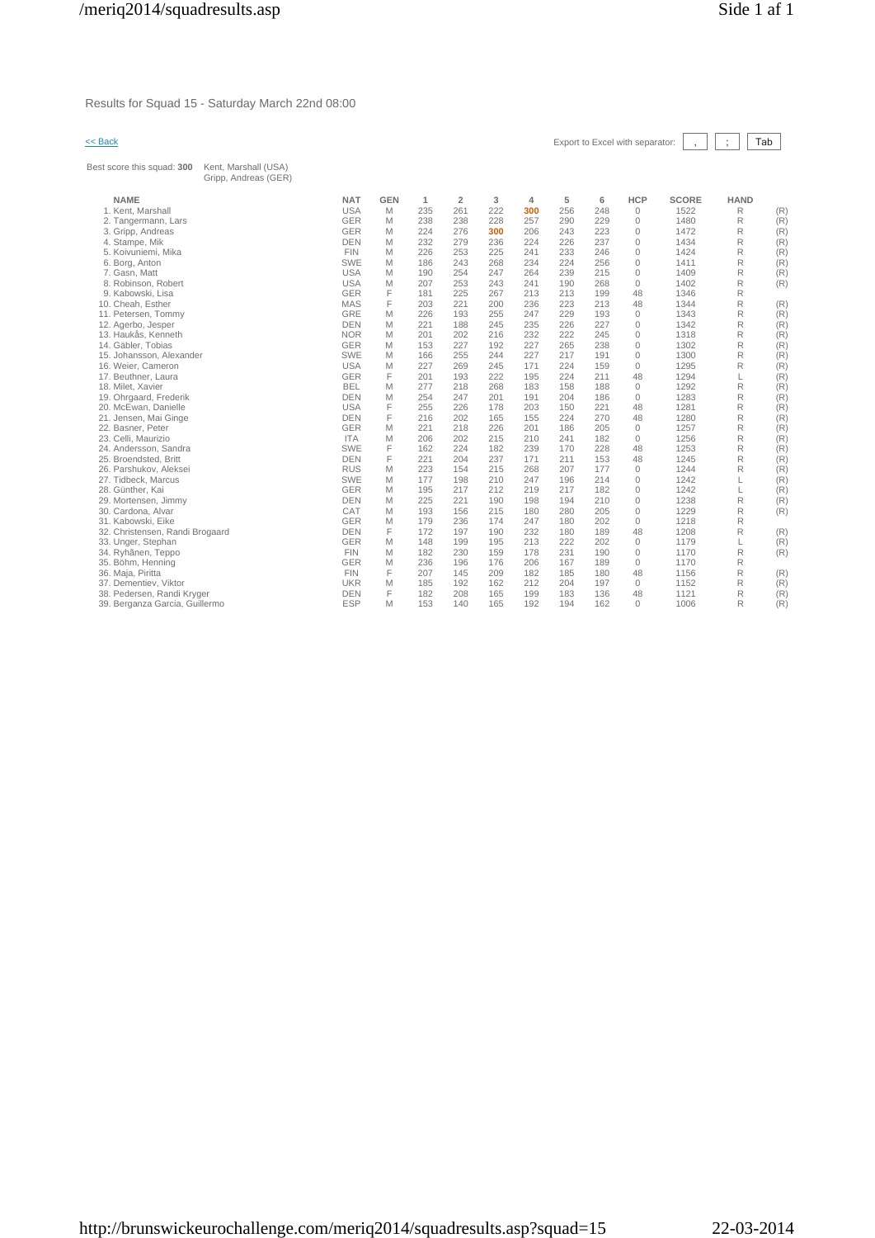Results for Squad 15 - Saturday March 22nd 08:00

Best score this squad: **300** Kent, Marshall (USA)

| << Back | Export to Excel with separator: $\begin{array}{ c c c c c }\n\hline\n\end{array}$ $\begin{array}{ c c c }\n\hline\n\end{array}$ $\begin{array}{ c c c }\n\hline\n\end{array}$ $\begin{array}{ c c }\n\hline\n\end{array}$ $\begin{array}{ c c }\n\hline\n\end{array}$ $\begin{array}{ c c }\n\hline\n\end{array}$ $\begin{array}{ c c }\n\hline\n\end{array}$ $\begin{array}{ c c $ |  |  |  |  |  |
|---------|-------------------------------------------------------------------------------------------------------------------------------------------------------------------------------------------------------------------------------------------------------------------------------------------------------------------------------------------------------------------------------------|--|--|--|--|--|
|---------|-------------------------------------------------------------------------------------------------------------------------------------------------------------------------------------------------------------------------------------------------------------------------------------------------------------------------------------------------------------------------------------|--|--|--|--|--|

٦

| una annin inia adaen. <b>ann</b><br>110111, 10101011011 10071<br>Gripp, Andreas (GER) |            |            |     |                |     |     |     |     |              |              |             |     |
|---------------------------------------------------------------------------------------|------------|------------|-----|----------------|-----|-----|-----|-----|--------------|--------------|-------------|-----|
| <b>NAME</b>                                                                           | <b>NAT</b> | <b>GEN</b> | 1   | $\overline{2}$ | 3   | 4   | 5   | 6   | <b>HCP</b>   | <b>SCORE</b> | <b>HAND</b> |     |
| 1. Kent, Marshall                                                                     | <b>USA</b> | M          | 235 | 261            | 222 | 300 | 256 | 248 | $\mathbf{0}$ | 1522         | R           | (R) |
| 2. Tangermann, Lars                                                                   | <b>GER</b> | M          | 238 | 238            | 228 | 257 | 290 | 229 | $\mathbf{0}$ | 1480         | R           | (R) |
| 3. Gripp, Andreas                                                                     | <b>GER</b> | M          | 224 | 276            | 300 | 206 | 243 | 223 | $\mathbf{0}$ | 1472         | R           | (R) |
| 4. Stampe, Mik                                                                        | <b>DEN</b> | M          | 232 | 279            | 236 | 224 | 226 | 237 | $\mathbf 0$  | 1434         | R           | (R) |
| 5. Koivuniemi, Mika                                                                   | <b>FIN</b> | M          | 226 | 253            | 225 | 241 | 233 | 246 | $\mathbf{0}$ | 1424         | R           | (R) |
| 6. Borg, Anton                                                                        | <b>SWE</b> | M          | 186 | 243            | 268 | 234 | 224 | 256 | $\mathbf{0}$ | 1411         | R           | (R) |
| 7. Gasn, Matt                                                                         | <b>USA</b> | M          | 190 | 254            | 247 | 264 | 239 | 215 | $\mathbf{0}$ | 1409         | R           | (R) |
| 8. Robinson, Robert                                                                   | <b>USA</b> | M          | 207 | 253            | 243 | 241 | 190 | 268 | $\mathbf{0}$ | 1402         | R           | (R) |
| 9. Kabowski, Lisa                                                                     | <b>GER</b> | F          | 181 | 225            | 267 | 213 | 213 | 199 | 48           | 1346         | R           |     |
| 10. Cheah, Esther                                                                     | <b>MAS</b> | F          | 203 | 221            | 200 | 236 | 223 | 213 | 48           | 1344         | R           | (R) |
| 11. Petersen, Tommy                                                                   | GRE        | M          | 226 | 193            | 255 | 247 | 229 | 193 | $\mathbf{0}$ | 1343         | R           | (R) |
| 12. Agerbo, Jesper                                                                    | <b>DEN</b> | M          | 221 | 188            | 245 | 235 | 226 | 227 | $\mathbf{0}$ | 1342         | R           | (R) |
| 13. Haukås, Kenneth                                                                   | <b>NOR</b> | M          | 201 | 202            | 216 | 232 | 222 | 245 | $\mathbf{0}$ | 1318         | R           | (R) |
| 14. Gäbler, Tobias                                                                    | <b>GER</b> | M          | 153 | 227            | 192 | 227 | 265 | 238 | $\mathbf{0}$ | 1302         | R           | (R) |
| 15. Johansson, Alexander                                                              | <b>SWE</b> | M          | 166 | 255            | 244 | 227 | 217 | 191 | $\mathbf{0}$ | 1300         | R           | (R) |
| 16. Weier, Cameron                                                                    | <b>USA</b> | M          | 227 | 269            | 245 | 171 | 224 | 159 | $\mathbf{0}$ | 1295         | R           | (R) |
| 17. Beuthner, Laura                                                                   | <b>GER</b> | F          | 201 | 193            | 222 | 195 | 224 | 211 | 48           | 1294         | L           | (R) |
| 18. Milet, Xavier                                                                     | <b>BEL</b> | M          | 277 | 218            | 268 | 183 | 158 | 188 | $\mathbf{0}$ | 1292         | R           | (R) |
| 19. Ohrgaard, Frederik                                                                | <b>DEN</b> | M          | 254 | 247            | 201 | 191 | 204 | 186 | $\mathbf{0}$ | 1283         | R           | (R) |
| 20. McEwan, Danielle                                                                  | <b>USA</b> | F          | 255 | 226            | 178 | 203 | 150 | 221 | 48           | 1281         | R           | (R) |
| 21. Jensen, Mai Ginge                                                                 | <b>DEN</b> | F          | 216 | 202            | 165 | 155 | 224 | 270 | 48           | 1280         | R           | (R) |
| 22. Basner, Peter                                                                     | <b>GER</b> | M          | 221 | 218            | 226 | 201 | 186 | 205 | $\mathbf{0}$ | 1257         | R           | (R) |
| 23. Celli, Maurizio                                                                   | <b>ITA</b> | M          | 206 | 202            | 215 | 210 | 241 | 182 | $\mathbf{0}$ | 1256         | R           | (R) |
| 24. Andersson, Sandra                                                                 | <b>SWE</b> | F          | 162 | 224            | 182 | 239 | 170 | 228 | 48           | 1253         | R           | (R) |
| 25. Broendsted, Britt                                                                 | <b>DEN</b> | F          | 221 | 204            | 237 | 171 | 211 | 153 | 48           | 1245         | R           | (R) |
| 26. Parshukov, Aleksei                                                                | <b>RUS</b> | M          | 223 | 154            | 215 | 268 | 207 | 177 | $\mathbf{0}$ | 1244         | R           | (R) |
| 27. Tidbeck, Marcus                                                                   | <b>SWE</b> | M          | 177 | 198            | 210 | 247 | 196 | 214 | $\mathbf{0}$ | 1242         |             | (R) |
| 28. Günther, Kai                                                                      | <b>GER</b> | M          | 195 | 217            | 212 | 219 | 217 | 182 | $\mathbf{0}$ | 1242         | L           | (R) |
| 29. Mortensen, Jimmy                                                                  | <b>DEN</b> | M          | 225 | 221            | 190 | 198 | 194 | 210 | 0            | 1238         | R           | (R) |
| 30. Cardona, Alvar                                                                    | CAT        | M          | 193 | 156            | 215 | 180 | 280 | 205 | $\mathbf{0}$ | 1229         | R           | (R) |
| 31. Kabowski, Eike                                                                    | <b>GER</b> | M          | 179 | 236            | 174 | 247 | 180 | 202 | $\mathbf{0}$ | 1218         | R           |     |
| 32. Christensen, Randi Brogaard                                                       | <b>DEN</b> | F          | 172 | 197            | 190 | 232 | 180 | 189 | 48           | 1208         | R           | (R) |
| 33. Unger, Stephan                                                                    | <b>GER</b> | M          | 148 | 199            | 195 | 213 | 222 | 202 | $\mathbf{0}$ | 1179         | L           | (R) |
| 34. Ryhänen, Teppo                                                                    | <b>FIN</b> | M          | 182 | 230            | 159 | 178 | 231 | 190 | $\mathbf{0}$ | 1170         | R           | (R) |
| 35. Böhm, Henning                                                                     | <b>GER</b> | M          | 236 | 196            | 176 | 206 | 167 | 189 | $\mathbf{0}$ | 1170         | R           |     |
| 36. Maja, Piritta                                                                     | <b>FIN</b> | F          | 207 | 145            | 209 | 182 | 185 | 180 | 48           | 1156         | R           | (R) |
| 37. Dementiev, Viktor                                                                 | <b>UKR</b> | M          | 185 | 192            | 162 | 212 | 204 | 197 | $\mathbf{0}$ | 1152         | R           | (R) |
| 38. Pedersen, Randi Kryger                                                            | <b>DEN</b> | F          | 182 | 208            | 165 | 199 | 183 | 136 | 48           | 1121         | R           | (R) |
| 39. Berganza Garcia, Guillermo                                                        | <b>ESP</b> | M          | 153 | 140            | 165 | 192 | 194 | 162 | $\Omega$     | 1006         | R           | (R) |
|                                                                                       |            |            |     |                |     |     |     |     |              |              |             |     |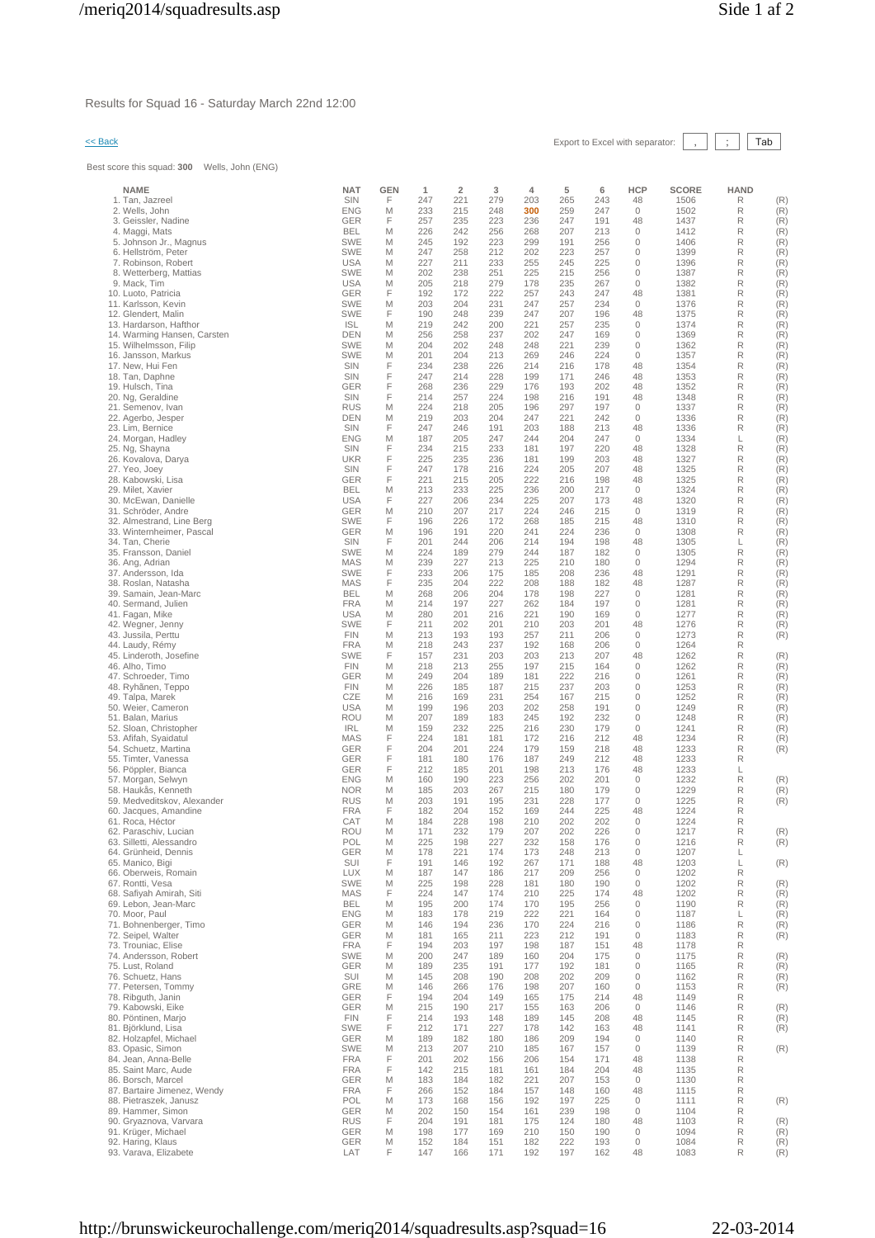Results for Squad 16 - Saturday March 22nd 12:00

# << Back Export to Excel with separator: , ; Tab

Best score this squad: **300** Wells, John (ENG)

| <b>NAME</b>                                            | <b>NAT</b>               | GEN    | 1          | $\overline{\mathbf{2}}$ | 3          | 4          | 5          | 6          | <b>HCP</b>                  | <b>SCORE</b> | <b>HAND</b> |            |
|--------------------------------------------------------|--------------------------|--------|------------|-------------------------|------------|------------|------------|------------|-----------------------------|--------------|-------------|------------|
| 1. Tan, Jazreel                                        | SIN                      | F      | 247        | 221                     | 279        | 203        | 265        | 243        | 48                          | 1506         | R           | (R)        |
| 2. Wells, John                                         | <b>ENG</b>               | M<br>F | 233        | 215                     | 248        | 300        | 259        | 247        | $\circ$                     | 1502         | R<br>R      | (R)        |
| 3. Geissler, Nadine<br>4. Maggi, Mats                  | GER<br><b>BEL</b>        | M      | 257<br>226 | 235<br>242              | 223<br>256 | 236<br>268 | 247<br>207 | 191<br>213 | 48<br>$\circ$               | 1437<br>1412 | R           | (R)<br>(R) |
| 5. Johnson Jr., Magnus                                 | <b>SWE</b>               | M      | 245        | 192                     | 223        | 299        | 191        | 256        | $\circ$                     | 1406         | R           | (R)        |
| 6. Hellström, Peter                                    | <b>SWE</b>               | M      | 247        | 258                     | 212        | 202        | 223        | 257        | $\circ$                     | 1399         | R           | (R)        |
| 7. Robinson, Robert                                    | <b>USA</b>               | M      | 227        | 211                     | 233        | 255        | 245        | 225        | 0                           | 1396         | R           | (R)        |
| 8. Wetterberg, Mattias                                 | <b>SWE</b><br><b>USA</b> | M      | 202<br>205 | 238                     | 251        | 225        | 215        | 256        | $\circ$<br>$\mathbf 0$      | 1387         | R<br>R      | (R)        |
| 9. Mack, Tim<br>10. Luoto, Patricia                    | GER                      | M<br>F | 192        | 218<br>172              | 279<br>222 | 178<br>257 | 235<br>243 | 267<br>247 | 48                          | 1382<br>1381 | R           | (R)<br>(R) |
| 11. Karlsson, Kevin                                    | <b>SWE</b>               | Μ      | 203        | 204                     | 231        | 247        | 257        | 234        | 0                           | 1376         | R           | (R)        |
| 12. Glendert, Malin                                    | <b>SWE</b>               | F      | 190        | 248                     | 239        | 247        | 207        | 196        | 48                          | 1375         | R           | (R)        |
| 13. Hardarson, Hafthor                                 | <b>ISL</b>               | M      | 219        | 242                     | 200        | 221        | 257        | 235        | $\circ$                     | 1374         | R           | (R)        |
| 14. Warming Hansen, Carsten<br>15. Wilhelmsson, Filip  | <b>DEN</b><br><b>SWE</b> | M<br>M | 256<br>204 | 258<br>202              | 237<br>248 | 202<br>248 | 247<br>221 | 169<br>239 | $\circ$<br>0                | 1369<br>1362 | R<br>R      | (R)<br>(R) |
| 16. Jansson, Markus                                    | <b>SWE</b>               | M      | 201        | 204                     | 213        | 269        | 246        | 224        | $\circ$                     | 1357         | R           | (R)        |
| 17. New, Hui Fen                                       | SIN                      | F      | 234        | 238                     | 226        | 214        | 216        | 178        | 48                          | 1354         | R           | (R)        |
| 18. Tan, Daphne                                        | SIN                      | F      | 247        | 214                     | 228        | 199        | 171        | 246        | 48                          | 1353         | R           | (R)        |
| 19. Hulsch, Tina                                       | <b>GER</b>               | F      | 268        | 236                     | 229        | 176        | 193        | 202        | 48                          | 1352         | R           | (R)        |
| 20. Ng, Geraldine<br>21. Semenov, Ivan                 | SIN<br><b>RUS</b>        | F<br>Μ | 214<br>224 | 257<br>218              | 224<br>205 | 198<br>196 | 216<br>297 | 191<br>197 | 48<br>$\circ$               | 1348<br>1337 | R<br>R      | (R)<br>(R) |
| 22. Agerbo, Jesper                                     | <b>DEN</b>               | M      | 219        | 203                     | 204        | 247        | 221        | 242        | $\circ$                     | 1336         | R           | (R)        |
| 23. Lim, Bernice                                       | SIN                      | F      | 247        | 246                     | 191        | 203        | 188        | 213        | 48                          | 1336         | R           | (R)        |
| 24. Morgan, Hadley                                     | <b>ENG</b>               | M      | 187        | 205                     | 247        | 244        | 204        | 247        | $\mathbf{0}$                | 1334         | L           | (R)        |
| 25. Ng, Shayna                                         | SIN<br><b>UKR</b>        | F<br>F | 234<br>225 | 215<br>235              | 233<br>236 | 181<br>181 | 197<br>199 | 220<br>203 | 48<br>48                    | 1328<br>1327 | R<br>R      | (R)<br>(R) |
| 26. Kovalova, Darya<br>27. Yeo, Joey                   | SIN                      | F      | 247        | 178                     | 216        | 224        | 205        | 207        | 48                          | 1325         | R           | (R)        |
| 28. Kabowski, Lisa                                     | <b>GER</b>               | F      | 221        | 215                     | 205        | 222        | 216        | 198        | 48                          | 1325         | R           | (R)        |
| 29. Milet, Xavier                                      | <b>BEL</b>               | M      | 213        | 233                     | 225        | 236        | 200        | 217        | $\mathbf{0}$                | 1324         | R           | (R)        |
| 30. McEwan, Danielle                                   | <b>USA</b>               | F      | 227        | 206                     | 234        | 225        | 207        | 173        | 48                          | 1320         | R           | (R)        |
| 31. Schröder, Andre                                    | <b>GER</b>               | Μ<br>F | 210        | 207                     | 217        | 224        | 246        | 215        | $\circ$                     | 1319         | R           | (R)        |
| 32. Almestrand, Line Berg<br>33. Winternheimer, Pascal | <b>SWE</b><br>GER        | M      | 196<br>196 | 226<br>191              | 172<br>220 | 268<br>241 | 185<br>224 | 215<br>236 | 48<br>0                     | 1310<br>1308 | R<br>R      | (R)<br>(R) |
| 34. Tan, Cherie                                        | <b>SIN</b>               | F      | 201        | 244                     | 206        | 214        | 194        | 198        | 48                          | 1305         | L           | (R)        |
| 35. Fransson, Daniel                                   | <b>SWE</b>               | M      | 224        | 189                     | 279        | 244        | 187        | 182        | $\circ$                     | 1305         | R           | (R)        |
| 36. Ang, Adrian                                        | <b>MAS</b>               | M      | 239        | 227                     | 213        | 225        | 210        | 180        | $\circ$                     | 1294         | R           | (R)        |
| 37. Andersson, Ida<br>38. Roslan, Natasha              | <b>SWE</b><br><b>MAS</b> | F<br>F | 233<br>235 | 206<br>204              | 175<br>222 | 185<br>208 | 208<br>188 | 236<br>182 | 48<br>48                    | 1291<br>1287 | R<br>R      | (R)<br>(R) |
| 39. Samain, Jean-Marc                                  | <b>BEL</b>               | M      | 268        | 206                     | 204        | 178        | 198        | 227        | $\circ$                     | 1281         | R           | (R)        |
| 40. Sermand, Julien                                    | <b>FRA</b>               | M      | 214        | 197                     | 227        | 262        | 184        | 197        | $\mathbf{0}$                | 1281         | R           | (R)        |
| 41. Fagan, Mike                                        | <b>USA</b>               | M      | 280        | 201                     | 216        | 221        | 190        | 169        | $\mathbf{0}$                | 1277         | R           | (R)        |
| 42. Wegner, Jenny                                      | <b>SWE</b>               | F      | 211        | 202                     | 201        | 210        | 203        | 201        | 48                          | 1276         | R           | (R)        |
| 43. Jussila, Perttu<br>44. Laudy, Rémy                 | <b>FIN</b><br><b>FRA</b> | M<br>M | 213<br>218 | 193<br>243              | 193<br>237 | 257<br>192 | 211<br>168 | 206<br>206 | $\circ$<br>$\mathbf 0$      | 1273<br>1264 | R<br>R      | (R)        |
| 45. Linderoth, Josefine                                | <b>SWE</b>               | F      | 157        | 231                     | 203        | 203        | 213        | 207        | 48                          | 1262         | R           | (R)        |
| 46. Alho, Timo                                         | <b>FIN</b>               | M      | 218        | 213                     | 255        | 197        | 215        | 164        | $\mathbf{0}$                | 1262         | R           | (R)        |
| 47. Schroeder, Timo                                    | <b>GER</b>               | M      | 249        | 204                     | 189        | 181        | 222        | 216        | $\circ$                     | 1261         | R           | (R)        |
| 48. Ryhãnen, Teppo                                     | <b>FIN</b>               | M      | 226        | 185                     | 187        | 215        | 237        | 203        | $\circ$                     | 1253         | R           | (R)        |
| 49. Talpa, Marek<br>50. Weier, Cameron                 | CZE<br><b>USA</b>        | M<br>M | 216<br>199 | 169<br>196              | 231<br>203 | 254<br>202 | 167<br>258 | 215<br>191 | $\circ$<br>$\mathbf{0}$     | 1252<br>1249 | R<br>R      | (R)<br>(R) |
| 51. Balan, Marius                                      | <b>ROU</b>               | M      | 207        | 189                     | 183        | 245        | 192        | 232        | $\circ$                     | 1248         | R           | (R)        |
| 52. Sloan, Christopher                                 | <b>IRL</b>               | M      | 159        | 232                     | 225        | 216        | 230        | 179        | $\mathbf{0}$                | 1241         | R           | (R)        |
| 53. Afifah, Syaidatul                                  | MAS                      | F      | 224        | 181                     | 181        | 172        | 216        | 212        | 48                          | 1234         | R           | (R)        |
| 54. Schuetz, Martina<br>55. Timter, Vanessa            | <b>GER</b><br>GER        | F<br>F | 204<br>181 | 201<br>180              | 224<br>176 | 179<br>187 | 159<br>249 | 218<br>212 | 48<br>48                    | 1233<br>1233 | R<br>R      | (R)        |
| 56. Pöppler, Bianca                                    | <b>GER</b>               | F      | 212        | 185                     | 201        | 198        | 213        | 176        | 48                          | 1233         | L           |            |
| 57. Morgan, Selwyn                                     | <b>ENG</b>               | Μ      | 160        | 190                     | 223        | 256        | 202        | 201        | $\circ$                     | 1232         | R           | (R)        |
| 58. Haukås, Kenneth                                    | <b>NOR</b>               | M      | 185        | 203                     | 267        | 215        | 180        | 179        | $\circ$                     | 1229         | R           | (R)        |
| 59. Medveditskov, Alexander                            | <b>RUS</b>               | M      | 203        | 191                     | 195        | 231        | 228        | 177        | $\circ$                     | 1225         | R           | (R)        |
| 60. Jacques, Amandine<br>61. Roca, Héctor              | <b>FRA</b><br>CAT        | F<br>M | 182<br>184 | 204<br>228              | 152<br>198 | 169<br>210 | 244<br>202 | 225<br>202 | 48<br>$\mathbf 0$           | 1224<br>1224 | R<br>R      |            |
| 62. Paraschiv, Lucian                                  | <b>ROU</b>               | M      | 171        | 232                     | 179        | 207        | 202        | 226        | $\mathbf{0}$                | 1217         | R           | (R)        |
| 63. Silletti, Alessandro                               | POL                      | M      | 225        | 198                     | 227        | 232        | 158        | 176        | $\circ$                     | 1216         | R           | (R)        |
| 64. Grünheid, Dennis                                   | <b>GER</b>               | M      | 178        | 221                     | 174        | 173        | 248        | 213        | $\mathbb O$                 | 1207         | L           |            |
| 65. Manico, Bigi                                       | SUI                      | F      | 191<br>187 | 146                     | 192        | 267        | 171        | 188        | 48                          | 1203         | L           | (R)        |
| 66. Oberweis, Romain<br>67. Rontti, Vesa               | <b>LUX</b><br><b>SWE</b> | M<br>M | 225        | 147<br>198              | 186<br>228 | 217<br>181 | 209<br>180 | 256<br>190 | $\mathbf{0}$<br>$\mathbf 0$ | 1202<br>1202 | R<br>R      | (R)        |
| 68. Safiyah Amirah, Siti                               | MAS                      | F      | 224        | 147                     | 174        | 210        | 225        | 174        | 48                          | 1202         | R           | (R)        |
| 69. Lebon. Jean-Marc                                   | <b>BEL</b>               | M      | 195        | 200                     | 174        | 170        | 195        | 256        | $\mathbf{0}$                | 1190         | R           | (R)        |
| 70. Moor. Paul                                         | <b>ENG</b>               | M      | 183        | 178                     | 219        | 222        | 221        | 164        | $\circ$                     | 1187         | L           | (R)        |
| 71. Bohnenberger, Timo                                 | <b>GER</b>               | M<br>M | 146        | 194                     | 236        | 170        | 224        | 216        | $\mathbf 0$                 | 1186         | R<br>R      | (R)        |
| 72. Seipel, Walter<br>73. Trouniac, Elise              | GER<br><b>FRA</b>        | F      | 181<br>194 | 165<br>203              | 211<br>197 | 223<br>198 | 212<br>187 | 191<br>151 | $\circ$<br>48               | 1183<br>1178 | R           | (R)        |
| 74. Andersson, Robert                                  | <b>SWE</b>               | M      | 200        | 247                     | 189        | 160        | 204        | 175        | $\mathbf 0$                 | 1175         | R           | (R)        |
| 75. Lust, Roland                                       | GER                      | M      | 189        | 235                     | 191        | 177        | 192        | 181        | $\mathbf{0}$                | 1165         | R           | (R)        |
| 76. Schuetz, Hans                                      | SUI                      | M      | 145        | 208                     | 190        | 208        | 202        | 209        | $\mathbf{0}$                | 1162         | R           | (R)        |
| 77. Petersen, Tommy                                    | GRE                      | M<br>F | 146        | 266                     | 176        | 198        | 207        | 160        | $\mathbf 0$                 | 1153         | R           | (R)        |
| 78. Ribguth, Janin<br>79. Kabowski, Eike               | <b>GER</b><br>GER        | M      | 194<br>215 | 204<br>190              | 149<br>217 | 165<br>155 | 175<br>163 | 214<br>206 | 48<br>$\mathbf{0}$          | 1149<br>1146 | R<br>R      | (R)        |
| 80. Pöntinen. Mario                                    | <b>FIN</b>               | F      | 214        | 193                     | 148        | 189        | 145        | 208        | 48                          | 1145         | R           | (R)        |
| 81. Björklund, Lisa                                    | SWE                      | F      | 212        | 171                     | 227        | 178        | 142        | 163        | 48                          | 1141         | R           | (R)        |
| 82. Holzapfel, Michael                                 | GER                      | M      | 189        | 182                     | 180        | 186        | 209        | 194        | $\mathbf{0}$                | 1140         | R           |            |
| 83. Opasic, Simon                                      | SWE                      | M      | 213        | 207                     | 210        | 185        | 167        | 157        | $\mathbf 0$                 | 1139         | R           | (R)        |
| 84. Jean, Anna-Belle                                   | <b>FRA</b>               | F<br>F | 201        | 202                     | 156        | 206        | 154        | 171<br>204 | 48                          | 1138         | R           |            |
| 85. Saint Marc, Aude<br>86. Borsch, Marcel             | <b>FRA</b><br><b>GER</b> | M      | 142<br>183 | 215<br>184              | 181<br>182 | 161<br>221 | 184<br>207 | 153        | 48<br>$\circ$               | 1135<br>1130 | R<br>R      |            |
| 87. Bartaire Jimenez, Wendy                            | <b>FRA</b>               | F      | 266        | 152                     | 184        | 157        | 148        | 160        | 48                          | 1115         | R           |            |
| 88. Pietraszek, Janusz                                 | POL                      | M      | 173        | 168                     | 156        | 192        | 197        | 225        | $\circ$                     | 1111         | R           | (R)        |
| 89. Hammer, Simon                                      | <b>GER</b>               | M      | 202        | 150                     | 154        | 161        | 239        | 198        | $\mathbf 0$                 | 1104         | R           |            |
| 90. Gryaznova, Varvara<br>91. Krüger, Michael          | <b>RUS</b><br>GER        | F<br>M | 204<br>198 | 191<br>177              | 181<br>169 | 175<br>210 | 124<br>150 | 180<br>190 | 48<br>$\circ$               | 1103<br>1094 | R<br>R      | (R)<br>(R) |
| 92. Haring, Klaus                                      | GER                      | M      | 152        | 184                     | 151        | 182        | 222        | 193        | $\circ$                     | 1084         | R           | (R)        |
| 93. Varava, Elizabete                                  | LAT                      | F      | 147        | 166                     | 171        | 192        | 197        | 162        | 48                          | 1083         | R           | (R)        |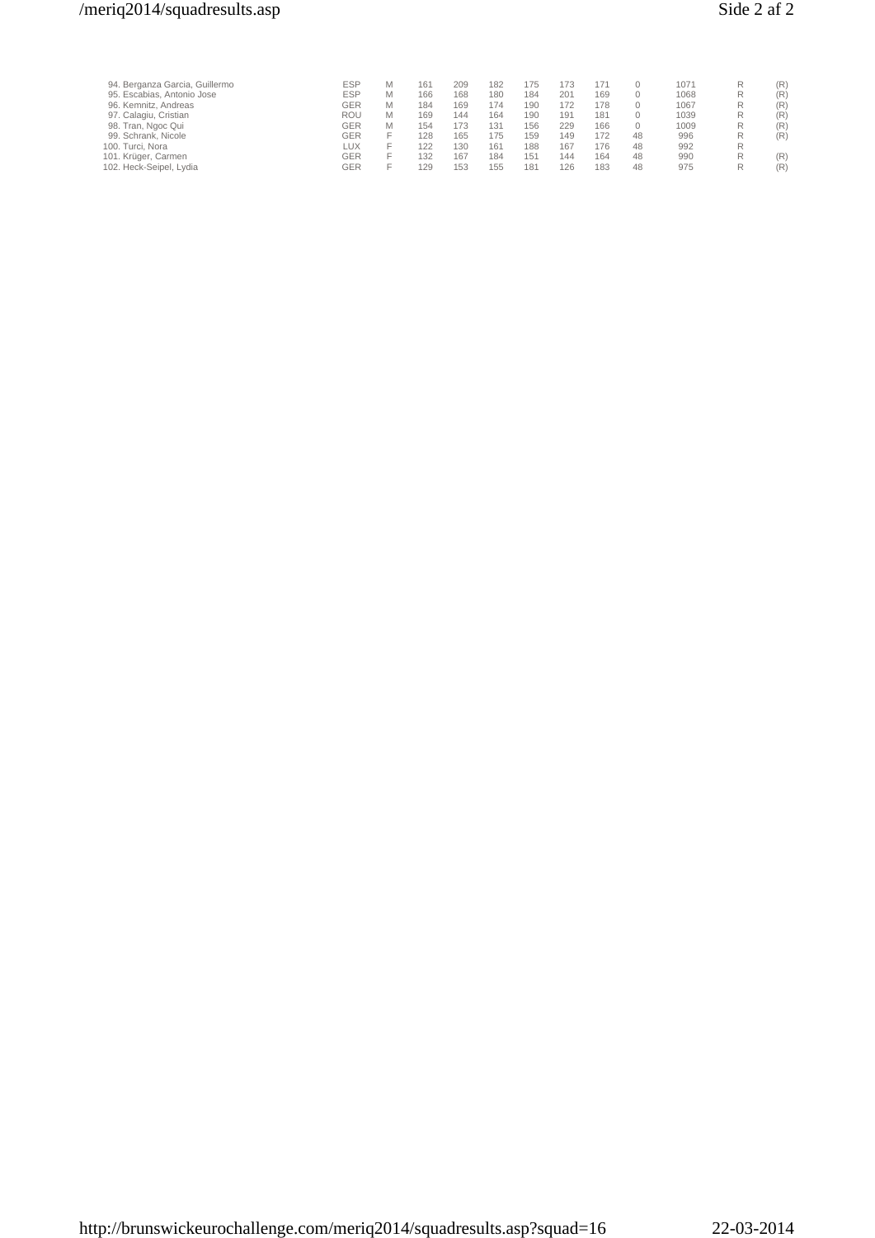# /meriq2014/squadresults.asp Side 2 af 2

| 94. Berganza Garcia, Guillermo | <b>ESP</b> | M | 161 | 209 | 182 | 175             | 173 | 171 |    | 1071 |   | (R) |
|--------------------------------|------------|---|-----|-----|-----|-----------------|-----|-----|----|------|---|-----|
| 95. Escabias, Antonio Jose     | <b>ESP</b> | М | 166 | 168 | 180 | 184             | 201 | 169 |    | 1068 | R | (R) |
| 96. Kemnitz, Andreas           | GER        | M | 184 | 169 | 174 | 190             | 172 | 178 |    | 1067 | R | (R) |
| 97. Calagiu, Cristian          | <b>ROU</b> | M | 169 | 144 | 164 | 190             | 191 | 181 |    | 1039 | R | (R) |
| 98. Tran, Ngoc Qui             | GER        | M | 154 |     | 131 | 156             | 229 | 166 |    | 1009 | R | (R) |
| 99. Schrank, Nicole            | GER        |   | 128 | 165 | 175 | 159             | 149 | 172 | 48 | 996  | R | (R) |
| 100. Turci, Nora               | LUX        |   | 122 | 130 | 161 | 188             | 167 | 176 | 48 | 992  | R |     |
| 101. Krüger, Carmen            | GER        |   | 132 | 167 | 184 | 151             | 144 | 164 | 48 | 990  | R | (R) |
| 102. Heck-Seipel, Lydia        | GER        |   | 129 | 153 | 155 | 18 <sup>1</sup> | 126 | 183 | 48 | 975  |   | (R) |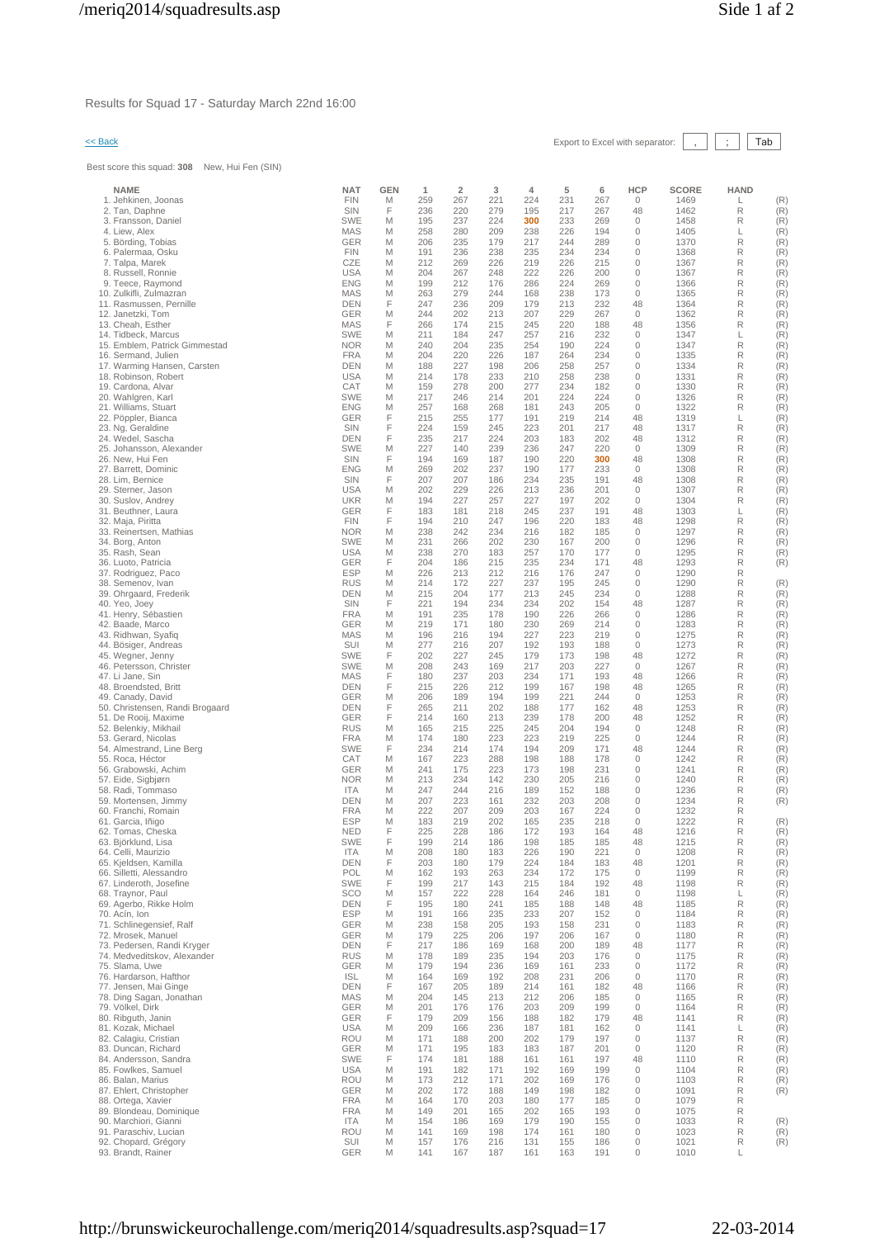Results for Squad 17 - Saturday March 22nd 16:00

# << Back Export to Excel with separator: , ; Tab

Best score this squad: **308** New, Hui Fen (SIN)

| <b>NAME</b>                                       | <b>NAT</b>               | GEN    | 1          | $\overline{2}$ | 3          | 4          | 5          | 6          | <b>HCP</b>                  | SCORE        | <b>HAND</b> |            |
|---------------------------------------------------|--------------------------|--------|------------|----------------|------------|------------|------------|------------|-----------------------------|--------------|-------------|------------|
| 1. Jehkinen, Joonas                               | <b>FIN</b>               | M      | 259        | 267            | 221        | 224        | 231        | 267        | 0                           | 1469         | L           | (R)        |
| 2. Tan, Daphne                                    | SIN                      | F      | 236        | 220            | 279        | 195        | 217        | 267        | 48                          | 1462         | R           | (R)        |
| 3. Fransson, Daniel<br>4. Liew, Alex              | <b>SWE</b><br>MAS        | M<br>M | 195<br>258 | 237<br>280     | 224<br>209 | 300<br>238 | 233<br>226 | 269<br>194 | $\mathbf 0$<br>0            | 1458<br>1405 | R<br>L      | (R)<br>(R) |
| 5. Börding, Tobias                                | <b>GER</b>               | M      | 206        | 235            | 179        | 217        | 244        | 289        | 0                           | 1370         | R           | (R)        |
| 6. Palermaa, Osku                                 | <b>FIN</b>               | M      | 191        | 236            | 238        | 235        | 234        | 234        | $\mathbf{0}$                | 1368         | R           | (R)        |
| 7. Talpa, Marek                                   | CZE                      | M      | 212        | 269            | 226        | 219        | 226        | 215        | $\mathbf 0$                 | 1367         | R           | (R)        |
| 8. Russell, Ronnie<br>9. Teece, Raymond           | <b>USA</b><br><b>ENG</b> | M<br>M | 204<br>199 | 267<br>212     | 248<br>176 | 222<br>286 | 226<br>224 | 200<br>269 | $\mathbf 0$<br>$\mathbf{0}$ | 1367<br>1366 | R<br>R      | (R)<br>(R) |
| 10. Zulkifli, Zulmazran                           | MAS                      | M      | 263        | 279            | 244        | 168        | 238        | 173        | $\mathbf 0$                 | 1365         | R           | (R)        |
| 11. Rasmussen, Pernille                           | DEN                      | F      | 247        | 236            | 209        | 179        | 213        | 232        | 48                          | 1364         | R           | (R)        |
| 12. Janetzki, Tom                                 | <b>GER</b>               | M      | 244        | 202            | 213        | 207        | 229        | 267        | $\mathbf{0}$                | 1362         | R           | (R)        |
| 13. Cheah. Esther<br>14. Tidbeck, Marcus          | <b>MAS</b><br><b>SWE</b> | F<br>M | 266<br>211 | 174<br>184     | 215<br>247 | 245<br>257 | 220<br>216 | 188<br>232 | 48<br>$\mathbf 0$           | 1356<br>1347 | R<br>L      | (R)<br>(R) |
| 15. Emblem, Patrick Gimmestad                     | <b>NOR</b>               | M      | 240        | 204            | 235        | 254        | 190        | 224        | 0                           | 1347         | R           | (R)        |
| 16. Sermand, Julien                               | <b>FRA</b>               | M      | 204        | 220            | 226        | 187        | 264        | 234        | 0                           | 1335         | R           | (R)        |
| 17. Warming Hansen, Carsten                       | <b>DEN</b>               | M      | 188        | 227            | 198        | 206        | 258        | 257        | 0                           | 1334         | R           | (R)        |
| 18. Robinson, Robert<br>19. Cardona, Alvar        | <b>USA</b><br>CAT        | M<br>M | 214<br>159 | 178<br>278     | 233<br>200 | 210<br>277 | 258<br>234 | 238<br>182 | $\mathbf 0$<br>$\mathbf{0}$ | 1331<br>1330 | R<br>R      | (R)<br>(R) |
| 20. Wahlgren, Karl                                | <b>SWE</b>               | M      | 217        | 246            | 214        | 201        | 224        | 224        | $\mathbf 0$                 | 1326         | R           | (R)        |
| 21. Williams, Stuart                              | <b>ENG</b>               | M      | 257        | 168            | 268        | 181        | 243        | 205        | 0                           | 1322         | R           | (R)        |
| 22. Pöppler, Bianca                               | <b>GER</b>               | F      | 215        | 255            | 177        | 191        | 219        | 214        | 48                          | 1319         | L           | (R)        |
| 23. Ng, Geraldine<br>24. Wedel, Sascha            | SIN<br><b>DEN</b>        | F<br>F | 224<br>235 | 159<br>217     | 245<br>224 | 223<br>203 | 201<br>183 | 217<br>202 | 48<br>48                    | 1317<br>1312 | R<br>R      | (R)<br>(R) |
| 25. Johansson, Alexander                          | <b>SWE</b>               | M      | 227        | 140            | 239        | 236        | 247        | 220        | $\mathbf{0}$                | 1309         | R           | (R)        |
| 26. New, Hui Fen                                  | SIN                      | F      | 194        | 169            | 187        | 190        | 220        | 300        | 48                          | 1308         | R           | (R)        |
| 27. Barrett, Dominic                              | <b>ENG</b>               | M<br>F | 269        | 202            | 237        | 190        | 177        | 233        | $\mathbf 0$                 | 1308         | R           | (R)        |
| 28. Lim, Bernice<br>29. Sterner, Jason            | SIN<br><b>USA</b>        | M      | 207<br>202 | 207<br>229     | 186<br>226 | 234<br>213 | 235<br>236 | 191<br>201 | 48<br>$\mathbf 0$           | 1308<br>1307 | R<br>R      | (R)<br>(R) |
| 30. Suslov, Andrey                                | <b>UKR</b>               | M      | 194        | 227            | 257        | 227        | 197        | 202        | 0                           | 1304         | R           | (R)        |
| 31. Beuthner, Laura                               | <b>GER</b>               | F      | 183        | 181            | 218        | 245        | 237        | 191        | 48                          | 1303         | L           | (R)        |
| 32. Maja, Piritta<br>33. Reinertsen, Mathias      | <b>FIN</b><br><b>NOR</b> | F<br>M | 194<br>238 | 210<br>242     | 247<br>234 | 196<br>216 | 220<br>182 | 183<br>185 | 48<br>$\mathbf 0$           | 1298<br>1297 | R<br>R      | (R)<br>(R) |
| 34. Borg, Anton                                   | <b>SWE</b>               | M      | 231        | 266            | 202        | 230        | 167        | 200        | 0                           | 1296         | R           | (R)        |
| 35. Rash, Sean                                    | <b>USA</b>               | M      | 238        | 270            | 183        | 257        | 170        | 177        | $\mathbf{0}$                | 1295         | R           | (R)        |
| 36. Luoto, Patricia                               | <b>GER</b>               | F      | 204        | 186            | 215        | 235        | 234        | 171        | 48                          | 1293         | R           | (R)        |
| 37. Rodriguez, Paco<br>38. Semenov, Ivan          | <b>ESP</b><br><b>RUS</b> | M<br>M | 226<br>214 | 213<br>172     | 212<br>227 | 216<br>237 | 176<br>195 | 247<br>245 | $\mathbf 0$<br>$\mathbf{0}$ | 1290<br>1290 | R<br>R      | (R)        |
| 39. Ohrgaard, Frederik                            | <b>DEN</b>               | M      | 215        | 204            | 177        | 213        | 245        | 234        | 0                           | 1288         | R           | (R)        |
| 40. Yeo, Joey                                     | SIN                      | F      | 221        | 194            | 234        | 234        | 202        | 154        | 48                          | 1287         | R           | (R)        |
| 41. Henry, Sébastien                              | <b>FRA</b>               | M      | 191        | 235            | 178        | 190        | 226        | 266        | $\mathbf{0}$                | 1286         | R           | (R)        |
| 42. Baade, Marco<br>43. Ridhwan, Syafiq           | <b>GER</b><br>MAS        | M<br>M | 219<br>196 | 171<br>216     | 180<br>194 | 230<br>227 | 269<br>223 | 214<br>219 | 0<br>0                      | 1283<br>1275 | R<br>R      | (R)<br>(R) |
| 44. Bösiger, Andreas                              | SUI                      | M      | 277        | 216            | 207        | 192        | 193        | 188        | 0                           | 1273         | R           | (R)        |
| 45. Wegner, Jenny                                 | <b>SWE</b>               | F      | 202        | 227            | 245        | 179        | 173        | 198        | 48                          | 1272         | R           | (R)        |
| 46. Petersson, Christer                           | <b>SWE</b>               | M<br>F | 208        | 243            | 169        | 217        | 203        | 227        | $\mathbf 0$                 | 1267         | R<br>R      | (R)        |
| 47. Li Jane, Sin<br>48. Broendsted, Britt         | <b>MAS</b><br>DEN        | F      | 180<br>215 | 237<br>226     | 203<br>212 | 234<br>199 | 171<br>167 | 193<br>198 | 48<br>48                    | 1266<br>1265 | R           | (R)<br>(R) |
| 49. Canady, David                                 | <b>GER</b>               | M      | 206        | 189            | 194        | 199        | 221        | 244        | $\mathbf 0$                 | 1253         | R           | (R)        |
| 50. Christensen, Randi Brogaard                   | <b>DEN</b>               | F      | 265        | 211            | 202        | 188        | 177        | 162        | 48                          | 1253         | R           | (R)        |
| 51. De Rooij, Maxime<br>52. Belenkiy, Mikhail     | <b>GER</b><br><b>RUS</b> | F<br>M | 214<br>165 | 160<br>215     | 213<br>225 | 239<br>245 | 178<br>204 | 200<br>194 | 48<br>0                     | 1252<br>1248 | R<br>R      | (R)<br>(R) |
| 53. Gerard, Nicolas                               | <b>FRA</b>               | M      | 174        | 180            | 223        | 223        | 219        | 225        | 0                           | 1244         | R           | (R)        |
| 54. Almestrand, Line Berg                         | <b>SWE</b>               | F      | 234        | 214            | 174        | 194        | 209        | 171        | 48                          | 1244         | R           | (R)        |
| 55. Roca, Héctor                                  | CAT                      | M      | 167        | 223            | 288        | 198        | 188        | 178        | $\mathbf 0$                 | 1242         | R           | (R)        |
| 56. Grabowski, Achim<br>57. Eide, Sigbjørn        | <b>GER</b><br><b>NOR</b> | M<br>M | 241<br>213 | 175<br>234     | 223<br>142 | 173<br>230 | 198<br>205 | 231<br>216 | $\mathbf 0$<br>0            | 1241<br>1240 | R<br>R      | (R)<br>(R) |
| 58. Radi, Tommaso                                 | <b>ITA</b>               | M      | 247        | 244            | 216        | 189        | 152        | 188        | $\mathbf{0}$                | 1236         | R           | (R)        |
| 59. Mortensen, Jimmy                              | <b>DEN</b>               | M      | 207        | 223            | 161        | 232        | 203        | 208        | 0                           | 1234         | R           | (R)        |
| 60. Franchi, Romain<br>61. Garcia, Iñigo          | <b>FRA</b><br><b>ESP</b> | M<br>M | 222<br>183 | 207<br>219     | 209<br>202 | 203<br>165 | 167<br>235 | 224<br>218 | 0<br>0                      | 1232<br>1222 | R<br>R      | (R)        |
| 62. Tomas, Cheska                                 | <b>NED</b>               | F      | 225        | 228            | 186        | 172        | 193        | 164        | 48                          | 1216         | R           | (R)        |
| 63. Björklund, Lisa                               | SWE                      | F      | 199        | 214            | 186        | 198        | 185        | 185        | 48                          | 1215         | R           | (R)        |
| 64. Celli, Maurizio                               | <b>ITA</b>               | M<br>F | 208        | 180            | 183        | 226        | 190        | 221        | $\mathbf{0}$                | 1208         | R           | (R)        |
| 65. Kjeldsen, Kamilla<br>66. Silletti, Alessandro | <b>DEN</b><br>POL        | Μ      | 203<br>162 | 180<br>193     | 179<br>263 | 224<br>234 | 184<br>172 | 183<br>175 | 48<br>$\mathbf 0$           | 1201<br>1199 | R<br>R      | (R)<br>(R) |
| 67. Linderoth, Josefine                           | <b>SWE</b>               | F      | 199        | 217            | 143        | 215        | 184        | 192        | 48                          | 1198         | R           | (R)        |
| 68. Traynor, Paul                                 | <b>SCO</b>               | M      | 157        | 222            | 228        | 164        | 246        | 181        | $\circ$                     | 1198         | L           | (R)        |
| 69. Agerbo, Rikke Holm<br>70. Acín, Ion           | <b>DEN</b><br><b>ESP</b> | F<br>M | 195<br>191 | 180<br>166     | 241<br>235 | 185<br>233 | 188<br>207 | 148<br>152 | 48<br>$\circ$               | 1185<br>1184 | R<br>R      | (R)<br>(R) |
| 71. Schlinegensief, Ralf                          | GER                      | M      | 238        | 158            | 205        | 193        | 158        | 231        | $\mathbf{0}$                | 1183         | R           | (R)        |
| 72. Mrosek, Manuel                                | GER                      | M      | 179        | 225            | 206        | 197        | 206        | 167        | $\circ$                     | 1180         | R           | (R)        |
| 73. Pedersen, Randi Kryger                        | <b>DEN</b>               | F      | 217        | 186            | 169        | 168        | 200        | 189        | 48                          | 1177         | R           | (R)        |
| 74. Medveditskov, Alexander<br>75. Slama, Uwe     | <b>RUS</b><br>GER        | M<br>M | 178<br>179 | 189<br>194     | 235<br>236 | 194<br>169 | 203<br>161 | 176<br>233 | $\mathbf 0$<br>$\mathbb O$  | 1175<br>1172 | R<br>R      | (R)<br>(R) |
| 76. Hardarson, Hafthor                            | <b>ISL</b>               | M      | 164        | 169            | 192        | 208        | 231        | 206        | $\mathbb O$                 | 1170         | R           | (R)        |
| 77. Jensen, Mai Ginge                             | DEN                      | F      | 167        | 205            | 189        | 214        | 161        | 182        | 48                          | 1166         | R           | (R)        |
| 78. Ding Sagan, Jonathan                          | <b>MAS</b>               | M      | 204        | 145            | 213        | 212        | 206        | 185        | $\mathbf 0$                 | 1165         | R           | (R)        |
| 79. Völkel, Dirk<br>80. Ribguth, Janin            | GER<br>GER               | M<br>F | 201<br>179 | 176<br>209     | 176<br>156 | 203<br>188 | 209<br>182 | 199<br>179 | $\mathbb O$<br>48           | 1164<br>1141 | R<br>R      | (R)<br>(R) |
| 81. Kozak, Michael                                | <b>USA</b>               | Μ      | 209        | 166            | 236        | 187        | 181        | 162        | $\mathbf 0$                 | 1141         | L           | (R)        |
| 82. Calagiu, Cristian                             | <b>ROU</b>               | M      | 171        | 188            | 200        | 202        | 179        | 197        | $\mathbf 0$                 | 1137         | R           | (R)        |
| 83. Duncan, Richard<br>84. Andersson, Sandra      | <b>GER</b><br><b>SWE</b> | M<br>F | 171<br>174 | 195<br>181     | 183<br>188 | 183<br>161 | 187<br>161 | 201<br>197 | $\mathbf 0$<br>48           | 1120<br>1110 | R<br>R      | (R)<br>(R) |
| 85. Fowlkes, Samuel                               | <b>USA</b>               | M      | 191        | 182            | 171        | 192        | 169        | 199        | $\mathbf 0$                 | 1104         | R           | (R)        |
| 86. Balan, Marius                                 | <b>ROU</b>               | M      | 173        | 212            | 171        | 202        | 169        | 176        | 0                           | 1103         | R           | (R)        |
| 87. Ehlert, Christopher                           | <b>GER</b>               | M      | 202        | 172            | 188        | 149        | 198        | 182        | $\mathbf{0}$                | 1091         | R           | (R)        |
| 88. Ortega, Xavier<br>89. Blondeau, Dominique     | <b>FRA</b><br><b>FRA</b> | M<br>M | 164<br>149 | 170<br>201     | 203<br>165 | 180<br>202 | 177<br>165 | 185<br>193 | $\mathbb O$<br>$\mathbf 0$  | 1079<br>1075 | R<br>R      |            |
| 90. Marchiori, Gianni                             | <b>ITA</b>               | M      | 154        | 186            | 169        | 179        | 190        | 155        | $\mathbf 0$                 | 1033         | R           | (R)        |
| 91. Paraschiv, Lucian                             | <b>ROU</b>               | M      | 141        | 169            | 198        | 174        | 161        | 180        | $\mathbf 0$                 | 1023         | R           | (R)        |
| 92. Chopard, Grégory                              | SUI                      | M      | 157        | 176            | 216        | 131        | 155        | 186        | $\mathbb O$                 | 1021         | R           | (R)        |
| 93. Brandt, Rainer                                | <b>GER</b>               | Μ      | 141        | 167            | 187        | 161        | 163        | 191        | 0                           | 1010         | L           |            |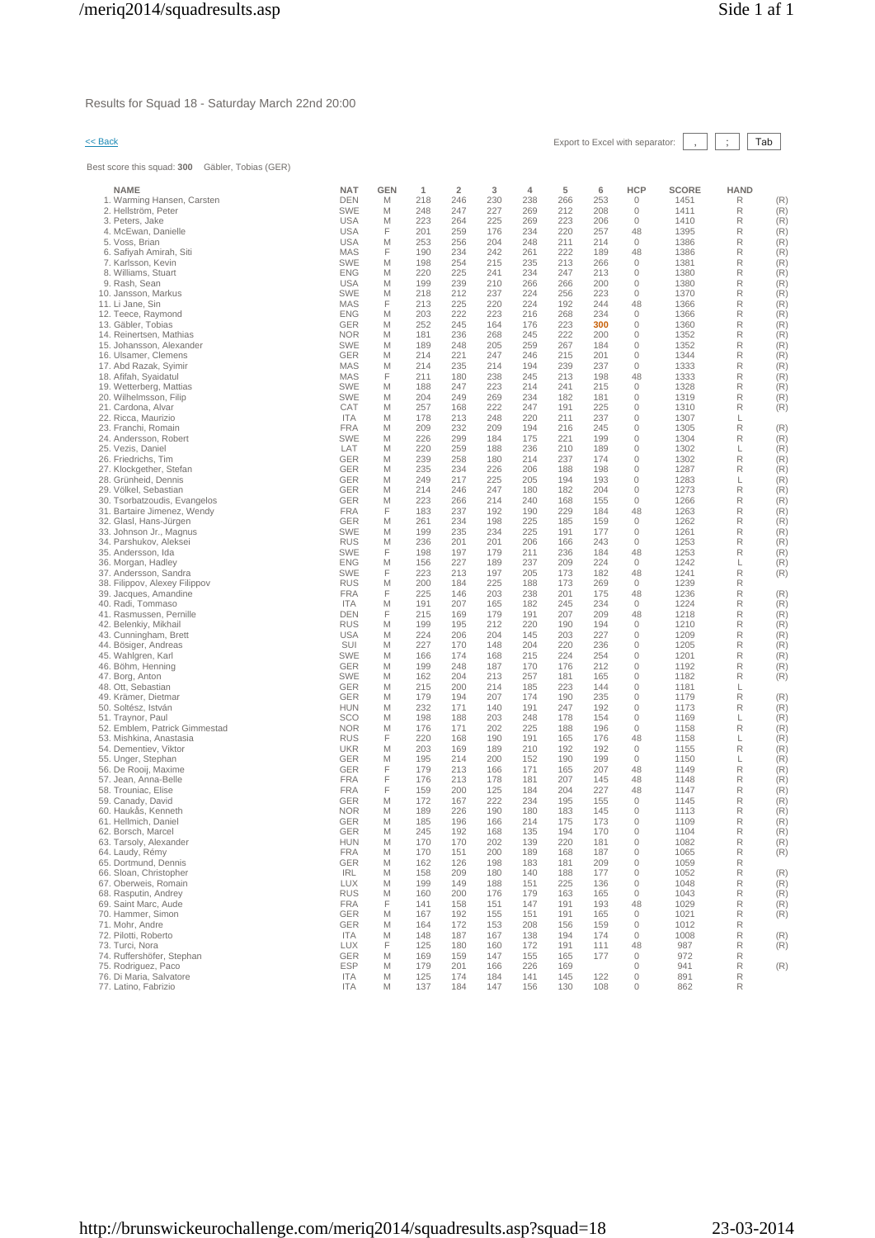Results for Squad 18 - Saturday March 22nd 20:00

# << Back Export to Excel with separator: , ; Tab

Best score this squad: **300** Gäbler, Tobias (GER)

| <b>NAME</b>                                           | <b>NAT</b>               | GEN    | 1          | $\overline{\mathbf{2}}$ | 3          | 4          | 5          | 6          | HCP                    | <b>SCORE</b> | <b>HAND</b> |            |
|-------------------------------------------------------|--------------------------|--------|------------|-------------------------|------------|------------|------------|------------|------------------------|--------------|-------------|------------|
| 1. Warming Hansen, Carsten                            | <b>DEN</b>               | M      | 218        | 246                     | 230        | 238        | 266        | 253        | 0                      | 1451         | R           | (R)        |
| 2. Hellström, Peter<br>3. Peters, Jake                | SWE<br><b>USA</b>        | M<br>M | 248<br>223 | 247<br>264              | 227<br>225 | 269<br>269 | 212<br>223 | 208<br>206 | 0<br>$\mathbf{0}$      | 1411<br>1410 | R<br>R      | (R)<br>(R) |
| 4. McEwan, Danielle                                   | <b>USA</b>               | F      | 201        | 259                     | 176        | 234        | 220        | 257        | 48                     | 1395         | R           | (R)        |
| 5. Voss, Brian                                        | <b>USA</b>               | M      | 253        | 256                     | 204        | 248        | 211        | 214        | 0                      | 1386         | R           | (R)        |
| 6. Safiyah Amirah, Siti                               | <b>MAS</b>               | F      | 190        | 234                     | 242        | 261        | 222        | 189        | 48                     | 1386         | R           | (R)        |
| 7. Karlsson, Kevin<br>8. Williams, Stuart             | <b>SWE</b><br><b>ENG</b> | M<br>M | 198<br>220 | 254<br>225              | 215<br>241 | 235<br>234 | 213<br>247 | 266<br>213 | 0<br>0                 | 1381<br>1380 | R<br>R      | (R)<br>(R) |
| 9. Rash, Sean                                         | <b>USA</b>               | M      | 199        | 239                     | 210        | 266        | 266        | 200        | 0                      | 1380         | R           | (R)        |
| 10. Jansson, Markus                                   | <b>SWE</b>               | M      | 218        | 212                     | 237        | 224        | 256        | 223        | $\mathbf{0}$           | 1370         | R           | (R)        |
| 11. Li Jane, Sin                                      | <b>MAS</b>               | F      | 213        | 225                     | 220        | 224        | 192        | 244        | 48<br>$\mathbf{0}$     | 1366         | R<br>R      | (R)        |
| 12. Teece, Raymond<br>13. Gäbler, Tobias              | <b>ENG</b><br><b>GER</b> | M<br>M | 203<br>252 | 222<br>245              | 223<br>164 | 216<br>176 | 268<br>223 | 234<br>300 | $\mathbf{0}$           | 1366<br>1360 | R           | (R)<br>(R) |
| 14. Reinertsen, Mathias                               | <b>NOR</b>               | M      | 181        | 236                     | 268        | 245        | 222        | 200        | 0                      | 1352         | R           | (R)        |
| 15. Johansson, Alexander                              | <b>SWE</b>               | M      | 189        | 248                     | 205        | 259        | 267        | 184        | $\mathbf 0$            | 1352         | R           | (R)        |
| 16. Ulsamer, Clemens<br>17. Abd Razak, Syimir         | <b>GER</b><br><b>MAS</b> | M<br>M | 214<br>214 | 221<br>235              | 247<br>214 | 246<br>194 | 215<br>239 | 201<br>237 | $\mathbf{0}$<br>0      | 1344<br>1333 | R<br>R      | (R)<br>(R) |
| 18. Afifah, Syaidatul                                 | <b>MAS</b>               | F      | 211        | 180                     | 238        | 245        | 213        | 198        | 48                     | 1333         | R           | (R)        |
| 19. Wetterberg, Mattias                               | <b>SWE</b>               | M      | 188        | 247                     | 223        | 214        | 241        | 215        | $\mathbf 0$            | 1328         | R           | (R)        |
| 20. Wilhelmsson, Filip                                | <b>SWE</b>               | M      | 204        | 249                     | 269        | 234        | 182        | 181        | 0                      | 1319         | R           | (R)        |
| 21. Cardona, Alvar<br>22. Ricca, Maurizio             | CAT<br><b>ITA</b>        | M<br>M | 257<br>178 | 168<br>213              | 222<br>248 | 247<br>220 | 191<br>211 | 225<br>237 | 0<br>0                 | 1310<br>1307 | R<br>L      | (R)        |
| 23. Franchi, Romain                                   | <b>FRA</b>               | M      | 209        | 232                     | 209        | 194        | 216        | 245        | $\mathbf{0}$           | 1305         | R           | (R)        |
| 24. Andersson, Robert                                 | <b>SWE</b>               | M      | 226        | 299                     | 184        | 175        | 221        | 199        | 0                      | 1304         | R           | (R)        |
| 25. Vezis, Daniel                                     | LAT                      | M      | 220        | 259                     | 188        | 236        | 210        | 189        | 0                      | 1302         | L           | (R)        |
| 26. Friedrichs, Tim<br>27. Klockgether, Stefan        | <b>GER</b><br><b>GER</b> | M<br>M | 239<br>235 | 258<br>234              | 180<br>226 | 214<br>206 | 237<br>188 | 174<br>198 | 0<br>$\mathbf 0$       | 1302<br>1287 | R<br>R      | (R)<br>(R) |
| 28. Grünheid, Dennis                                  | GER                      | M      | 249        | 217                     | 225        | 205        | 194        | 193        | $\mathbf 0$            | 1283         | L           | (R)        |
| 29. Völkel, Sebastian                                 | <b>GER</b>               | M      | 214        | 246                     | 247        | 180        | 182        | 204        | $\mathbf{0}$           | 1273         | R           | (R)        |
| 30. Tsorbatzoudis, Evangelos                          | <b>GER</b>               | M      | 223        | 266                     | 214        | 240        | 168        | 155        | $\mathbf 0$            | 1266         | R           | (R)        |
| 31. Bartaire Jimenez, Wendy<br>32. Glasl, Hans-Jürgen | <b>FRA</b><br>GER        | F<br>M | 183<br>261 | 237<br>234              | 192<br>198 | 190<br>225 | 229<br>185 | 184<br>159 | 48<br>0                | 1263<br>1262 | R<br>R      | (R)<br>(R) |
| 33. Johnson Jr., Magnus                               | <b>SWE</b>               | M      | 199        | 235                     | 234        | 225        | 191        | 177        | 0                      | 1261         | R           | (R)        |
| 34. Parshukov, Aleksei                                | <b>RUS</b>               | M      | 236        | 201                     | 201        | 206        | 166        | 243        | 0                      | 1253         | R           | (R)        |
| 35. Andersson, Ida<br>36. Morgan, Hadley              | <b>SWE</b><br><b>ENG</b> | F<br>M | 198<br>156 | 197<br>227              | 179<br>189 | 211<br>237 | 236<br>209 | 184<br>224 | 48<br>$\mathbf{0}$     | 1253<br>1242 | R<br>L      | (R)<br>(R) |
| 37. Andersson, Sandra                                 | <b>SWE</b>               | F      | 223        | 213                     | 197        | 205        | 173        | 182        | 48                     | 1241         | R           | (R)        |
| 38. Filippov, Alexey Filippov                         | <b>RUS</b>               | M      | 200        | 184                     | 225        | 188        | 173        | 269        | 0                      | 1239         | R           |            |
| 39. Jacques, Amandine                                 | <b>FRA</b>               | F      | 225        | 146                     | 203        | 238        | 201        | 175        | 48                     | 1236         | R           | (R)        |
| 40. Radi, Tommaso<br>41. Rasmussen, Pernille          | <b>ITA</b><br><b>DEN</b> | M<br>F | 191<br>215 | 207<br>169              | 165<br>179 | 182<br>191 | 245<br>207 | 234<br>209 | $\mathbf 0$<br>48      | 1224<br>1218 | R<br>R      | (R)<br>(R) |
| 42. Belenkiy, Mikhail                                 | <b>RUS</b>               | M      | 199        | 195                     | 212        | 220        | 190        | 194        | $\mathbf 0$            | 1210         | R           | (R)        |
| 43. Cunningham, Brett                                 | <b>USA</b>               | M      | 224        | 206                     | 204        | 145        | 203        | 227        | 0                      | 1209         | R           | (R)        |
| 44. Bösiger, Andreas<br>45. Wahlgren, Karl            | SUI<br><b>SWE</b>        | M<br>M | 227<br>166 | 170<br>174              | 148<br>168 | 204<br>215 | 220<br>224 | 236<br>254 | 0<br>0                 | 1205<br>1201 | R<br>R      | (R)<br>(R) |
| 46. Böhm, Henning                                     | <b>GER</b>               | M      | 199        | 248                     | 187        | 170        | 176        | 212        | 0                      | 1192         | R           | (R)        |
| 47. Borg, Anton                                       | SWE                      | M      | 162        | 204                     | 213        | 257        | 181        | 165        | $\mathbf 0$            | 1182         | R           | (R)        |
| 48. Ott, Sebastian                                    | GER                      | M      | 215        | 200                     | 214        | 185        | 223        | 144        | 0                      | 1181         | L           |            |
| 49. Krämer, Dietmar<br>50. Soltész, István            | <b>GER</b><br><b>HUN</b> | M<br>M | 179<br>232 | 194<br>171              | 207<br>140 | 174<br>191 | 190<br>247 | 235<br>192 | 0<br>$\mathbf 0$       | 1179<br>1173 | R<br>R      | (R)<br>(R) |
| 51. Traynor, Paul                                     | <b>SCO</b>               | M      | 198        | 188                     | 203        | 248        | 178        | 154        | 0                      | 1169         | L           | (R)        |
| 52. Emblem, Patrick Gimmestad                         | <b>NOR</b>               | M      | 176        | 171                     | 202        | 225        | 188        | 196        | $\mathbf{0}$           | 1158         | R           | (R)        |
| 53. Mishkina, Anastasia<br>54. Dementiev, Viktor      | <b>RUS</b><br><b>UKR</b> | F      | 220<br>203 | 168<br>169              | 190<br>189 | 191<br>210 | 165<br>192 | 176<br>192 | 48<br>$\mathbf 0$      | 1158<br>1155 | L<br>R      | (R)<br>(R) |
| 55. Unger, Stephan                                    | <b>GER</b>               | M<br>M | 195        | 214                     | 200        | 152        | 190        | 199        | $\mathbf 0$            | 1150         | L           | (R)        |
| 56. De Rooij, Maxime                                  | <b>GER</b>               | F      | 179        | 213                     | 166        | 171        | 165        | 207        | 48                     | 1149         | R           | (R)        |
| 57. Jean, Anna-Belle                                  | <b>FRA</b>               | F      | 176        | 213                     | 178        | 181        | 207        | 145        | 48                     | 1148         | R           | (R)        |
| 58. Trouniac, Elise<br>59. Canady, David              | <b>FRA</b><br><b>GER</b> | F<br>M | 159<br>172 | 200<br>167              | 125<br>222 | 184<br>234 | 204<br>195 | 227<br>155 | 48<br>$\mathbf{0}$     | 1147<br>1145 | R<br>R      | (R)<br>(R) |
| 60. Haukås, Kenneth                                   | <b>NOR</b>               | M      | 189        | 226                     | 190        | 180        | 183        | 145        | 0                      | 1113         | R           | (R)        |
| 61. Hellmich, Daniel                                  | <b>GER</b>               | M      | 185        | 196                     | 166        | 214        | 175        | 173        | 0                      | 1109         | R           | (R)        |
| 62. Borsch, Marcel                                    | <b>GER</b><br><b>HUN</b> | M      | 245<br>170 | 192<br>170              | 168        | 135        | 194<br>220 | 170        | 0<br>$\mathbf 0$       | 1104         | R<br>R      | (R)        |
| 63. Tarsoly, Alexander<br>64. Laudy, Rémy             | <b>FRA</b>               | M<br>М | 170        | 151                     | 202<br>200 | 139<br>189 | 168        | 181<br>187 | $\circ$                | 1082<br>1065 | R           | (R)<br>(R) |
| 65. Dortmund, Dennis                                  | <b>GER</b>               | M      | 162        | 126                     | 198        | 183        | 181        | 209        | $\circ$                | 1059         | R           |            |
| 66. Sloan, Christopher                                | <b>IRL</b>               | Μ      | 158        | 209                     | 180        | 140        | 188        | 177        | $\mathbb O$            | 1052         | R           | (R)        |
| 67. Oberweis, Romain<br>68. Rasputin, Andrey          | <b>LUX</b><br><b>RUS</b> | M<br>M | 199<br>160 | 149<br>200              | 188<br>176 | 151<br>179 | 225<br>163 | 136<br>165 | $\mathbb O$<br>$\circ$ | 1048<br>1043 | R<br>R      | (R)<br>(R) |
| 69. Saint Marc, Aude                                  | <b>FRA</b>               | F      | 141        | 158                     | 151        | 147        | 191        | 193        | 48                     | 1029         | R           | (R)        |
| 70. Hammer, Simon                                     | <b>GER</b>               | M      | 167        | 192                     | 155        | 151        | 191        | 165        | $\mathbf 0$            | 1021         | R           | (R)        |
| 71. Mohr, Andre                                       | GER                      | M      | 164        | 172                     | 153        | 208        | 156        | 159        | $\circ$                | 1012         | R<br>R      |            |
| 72. Pilotti, Roberto<br>73. Turci, Nora               | <b>ITA</b><br><b>LUX</b> | Μ<br>F | 148<br>125 | 187<br>180              | 167<br>160 | 138<br>172 | 194<br>191 | 174<br>111 | $\mathbf 0$<br>48      | 1008<br>987  | R           | (R)<br>(R) |
| 74. Ruffershöfer, Stephan                             | GER                      | M      | 169        | 159                     | 147        | 155        | 165        | 177        | $\circ$                | 972          | R           |            |
| 75. Rodriguez, Paco                                   | <b>ESP</b>               | M      | 179        | 201                     | 166        | 226        | 169        |            | $\mathbf{0}$           | 941          | R           | (R)        |
| 76. Di Maria, Salvatore<br>77. Latino, Fabrizio       | <b>ITA</b><br><b>ITA</b> | M<br>M | 125<br>137 | 174<br>184              | 184<br>147 | 141<br>156 | 145<br>130 | 122<br>108 | $\mathbf 0$<br>0       | 891<br>862   | R<br>R      |            |
|                                                       |                          |        |            |                         |            |            |            |            |                        |              |             |            |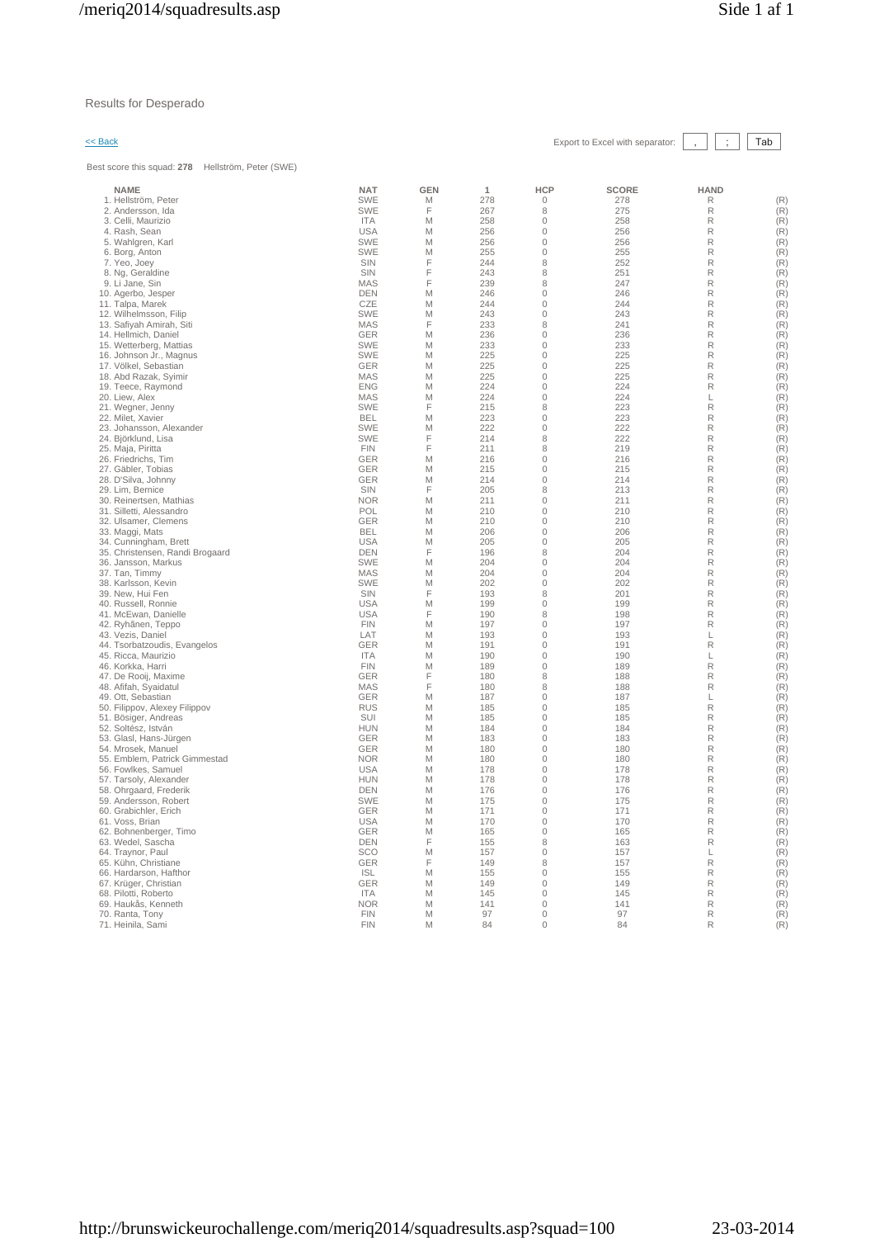## Results for Desperado

Best score this squad: **278** Hellström, Peter (SWE)

 $\leq$  Back Export to Excel with separator:  $\boxed{\phantom{s}}$ ,  $\boxed{\phantom{s}}$  Tab

| <b>NAME</b>                     | <b>NAT</b> | <b>GEN</b> | 1   | <b>HCP</b>     | <b>SCORE</b> | <b>HAND</b> |     |
|---------------------------------|------------|------------|-----|----------------|--------------|-------------|-----|
| 1. Hellström, Peter             | <b>SWE</b> | M          | 278 | 0              | 278          | R           | (R) |
| 2. Andersson, Ida               | <b>SWE</b> | F          | 267 | 8              | 275          | R           | (R) |
| 3. Celli, Maurizio              | <b>ITA</b> | M          | 258 | 0              | 258          | R           | (R) |
| 4. Rash, Sean                   | <b>USA</b> | M          | 256 | $\overline{0}$ | 256          | R           | (R) |
| 5. Wahlgren, Karl               | <b>SWE</b> | M          | 256 | $\overline{0}$ | 256          | R           | (R) |
| 6. Borg, Anton                  | <b>SWE</b> | M          | 255 | $\overline{0}$ | 255          | R           | (R) |
| 7. Yeo, Joey                    | SIN        | F          | 244 | 8              | 252          | R           | (R) |
| 8. Ng, Geraldine                | SIN        | F          | 243 | 8              | 251          | R           | (R) |
| 9. Li Jane, Sin                 | <b>MAS</b> | F          | 239 | 8              | 247          | R           | (R) |
| 10. Agerbo, Jesper              | <b>DEN</b> | Μ          | 246 | 0              | 246          | R           | (R) |
| 11. Talpa, Marek                | CZE        | M          | 244 | 0              | 244          | R           | (R) |
|                                 | <b>SWE</b> | M          | 243 | $\overline{0}$ | 243          | R           | (R) |
| 12. Wilhelmsson, Filip          |            | F          |     | 8              | 241          | R           |     |
| 13. Safiyah Amirah, Siti        | MAS        |            | 233 | $\Omega$       |              |             | (R) |
| 14. Hellmich, Daniel            | GER        | M          | 236 |                | 236          | R           | (R) |
| 15. Wetterberg, Mattias         | SWE        | M          | 233 | $\Omega$       | 233          | R           | (R) |
| 16. Johnson Jr., Magnus         | <b>SWE</b> | M          | 225 | $\Omega$       | 225          | R           | (R) |
| 17. Völkel, Sebastian           | <b>GER</b> | M          | 225 | $\mathbf 0$    | 225          | R           | (R) |
| 18. Abd Razak, Syimir           | <b>MAS</b> | M          | 225 | $\overline{0}$ | 225          | R           | (R) |
| 19. Teece, Raymond              | <b>ENG</b> | M          | 224 | $\mathbf{0}$   | 224          | R           | (R) |
| 20. Liew, Alex                  | <b>MAS</b> | M          | 224 | 0              | 224          | L           | (R) |
| 21. Wegner, Jenny               | <b>SWE</b> | F          | 215 | 8              | 223          | R           | (R) |
| 22. Milet, Xavier               | <b>BEL</b> | M          | 223 | $\mathbf 0$    | 223          | R           | (R) |
| 23. Johansson, Alexander        | SWE        | M          | 222 | 0              | 222          | R           | (R) |
| 24. Björklund, Lisa             | SWE        | F          | 214 | 8              | 222          | R           | (R) |
| 25. Maja, Piritta               | <b>FIN</b> | F          | 211 | 8              | 219          | R           | (R) |
| 26. Friedrichs, Tim             | GER        | M          | 216 | $\mathbf 0$    | 216          | R           | (R) |
| 27. Gäbler, Tobias              | <b>GER</b> | M          | 215 | $\overline{0}$ | 215          | R           | (R) |
| 28. D'Silva, Johnny             | GER        | M          | 214 | $\Omega$       | 214          | R           | (R) |
| 29. Lim, Bernice                | <b>SIN</b> | F          | 205 | 8              | 213          | R           | (R) |
| 30. Reinertsen, Mathias         | <b>NOR</b> | M          | 211 | $\overline{0}$ | 211          | R           | (R) |
|                                 | POL        |            |     | $\overline{0}$ | 210          | R           | (R) |
| 31. Silletti, Alessandro        |            | M          | 210 |                |              |             |     |
| 32. Ulsamer, Clemens            | <b>GER</b> | M          | 210 | 0              | 210          | R           | (R) |
| 33. Maggi, Mats                 | <b>BEL</b> | M          | 206 | 0              | 206          | R           | (R) |
| 34. Cunningham, Brett           | <b>USA</b> | M          | 205 | $\mathbf 0$    | 205          | R           | (R) |
| 35. Christensen, Randi Brogaard | <b>DEN</b> | F          | 196 | 8              | 204          | R           | (R) |
| 36. Jansson, Markus             | <b>SWE</b> | M          | 204 | $\overline{0}$ | 204          | R           | (R) |
| 37. Tan, Timmy                  | <b>MAS</b> | M          | 204 | $\overline{0}$ | 204          | R           | (R) |
| 38. Karlsson, Kevin             | SWE        | M          | 202 | $\mathbf 0$    | 202          | R           | (R) |
| 39. New, Hui Fen                | SIN        | F          | 193 | 8              | 201          | R           | (R) |
| 40. Russell, Ronnie             | <b>USA</b> | M          | 199 | $\overline{0}$ | 199          | R           | (R) |
| 41. McEwan, Danielle            | <b>USA</b> | F          | 190 | 8              | 198          | R           | (R) |
| 42. Ryhänen, Teppo              | <b>FIN</b> | M          | 197 | $\overline{0}$ | 197          | R           | (R) |
| 43. Vezis, Daniel               | LAT        | M          | 193 | $\overline{0}$ | 193          | L           | (R) |
| 44. Tsorbatzoudis, Evangelos    | GER        | M          | 191 | $\Omega$       | 191          | R           | (R) |
| 45. Ricca, Maurizio             | <b>ITA</b> | M          | 190 | $\Omega$       | 190          | L           | (R) |
| 46. Korkka, Harri               | <b>FIN</b> | M          | 189 | $\Omega$       | 189          | R           | (R) |
| 47. De Rooij, Maxime            | GER        | F          | 180 | 8              | 188          | R           | (R) |
| 48. Afifah, Syaidatul           | <b>MAS</b> | F          | 180 | 8              | 188          | R           | (R) |
| 49. Ott, Sebastian              | GER        | M          | 187 | 0              | 187          | L           | (R) |
|                                 | <b>RUS</b> | M          | 185 | $\Omega$       | 185          | R           | (R) |
| 50. Filippov, Alexey Filippov   | SUI        | M          | 185 | $\Omega$       | 185          | R           | (R) |
| 51. Bösiger, Andreas            | <b>HUN</b> |            | 184 | $\mathbf 0$    |              | R           |     |
| 52. Soltész, István             |            | M          |     |                | 184          |             | (R) |
| 53. Glasl, Hans-Jürgen          | GER        | M          | 183 | 0              | 183          | R           | (R) |
| 54. Mrosek, Manuel              | GER        | M          | 180 | 0              | 180          | R           | (R) |
| 55. Emblem, Patrick Gimmestad   | <b>NOR</b> | M          | 180 | 0              | 180          | R           | (R) |
| 56. Fowlkes, Samuel             | <b>USA</b> | M          | 178 | $\mathbf 0$    | 178          | R           | (R) |
| 57. Tarsoly, Alexander          | <b>HUN</b> | M          | 178 | $\overline{0}$ | 178          | R           | (R) |
| 58. Ohrgaard, Frederik          | <b>DEN</b> | M          | 176 | $\overline{0}$ | 176          | R           | (R) |
| 59. Andersson, Robert           | <b>SWE</b> | M          | 175 | $\Omega$       | 175          | R           | (R) |
| 60. Grabichler, Erich           | <b>GER</b> | M          | 171 | $\mathbf{0}$   | 171          | R           | (R) |
| 61. Voss, Brian                 | <b>USA</b> | M          | 170 | $\circ$        | 170          | R           | (R) |
| 62. Bohnenberger, Timo          | <b>GER</b> | M          | 165 | 0              | 165          | R           | (R) |
| 63. Wedel, Sascha               | <b>DEN</b> | F          | 155 | 8              | 163          | R           | (R) |
| 64. Traynor, Paul               | SCO        | M          | 157 | $\mathbf 0$    | 157          | L           | (R) |
| 65. Kühn, Christiane            | <b>GER</b> | F          | 149 | 8              | 157          | R           | (R) |
| 66. Hardarson, Hafthor          | <b>ISL</b> | M          | 155 | $\overline{0}$ | 155          | R           | (R) |
| 67. Krüger, Christian           | GER        | M          | 149 | $\mathbf{0}$   | 149          | R           | (R) |
| 68. Pilotti, Roberto            | <b>ITA</b> | М          | 145 | $\mathbf{0}$   | 145          | R           | (R) |
| 69. Haukås, Kenneth             | <b>NOR</b> | M          | 141 | $\mathbf 0$    | 141          | R           | (R) |
| 70. Ranta, Tony                 | <b>FIN</b> | M          | 97  | $\mathbf{0}$   | 97           | R           | (R) |
| 71. Heinila, Sami               | <b>FIN</b> | M          | 84  | $\Omega$       | 84           | R           | (R) |
|                                 |            |            |     |                |              |             |     |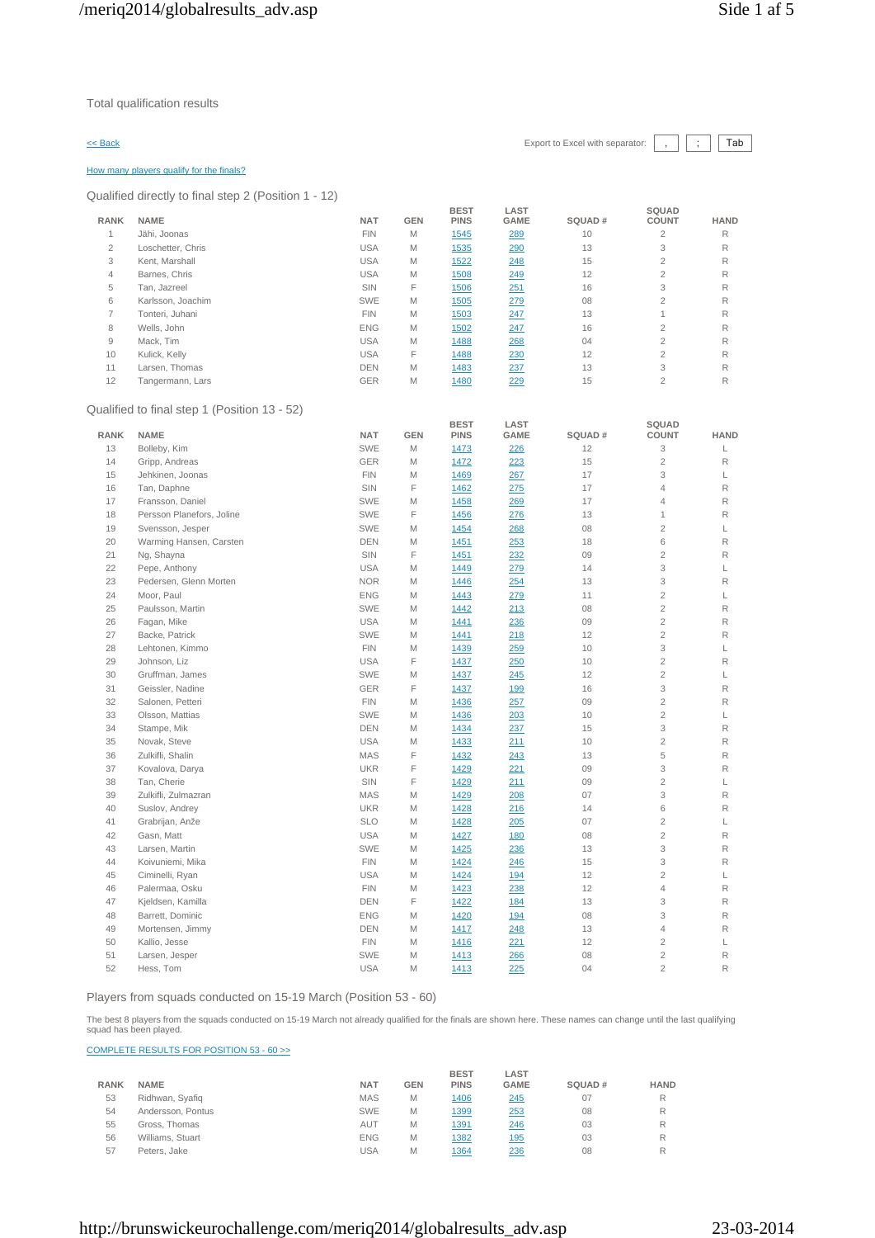### $\leq$  Back Export to Excel with separator:  $\begin{array}{|c|c|c|c|c|c|c|c|c|}\n\hline\n\end{array}$  Tab

### How many players qualify for the finals?

Qualified directly to final step 2 (Position 1 - 12)

|                |                                              |            |            | <b>BEST</b>                | LAST                |        | <b>SQUAD</b>          |             |
|----------------|----------------------------------------------|------------|------------|----------------------------|---------------------|--------|-----------------------|-------------|
| <b>RANK</b>    | <b>NAME</b>                                  | <b>NAT</b> | <b>GEN</b> | <b>PINS</b>                | <b>GAME</b>         | SQUAD# | <b>COUNT</b>          | <b>HAND</b> |
| $\mathbf{1}$   | Jähi, Joonas                                 | <b>FIN</b> | M          | 1545                       | 289                 | 10     | $\overline{2}$        | R           |
| $\overline{2}$ | Loschetter, Chris                            | <b>USA</b> | M          | 1535                       | 290                 | 13     | 3                     | R           |
| 3              | Kent, Marshall                               | <b>USA</b> | M          | 1522                       | 248                 | 15     | $\overline{2}$        | R           |
| $\overline{4}$ | Barnes, Chris                                | <b>USA</b> | M          | 1508                       | 249                 | 12     | $\overline{c}$        | $\mathsf R$ |
| 5              | Tan, Jazreel                                 | SIN        | F          | 1506                       | 251                 | 16     | 3                     | R           |
| 6              | Karlsson, Joachim                            | <b>SWE</b> | M          | 1505                       | 279                 | 08     | $\overline{2}$        | $\mathsf R$ |
| $\overline{7}$ | Tonteri, Juhani                              | <b>FIN</b> | M          | 1503                       | 247                 | 13     | $\mathbf{1}$          | R           |
| 8              | Wells, John                                  | <b>ENG</b> | M          | 1502                       | 247                 | 16     | $\overline{c}$        | R           |
| $\overline{9}$ | Mack, Tim                                    | <b>USA</b> | M          | 1488                       | 268                 | 04     | $\overline{c}$        | R           |
| 10             | Kulick, Kelly                                | <b>USA</b> | F          | 1488                       | 230                 | 12     | $\overline{2}$        | R           |
| 11             | Larsen, Thomas                               | <b>DEN</b> | M          | 1483                       | 237                 | 13     | 3                     | R           |
| 12             | Tangermann, Lars                             | GER        | M          | 1480                       | 229                 | 15     | $\overline{2}$        | R           |
|                | Qualified to final step 1 (Position 13 - 52) |            |            |                            |                     |        |                       |             |
| <b>RANK</b>    | <b>NAME</b>                                  | <b>NAT</b> | <b>GEN</b> | <b>BEST</b><br><b>PINS</b> | LAST<br><b>GAME</b> | SQUAD# | SQUAD<br><b>COUNT</b> | <b>HAND</b> |
| 13             | Bolleby, Kim                                 | <b>SWE</b> | M          | 1473                       | 226                 | 12     | 3                     | L           |
| 14             | Gripp, Andreas                               | GER        | М          | 1472                       | 223                 | 15     | $\overline{c}$        | $\mathsf R$ |
| 15             | Jehkinen, Joonas                             | <b>FIN</b> | M          | 1469                       | 267                 | 17     | 3                     | L           |
| 16             | Tan, Daphne                                  | SIN        | F          | 1462                       | 275                 | 17     | 4                     | R           |
| 17             | Fransson, Daniel                             | <b>SWE</b> | M          | 1458                       | 269                 | 17     | $\overline{4}$        | R           |
| 18             | Persson Planefors, Joline                    | SWE        | F          | 1456                       | 276                 | 13     | 1                     | R           |
| 19             | Svensson, Jesper                             | <b>SWE</b> | M          | 1454                       | 268                 | 08     | $\overline{2}$        | L           |
| 20             | Warming Hansen, Carsten                      | DEN        | M          | 1451                       | 253                 | 18     | 6                     | R           |
| 21             |                                              | SIN        | F          | 1451                       |                     | 09     | $\overline{2}$        | R           |
|                | Ng, Shayna                                   | <b>USA</b> | M          | 1449                       | 232                 | 14     | 3                     | L           |
| 22             | Pepe, Anthony                                |            |            |                            | 279                 |        |                       |             |
| 23             | Pedersen, Glenn Morten                       | <b>NOR</b> | M          | 1446                       | 254                 | 13     | 3                     | R           |
| 24             | Moor, Paul                                   | <b>ENG</b> | M          | 1443                       | 279                 | 11     | $\overline{c}$        | L           |
| 25             | Paulsson, Martin                             | <b>SWE</b> | M          | 1442                       | 213                 | 08     | $\overline{c}$        | R           |
| 26             | Fagan, Mike                                  | <b>USA</b> | M          | 1441                       | 236                 | 09     | $\overline{c}$        | R           |
| 27             | Backe, Patrick                               | <b>SWE</b> | M          | 1441                       | 218                 | 12     | $\overline{c}$        | R           |
| 28             | Lehtonen, Kimmo                              | <b>FIN</b> | M          | 1439                       | 259                 | 10     | 3                     | L           |
| 29             | Johnson, Liz                                 | <b>USA</b> | F          | 1437                       | 250                 | 10     | $\overline{c}$        | $\mathsf R$ |
| 30             | Gruffman, James                              | <b>SWE</b> | M          | 1437                       | 245                 | 12     | $\overline{c}$        | L           |
| 31             | Geissler, Nadine                             | GER        | F          | 1437                       | 199                 | 16     | 3                     | $\mathsf R$ |
| 32             | Salonen, Petteri                             | <b>FIN</b> | M          | 1436                       | 257                 | 09     | $\overline{2}$        | R           |
| 33             | Olsson, Mattias                              | <b>SWE</b> | M          | 1436                       | 203                 | 10     | $\overline{2}$        | L           |
| 34             | Stampe, Mik                                  | <b>DEN</b> | M          | 1434                       | 237                 | 15     | 3                     | R           |
| 35             | Novak, Steve                                 | <b>USA</b> | M          | 1433                       | 211                 | 10     | $\overline{c}$        | R           |
| 36             | Zulkifli, Shalin                             | MAS        | F          | 1432                       | 243                 | 13     | 5                     | R           |
| 37             | Kovalova, Darya                              | <b>UKR</b> | F          | 1429                       | 221                 | 09     | 3                     | R           |
| 38             | Tan, Cherie                                  | SIN        | F          | 1429                       | 211                 | 09     | $\overline{2}$        | L           |
| 39             | Zulkifli, Zulmazran                          | MAS        | M          | 1429                       | 208                 | 07     | 3                     | R           |
| 40             | Suslov, Andrey                               | <b>UKR</b> | M          | 1428                       | 216                 | 14     | 6                     | $\mathsf R$ |
| 41             | Grabrijan, Anže                              | <b>SLO</b> | M          | 1428                       | 205                 | 07     | $\overline{c}$        | L           |
| 42             | Gasn, Matt                                   | <b>USA</b> | М          | 1427                       | <u>180</u>          | 08     | $\overline{c}$        | R           |
| 43             | Larsen, Martin                               | <b>SWE</b> | M          | 1425                       | 236                 | 13     | 3                     | R           |
| 44             | Koivuniemi, Mika                             | <b>FIN</b> | M          | 1424                       | 246                 | 15     | 3                     | R           |
|                |                                              |            |            |                            |                     |        |                       |             |
| 45             | Ciminelli, Ryan                              | <b>USA</b> | M          | 1424                       | <u>194</u>          | 12     | $\overline{c}$        | L           |
| 46             | Palermaa, Osku                               | <b>FIN</b> | M          | 1423                       | 238                 | 12     | $\overline{4}$        | R           |
| 47             | Kjeldsen, Kamilla                            | <b>DEN</b> | F          | 1422                       | 184                 | 13     | 3                     | $\mathsf R$ |
| 48             | Barrett, Dominic                             | <b>ENG</b> | M          | 1420                       | <u>194</u>          | 08     | 3                     | R           |
| 49             | Mortensen, Jimmy                             | <b>DEN</b> | M          | 1417                       | 248                 | 13     | $\overline{4}$        | R           |
| 50             | Kallio, Jesse                                | <b>FIN</b> | M          | 1416                       | 221                 | 12     | $\overline{c}$        | L           |
| 51             | Larsen, Jesper                               | SWE        | M          | 1413                       | 266                 | 08     | $\mathbf{2}$          | R           |
| 52             | Hess, Tom                                    | <b>USA</b> | M          | 1413                       | 225                 | 04     | $\overline{2}$        | R           |

Players from squads conducted on 15-19 March (Position 53 - 60)

The best 8 players from the squads conducted on 15-19 March not already qualified for the finals are shown here. These names can change until the last qualifying squad has been played.

COMPLETE RESULTS FOR POSITION 53 - 60 >>

|             |                   |            |            | <b>BEST</b> | LAST        |        |             |
|-------------|-------------------|------------|------------|-------------|-------------|--------|-------------|
| <b>RANK</b> | <b>NAME</b>       | <b>NAT</b> | <b>GEN</b> | <b>PINS</b> | <b>GAME</b> | SQUAD# | <b>HAND</b> |
| 53          | Ridhwan, Syafiq   | <b>MAS</b> | M          | 1406        | 245         | 07     | R           |
| 54          | Andersson, Pontus | <b>SWE</b> | M          | <u>1399</u> | 253         | 08     | R           |
| 55          | Gross, Thomas     | AUT        | M          | 1391        | 246         | 03     | R           |
| 56          | Williams, Stuart  | <b>ENG</b> | M          | 1382        | <b>195</b>  | 03     | R           |
| 57          | Peters, Jake      | USA        | Μ          | 1364        | 236         | 08     |             |

**SQUAD**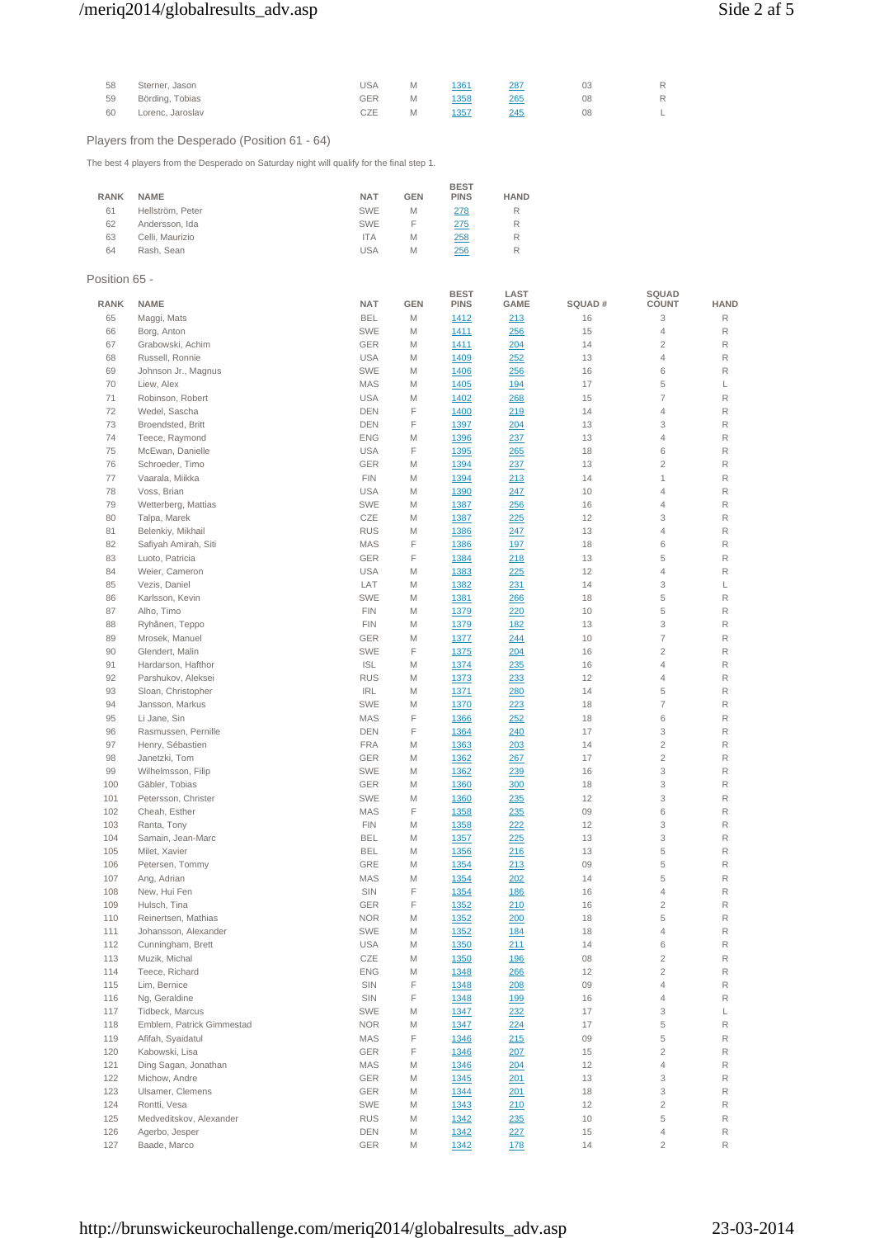# /meriq2014/globalresults\_adv.asp Side 2 af 5

| 58 | Sterner, Jason   | JSA | 1361 | 287 | 03 | R |
|----|------------------|-----|------|-----|----|---|
| 59 | Börding, Tobias  | GER | 1358 | 265 | 08 | R |
| 60 | Lorenc, Jaroslav | CZE | 1357 | 245 | 08 |   |

## Players from the Desperado (Position 61 - 64)

The best 4 players from the Desperado on Saturday night will qualify for the final step 1.

| <b>NAME</b>      | <b>NAT</b> | <b>GEN</b> | <b>PINS</b> | <b>HAND</b> |
|------------------|------------|------------|-------------|-------------|
| Hellström, Peter | <b>SWE</b> | M          | 278         | R           |
| Andersson, Ida   | <b>SWE</b> | F          | 275         | R           |
| Celli, Maurizio  | <b>ITA</b> | M          | 258         | R           |
| Rash, Sean       | <b>USA</b> | M          | 256         | R           |
|                  |            |            |             | <b>BEST</b> |

## Position 65 -

| <b>RANK</b> | <b>NAME</b>               | <b>NAT</b> | <b>GEN</b> | <b>BEST</b><br><b>PINS</b> | LAST<br>GAME | SQUAD# | SQUAD<br><b>COUNT</b>    | <b>HAND</b> |
|-------------|---------------------------|------------|------------|----------------------------|--------------|--------|--------------------------|-------------|
| 65          | Maggi, Mats               | <b>BEL</b> | M          | 1412                       | 213          | 16     | 3                        | R           |
| 66          | Borg, Anton               | <b>SWE</b> | M          | 1411                       | 256          | 15     | 4                        | R           |
| 67          | Grabowski, Achim          | GER        | M          | <u>1411</u>                | 204          | 14     | $\overline{2}$           | R           |
| 68          | Russell, Ronnie           | <b>USA</b> | M          | 1409                       | 252          | 13     | 4                        | R           |
| 69          | Johnson Jr., Magnus       | <b>SWE</b> | М          | 1406                       | 256          | 16     | 6                        | R           |
| 70          | Liew, Alex                | MAS        | M          | 1405                       | <u>194</u>   | 17     | 5                        | L           |
| 71          | Robinson, Robert          | <b>USA</b> | M          | 1402                       | 268          | 15     | 7                        | R           |
| 72          | Wedel, Sascha             | DEN        | F          |                            |              | 14     | 4                        | R           |
| 73          |                           |            | F          | 1400                       | 219          |        | 3                        | R           |
| 74          | Broendsted, Britt         | DEN        |            | 1397                       | 204          | 13     | 4                        | R           |
|             | Teece, Raymond            | <b>ENG</b> | М          | <u>1396</u>                | 237          | 13     |                          |             |
| 75          | McEwan, Danielle          | <b>USA</b> | F          | 1395                       | 265          | 18     | 6                        | R           |
| 76          | Schroeder, Timo           | GER        | М          | 1394                       | 237          | 13     | $\overline{\mathbf{c}}$  | R           |
| 77          | Vaarala, Miikka           | <b>FIN</b> | М          | 1394                       | 213          | 14     | 1                        | R           |
| 78          | Voss, Brian               | <b>USA</b> | М          | 1390                       | 247          | 10     | 4                        | R           |
| 79          | Wetterberg, Mattias       | SWE        | М          | 1387                       | 256          | 16     | 4                        | R           |
| 80          | Talpa, Marek              | CZE        | M          | 1387                       | 225          | 12     | 3                        | R           |
| 81          | Belenkiy, Mikhail         | <b>RUS</b> | М          | 1386                       | 247          | 13     | 4                        | R           |
| 82          | Safiyah Amirah, Siti      | MAS        | F          | 1386                       | 197          | 18     | 6                        | R           |
| 83          | Luoto, Patricia           | <b>GER</b> | F          | 1384                       | 218          | 13     | 5                        | R           |
| 84          | Weier, Cameron            | <b>USA</b> | M          | 1383                       | 225          | 12     | $\overline{4}$           | R           |
| 85          | Vezis, Daniel             | LAT        | M          | 1382                       | 231          | 14     | 3                        | L           |
| 86          | Karlsson, Kevin           | <b>SWE</b> | M          | 1381                       | 266          | 18     | 5                        | R           |
| 87          | Alho, Timo                | <b>FIN</b> | M          | 1379                       | 220          | 10     | 5                        | R           |
| 88          | Ryhänen, Teppo            | <b>FIN</b> | M          | 1379                       | <u>182</u>   | 13     | 3                        | R           |
| 89          | Mrosek, Manuel            | <b>GER</b> | M          | 1377                       | 244          | 10     | 7                        | R           |
| 90          | Glendert, Malin           | SWE        | F          | 1375                       | 204          | 16     | $\overline{2}$           | R           |
| 91          | Hardarson, Hafthor        | <b>ISL</b> | M          | 1374                       | 235          | 16     | 4                        | R           |
| 92          | Parshukov, Aleksei        | <b>RUS</b> | M          | 1373                       | 233          | 12     | 4                        | R           |
| 93          | Sloan, Christopher        | <b>IRL</b> | M          | 1371                       | 280          | 14     | 5                        | R           |
| 94          | Jansson, Markus           | SWE        | М          | 1370                       | 223          | 18     | $\overline{\mathcal{I}}$ | R           |
| 95          | Li Jane, Sin              | MAS        | F          | 1366                       | 252          | 18     | 6                        | R           |
| 96          | Rasmussen, Pernille       | <b>DEN</b> | F          | 1364                       | 240          | 17     | 3                        | R           |
| 97          | Henry, Sébastien          | <b>FRA</b> | М          | 1363                       | 203          | 14     | $\mathbf{2}$             | R           |
| 98          | Janetzki, Tom             | <b>GER</b> | М          | 1362                       | 267          | 17     | $\mathbf{2}$             | R           |
| 99          | Wilhelmsson, Filip        | SWE        | M          | 1362                       | 239          | 16     | 3                        | R           |
| 100         | Gäbler, Tobias            | GER        | M          | 1360                       | 300          | 18     | 3                        | R           |
| 101         | Petersson, Christer       | <b>SWE</b> | M          | 1360                       | 235          | 12     | 3                        | R           |
| 102         | Cheah, Esther             | MAS        | F          | 1358                       | 235          | 09     | 6                        | R           |
| 103         | Ranta, Tony               | <b>FIN</b> | М          | 1358                       | 222          | 12     | 3                        | R           |
| 104         | Samain, Jean-Marc         | <b>BEL</b> | M          | 1357                       | 225          | 13     | 3                        | R           |
| 105         | Milet, Xavier             | <b>BEL</b> | M          | 1356                       | <u> 216</u>  | 13     | 5                        | R           |
| 106         | Petersen, Tommy           | GRE        | M          | 1354                       |              | 09     | 5                        | R           |
| 107         | Ang, Adrian               | <b>MAS</b> | M          |                            | <u> 213</u>  | 14     | 5                        | R           |
|             |                           |            |            | 1354                       | 202          |        |                          |             |
| 108         | New, Hui Fen              | SIN        | F          | 1354                       | <u>186</u>   | 16     | 4                        | R           |
| 109         | Hulsch, Tina              | GER        | F          | 1352                       | 210          | 16     | $\overline{c}$           | R           |
| 110         | Reinertsen, Mathias       | <b>NOR</b> | М          | 1352                       | 200          | 18     | 5                        | R           |
| 111         | Johansson, Alexander      | <b>SWE</b> | M          | 1352                       | <u>184</u>   | 18     | 4                        | R           |
| 112         | Cunningham, Brett         | <b>USA</b> | M          | 1350                       | 211          | 14     | 6                        | R           |
| 113         | Muzik, Michal             | CZE        | M          | 1350                       | <u>196</u>   | 08     | $\overline{2}$           | R           |
| 114         | Teece, Richard            | ENG        | M          | 1348                       | 266          | 12     | $\overline{2}$           | R           |
| 115         | Lim, Bernice              | SIN        | F          | 1348                       | 208          | 09     | 4                        | R           |
| 116         | Ng, Geraldine             | SIN        | F          | 1348                       | <u>199</u>   | 16     | $\overline{4}$           | R           |
| 117         | Tidbeck, Marcus           | SWE        | M          | 1347                       | 232          | 17     | 3                        | L           |
| 118         | Emblem, Patrick Gimmestad | <b>NOR</b> | M          | 1347                       | 224          | 17     | 5                        | R           |
| 119         | Afifah, Syaidatul         | MAS        | F          | 1346                       | 215          | 09     | 5                        | R           |
| 120         | Kabowski, Lisa            | GER        | F          | 1346                       | 207          | 15     | $\overline{2}$           | R           |
| 121         | Ding Sagan, Jonathan      | MAS        | Μ          | 1346                       | 204          | 12     | $\overline{4}$           | R           |
| 122         | Michow, Andre             | GER        | М          | <u>1345</u>                | 201          | 13     | 3                        | R           |
| 123         | Ulsamer, Clemens          | GER        | М          | 1344                       | 201          | 18     | 3                        | R           |
| 124         | Rontti, Vesa              | SWE        | М          | 1343                       | 210          | 12     | $\overline{2}$           | R           |
| 125         | Medveditskov, Alexander   | <b>RUS</b> | М          | 1342                       | <u>235</u>   | 10     | 5                        | R           |
| 126         | Agerbo, Jesper            | DEN        | M          | 1342                       | <u> 227</u>  | 15     | 4                        | R           |
| 127         | Baade, Marco              | GER        | Μ          | 1342                       | <u>178</u>   | 14     | $\overline{2}$           | R           |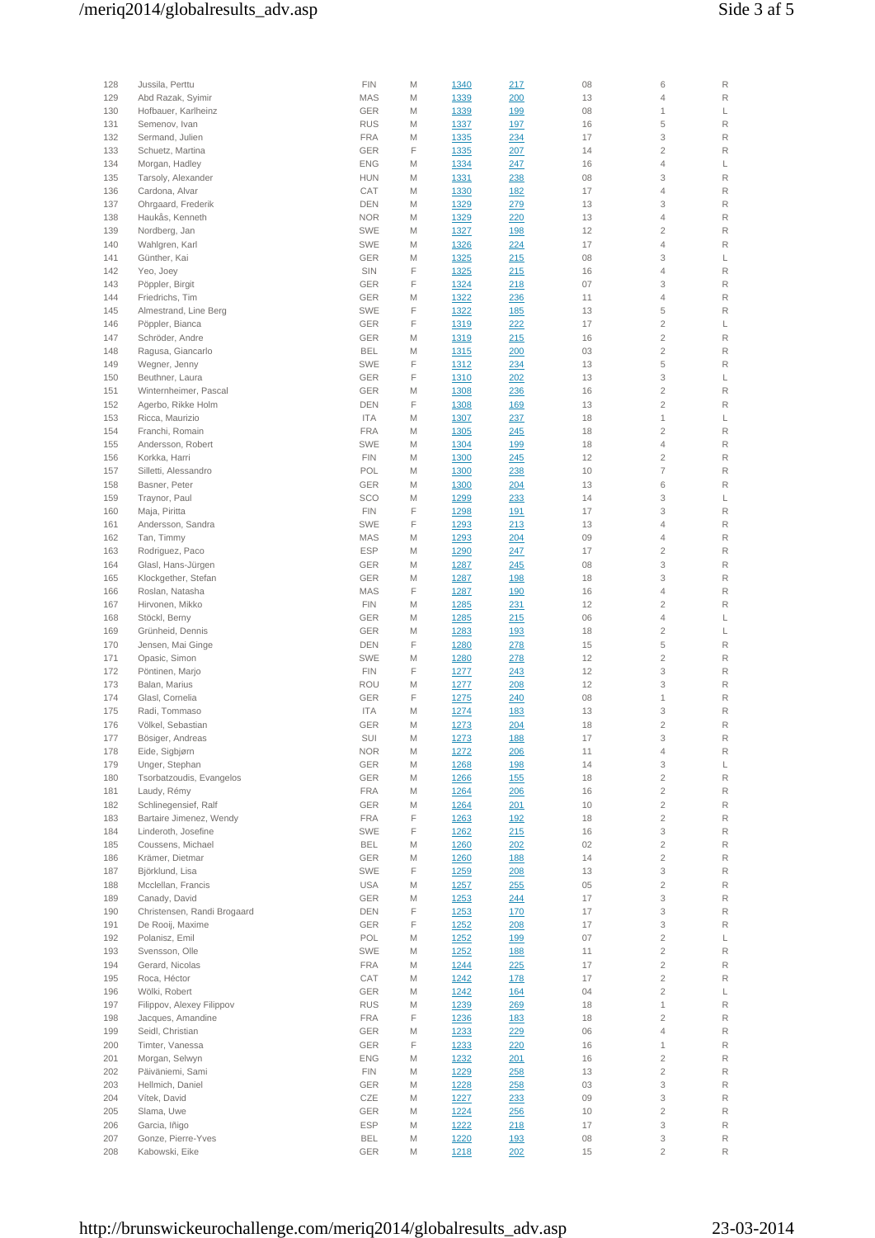| 128 | Jussila, Perttu             | <b>FIN</b> | M | 1340 | 217        | 08 | 6                         | R |
|-----|-----------------------------|------------|---|------|------------|----|---------------------------|---|
| 129 | Abd Razak, Syimir           | <b>MAS</b> | M | 1339 | 200        | 13 | $\overline{4}$            | R |
| 130 | Hofbauer, Karlheinz         | GER        | M | 1339 | 199        | 08 | $\mathbf{1}$              | L |
| 131 | Semenov, Ivan               | <b>RUS</b> | M | 1337 | 197        | 16 | 5                         | R |
| 132 | Sermand, Julien             | <b>FRA</b> | M | 1335 | 234        | 17 | 3                         | R |
| 133 | Schuetz, Martina            | GER        | F | 1335 | 207        | 14 | $\overline{2}$            | R |
| 134 | Morgan, Hadley              | <b>ENG</b> | M | 1334 | 247        | 16 | $\overline{4}$            | L |
| 135 | Tarsoly, Alexander          | <b>HUN</b> | M | 1331 | 238        | 08 | 3                         | R |
|     | Cardona, Alvar              | CAT        | M |      |            | 17 | $\overline{4}$            | R |
| 136 |                             |            |   | 1330 | <u>182</u> |    |                           |   |
| 137 | Ohrgaard, Frederik          | <b>DEN</b> | M | 1329 | 279        | 13 | 3                         | R |
| 138 | Haukås, Kenneth             | <b>NOR</b> | M | 1329 | 220        | 13 | $\overline{4}$            | R |
| 139 | Nordberg, Jan               | SWE        | M | 1327 | <u>198</u> | 12 | $\overline{2}$            | R |
| 140 | Wahlgren, Karl              | SWE        | M | 1326 | 224        | 17 | $\overline{4}$            | R |
| 141 | Günther, Kai                | GER        | M | 1325 | 215        | 08 | 3                         | L |
| 142 | Yeo, Joey                   | SIN        | F | 1325 | 215        | 16 | $\overline{4}$            | R |
| 143 | Pöppler, Birgit             | GER        | F | 1324 | 218        | 07 | 3                         | R |
| 144 | Friedrichs, Tim             | GER        | M | 1322 | 236        | 11 | $\overline{4}$            | R |
| 145 | Almestrand, Line Berg       | SWE        | F | 1322 | <u>185</u> | 13 | 5                         | R |
| 146 | Pöppler, Bianca             | GER        | F | 1319 | 222        | 17 | $\overline{2}$            | L |
| 147 | Schröder, Andre             | <b>GER</b> | M | 1319 | 215        | 16 | $\overline{2}$            | R |
| 148 | Ragusa, Giancarlo           | <b>BEL</b> | M | 1315 | 200        | 03 | $\overline{2}$            | R |
| 149 | Wegner, Jenny               | <b>SWE</b> | F | 1312 | 234        | 13 | 5                         | R |
|     |                             | GER        | F |      |            |    | 3                         | L |
| 150 | Beuthner, Laura             |            |   | 1310 | 202        | 13 |                           |   |
| 151 | Winternheimer, Pascal       | GER        | M | 1308 | 236        | 16 | $\overline{2}$            | R |
| 152 | Agerbo, Rikke Holm          | <b>DEN</b> | F | 1308 | <u>169</u> | 13 | $\overline{2}$            | R |
| 153 | Ricca, Maurizio             | <b>ITA</b> | M | 1307 | 237        | 18 | $\mathbf{1}$              | L |
| 154 | Franchi, Romain             | <b>FRA</b> | M | 1305 | 245        | 18 | $\overline{2}$            | R |
| 155 | Andersson, Robert           | <b>SWE</b> | M | 1304 | <u>199</u> | 18 | $\overline{4}$            | R |
| 156 | Korkka, Harri               | <b>FIN</b> | M | 1300 | 245        | 12 | $\overline{2}$            | R |
| 157 | Silletti, Alessandro        | POL        | M | 1300 | 238        | 10 | $\overline{7}$            | R |
| 158 | Basner, Peter               | GER        | M | 1300 | 204        | 13 | 6                         | R |
| 159 | Traynor, Paul               | SCO        | M | 1299 | 233        | 14 | 3                         | L |
| 160 | Maja, Piritta               | <b>FIN</b> | F | 1298 | <u>191</u> | 17 | 3                         | R |
| 161 | Andersson, Sandra           | SWE        | F | 1293 | 213        | 13 | $\overline{4}$            | R |
| 162 | Tan, Timmy                  | MAS        | M | 1293 | 204        | 09 | $\overline{4}$            | R |
| 163 | Rodriguez, Paco             | <b>ESP</b> | M | 1290 | 247        | 17 | $\overline{2}$            | R |
|     |                             |            |   |      |            |    |                           |   |
| 164 | Glasl, Hans-Jürgen          | GER        | M | 1287 | 245        | 08 | 3                         | R |
| 165 | Klockgether, Stefan         | GER        | M | 1287 | <u>198</u> | 18 | 3                         | R |
| 166 | Roslan, Natasha             | <b>MAS</b> | F | 1287 | <u>190</u> | 16 | $\overline{4}$            | R |
| 167 | Hirvonen, Mikko             | <b>FIN</b> | M | 1285 | 231        | 12 | $\overline{2}$            | R |
| 168 | Stöckl, Berny               | GER        | M | 1285 | 215        | 06 | $\overline{4}$            | L |
| 169 | Grünheid, Dennis            | GER        | M | 1283 | <u>193</u> | 18 | $\overline{2}$            | L |
| 170 | Jensen, Mai Ginge           | <b>DEN</b> | F | 1280 | 278        | 15 | 5                         | R |
| 171 | Opasic, Simon               | <b>SWE</b> | M | 1280 | 278        | 12 | $\overline{2}$            | R |
| 172 | Pöntinen, Marjo             | <b>FIN</b> | F | 1277 | 243        | 12 | 3                         | R |
| 173 | Balan, Marius               | <b>ROU</b> | M | 1277 | 208        | 12 | 3                         | R |
| 174 | Glasl, Cornelia             | GER        | F | 1275 | 240        | 08 | 1                         | R |
| 175 | Radi, Tommaso               | <b>ITA</b> | M | 1274 | <u>183</u> | 13 | 3                         | R |
| 176 | Völkel, Sebastian           | GER        | M | 1273 | 204        | 18 | $\overline{2}$            | R |
| 177 | Bösiger, Andreas            | SUI        | M | 1273 | <u>188</u> | 17 | 3                         | R |
| 178 | Eide, Sigbjørn              | <b>NOR</b> | M | 1272 | 206        | 11 | $\sqrt{4}$                | R |
| 179 | Unger, Stephan              | GER        | M | 1268 | <u>198</u> | 14 | 3                         | L |
| 180 | Tsorbatzoudis, Evangelos    | GER        | M | 1266 | 155        | 18 | $\sqrt{2}$                | R |
| 181 | Laudy, Rémy                 | <b>FRA</b> | M | 1264 | 206        | 16 | $\sqrt{2}$                | R |
| 182 | Schlinegensief, Ralf        | GER        | M | 1264 | 201        | 10 | $\sqrt{2}$                | R |
|     | Bartaire Jimenez, Wendy     |            |   |      |            |    |                           |   |
| 183 |                             | <b>FRA</b> | F | 1263 | <u>192</u> | 18 | $\sqrt{2}$                | R |
| 184 | Linderoth, Josefine         | SWE        | F | 1262 | 215        | 16 | $\ensuremath{\mathsf{3}}$ | R |
| 185 | Coussens, Michael           | <b>BEL</b> | M | 1260 | 202        | 02 | $\sqrt{2}$                | R |
| 186 | Krämer, Dietmar             | GER        | M | 1260 | <u>188</u> | 14 | $\sqrt{2}$                | R |
| 187 | Björklund, Lisa             | SWE        | F | 1259 | 208        | 13 | $\ensuremath{\mathsf{3}}$ | R |
| 188 | Mcclellan, Francis          | USA        | M | 1257 | 255        | 05 | $\sqrt{2}$                | R |
| 189 | Canady, David               | GER        | M | 1253 | 244        | 17 | $\ensuremath{\mathsf{3}}$ | R |
| 190 | Christensen, Randi Brogaard | DEN        | F | 1253 | 170        | 17 | $\ensuremath{\mathsf{3}}$ | R |
| 191 | De Rooij, Maxime            | GER        | F | 1252 | 208        | 17 | $\ensuremath{\mathsf{3}}$ | R |
| 192 | Polanisz, Emil              | POL        | M | 1252 | <u>199</u> | 07 | $\sqrt{2}$                | L |
| 193 | Svensson, Olle              | SWE        | M | 1252 | <u>188</u> | 11 | $\sqrt{2}$                | R |
| 194 | Gerard, Nicolas             | <b>FRA</b> | M | 1244 | <u>225</u> | 17 | $\sqrt{2}$                | R |
| 195 | Roca, Héctor                | CAT        | M | 1242 | <u>178</u> | 17 | $\sqrt{2}$                | R |
| 196 | Wölki, Robert               | GER        | M | 1242 | <u>164</u> | 04 | $\sqrt{2}$                | L |
| 197 | Filippov, Alexey Filippov   | <b>RUS</b> | M | 1239 | 269        | 18 | $\mathbf{1}$              | R |
| 198 | Jacques, Amandine           | <b>FRA</b> | F | 1236 | <u>183</u> | 18 | $\overline{2}$            | R |
| 199 | Seidl, Christian            | GER        |   | 1233 |            | 06 | $\overline{4}$            | R |
|     |                             |            | М |      | 229        |    |                           |   |
| 200 | Timter, Vanessa             | GER        | F | 1233 | 220        | 16 | $\mathbf{1}$              | R |
| 201 | Morgan, Selwyn              | <b>ENG</b> | M | 1232 | 201        | 16 | $\sqrt{2}$                | R |
| 202 | Päiväniemi, Sami            | <b>FIN</b> | M | 1229 | 258        | 13 | $\sqrt{2}$                | R |
| 203 | Hellmich, Daniel            | GER        | M | 1228 | 258        | 03 | 3                         | R |
| 204 | Vítek, David                | CZE        | M | 1227 | 233        | 09 | 3                         | R |
| 205 | Slama, Uwe                  | GER        | M | 1224 | 256        | 10 | $\overline{2}$            | R |
| 206 | Garcia, Iñigo               | <b>ESP</b> | M | 1222 | 218        | 17 | 3                         | R |
| 207 | Gonze, Pierre-Yves          | <b>BEL</b> | M | 1220 | <u>193</u> | 08 | 3                         | R |
| 208 | Kabowski, Eike              | GER        | М | 1218 | 202        | 15 | $\overline{c}$            | R |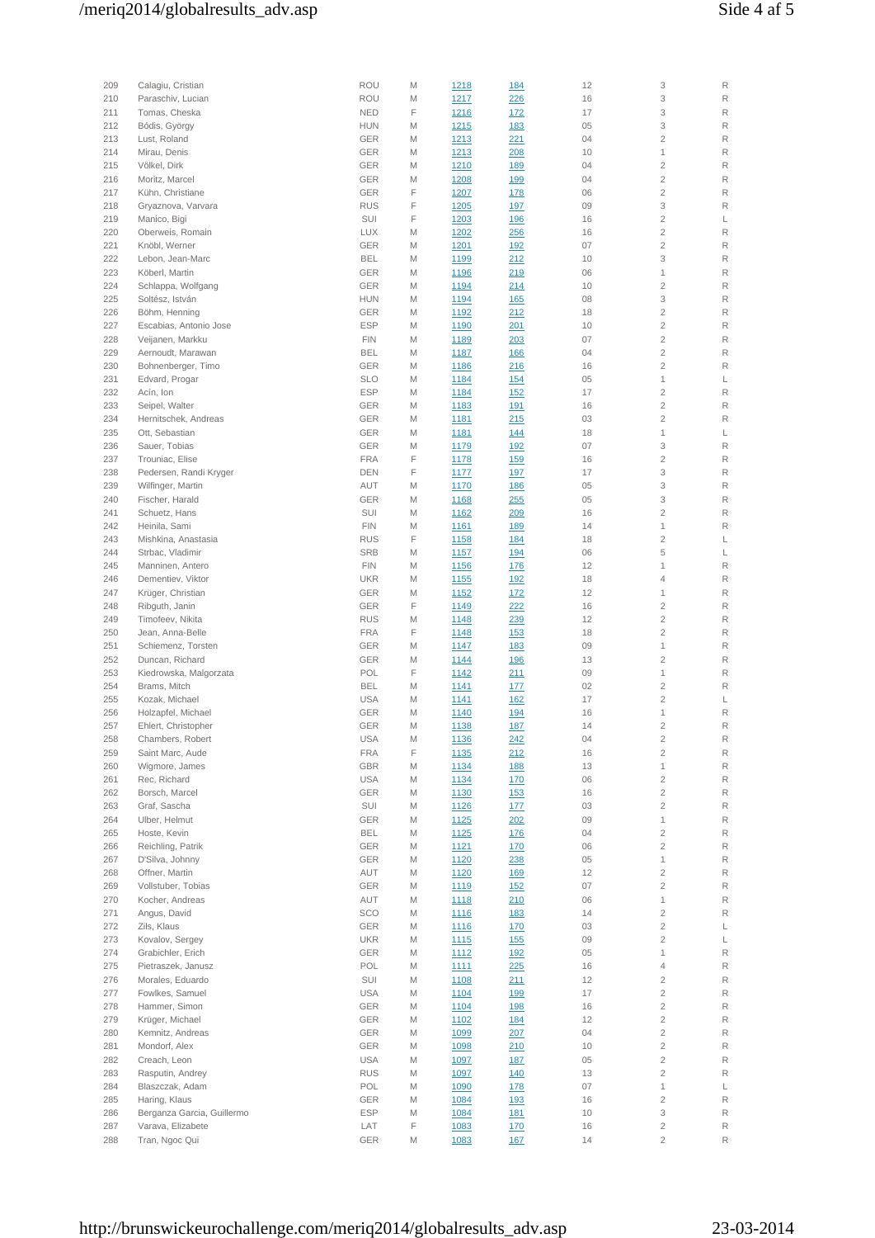| 209 | Calagiu, Cristian          | <b>ROU</b> | M | 1218         | <u>184</u>  | 12 | 3              | R           |
|-----|----------------------------|------------|---|--------------|-------------|----|----------------|-------------|
| 210 | Paraschiv, Lucian          | <b>ROU</b> | M | 1217         | 226         | 16 | 3              | R           |
| 211 | Tomas, Cheska              | <b>NED</b> | F | 1216         | <u>172</u>  | 17 | 3              | R           |
| 212 | Bódis, György              | <b>HUN</b> | M | 1215         | 183         | 05 | 3              | R           |
| 213 | Lust, Roland               | GER        | M | 1213         |             | 04 | $\overline{2}$ | R           |
| 214 |                            | GER        | M |              | <u>221</u>  | 10 | $\mathbf{1}$   | R           |
|     | Mirau, Denis               |            |   | 1213         | 208         |    |                |             |
| 215 | Völkel, Dirk               | GER        | M | <u>1210</u>  | <u>189</u>  | 04 | $\overline{2}$ | R           |
| 216 | Moritz, Marcel             | GER        | M | 1208         | <u>199</u>  | 04 | $\overline{2}$ | $\mathsf R$ |
| 217 | Kühn, Christiane           | GER        | F | 1207         | <u>178</u>  | 06 | $\overline{2}$ | R           |
| 218 | Gryaznova, Varvara         | <b>RUS</b> | F | 1205         | <u> 197</u> | 09 | 3              | R           |
| 219 | Manico, Bigi               | SUI        | F | 1203         | <u>196</u>  | 16 | $\overline{2}$ | L           |
| 220 | Oberweis, Romain           | <b>LUX</b> | M | 1202         | 256         | 16 | $\overline{2}$ | $\mathsf R$ |
| 221 | Knöbl, Werner              | GER        | M | 1201         | 192         | 07 | $\overline{2}$ | R           |
| 222 | Lebon, Jean-Marc           | <b>BEL</b> | M | 1199         | 212         | 10 | 3              | $\mathsf R$ |
| 223 | Köberl, Martin             | GER        | M | <u>1196</u>  | 219         | 06 | 1              | R           |
| 224 | Schlappa, Wolfgang         | GER        | M | 1194         | 214         | 10 | $\overline{2}$ | R           |
| 225 | Soltész, István            | <b>HUN</b> | M |              |             | 08 | 3              | R           |
|     |                            |            |   | 1194         | <u>165</u>  |    |                |             |
| 226 | Böhm, Henning              | GER        | M | 1192         | 212         | 18 | $\overline{2}$ | R           |
| 227 | Escabias, Antonio Jose     | <b>ESP</b> | M | 1190         | 201         | 10 | $\overline{c}$ | R           |
| 228 | Veijanen, Markku           | <b>FIN</b> | M | 1189         | 203         | 07 | $\overline{c}$ | R           |
| 229 | Aernoudt, Marawan          | <b>BEL</b> | M | 1187         | <u>166</u>  | 04 | $\overline{2}$ | R           |
| 230 | Bohnenberger, Timo         | <b>GER</b> | M | 1186         | 216         | 16 | $\overline{2}$ | R           |
| 231 | Edvard, Progar             | <b>SLO</b> | M | 1184         | 154         | 05 | 1              | L           |
| 232 | Acín, Ion                  | <b>ESP</b> | M | 1184         | <u>152</u>  | 17 | $\overline{2}$ | R           |
| 233 | Seipel, Walter             | GER        | M | 1183         | <u>191</u>  | 16 | $\overline{2}$ | R           |
| 234 | Hernitschek, Andreas       | GER        | M | 1181         | 215         | 03 | $\overline{2}$ | R           |
| 235 | Ott, Sebastian             | GER        | M | 1181         | 144         | 18 | 1              | L           |
| 236 | Sauer, Tobias              | GER        | M | 1179         | <u>192</u>  | 07 | 3              | R           |
| 237 | Trouniac, Elise            | <b>FRA</b> | F | <u>1178</u>  | <u>159</u>  | 16 | $\overline{2}$ | R           |
| 238 | Pedersen, Randi Kryger     | <b>DEN</b> | F | 1177         | <u>197</u>  | 17 | 3              | R           |
|     |                            |            |   |              |             |    |                |             |
| 239 | Wilfinger, Martin          | AUT        | M | 1170         | <u>186</u>  | 05 | 3              | R           |
| 240 | Fischer, Harald            | <b>GER</b> | M | 1168         | 255         | 05 | 3              | R           |
| 241 | Schuetz, Hans              | SUI        | M | 1162         | 209         | 16 | $\overline{c}$ | R           |
| 242 | Heinila, Sami              | <b>FIN</b> | M | 1161         | <u>189</u>  | 14 | 1              | R           |
| 243 | Mishkina, Anastasia        | <b>RUS</b> | F | 1158         | <u>184</u>  | 18 | $\overline{c}$ | L           |
| 244 | Strbac, Vladimir           | <b>SRB</b> | M | 1157         | <u>194</u>  | 06 | 5              | L           |
| 245 | Manninen, Antero           | <b>FIN</b> | M | 1156         | <u>176</u>  | 12 | 1              | R           |
| 246 | Dementiev, Viktor          | <b>UKR</b> | M | 1155         | <u>192</u>  | 18 | 4              | R           |
| 247 | Krüger, Christian          | GER        | M | 1152         | <u>172</u>  | 12 | 1              | R           |
| 248 | Ribguth, Janin             | GER        | F | 1149         | 222         | 16 | $\overline{2}$ | R           |
| 249 | Timofeev, Nikita           | <b>RUS</b> | M | 1148         | 239         | 12 | $\overline{2}$ | R           |
| 250 | Jean, Anna-Belle           | <b>FRA</b> | F | 1148         | <u>153</u>  | 18 | $\overline{2}$ | R           |
| 251 | Schiemenz, Torsten         | GER        | M |              |             | 09 | 1              | R           |
|     |                            |            |   | 1147         | <u>183</u>  |    | $\overline{2}$ |             |
| 252 | Duncan, Richard            | GER        | M | 1144         | <u>196</u>  | 13 |                | R           |
| 253 | Kiedrowska, Malgorzata     | POL        | F | 1142         | <u> 211</u> | 09 | 1              | R           |
| 254 | Brams, Mitch               | <b>BEL</b> | M | <u>1141</u>  | <u>177</u>  | 02 | $\overline{2}$ | R           |
| 255 | Kozak, Michael             | <b>USA</b> | M | <u>1141</u>  | <u>162</u>  | 17 | $\overline{2}$ | L           |
| 256 | Holzapfel, Michael         | GER        | M | <u>1140</u>  | <u>194</u>  | 16 | 1              | R           |
| 257 | Ehlert, Christopher        | GER        | M | <u>1138</u>  | 187         | 14 | $\overline{2}$ | $\mathsf R$ |
| 258 | Chambers, Robert           | USA        | M | <u> 1136</u> | <u> 242</u> | 04 | 2              | R           |
| 259 | Saint Marc, Aude           | <b>FRA</b> | F | 1135         | 212         | 16 | $\mathbf{2}$   | R           |
| 260 | Wigmore, James             | GBR        | M | 1134         | 188         | 13 | $\mathbf{1}$   | R           |
| 261 | Rec, Richard               | USA        | M | 1134         | <u>170</u>  | 06 | $\mathbf{2}$   | $\mathsf R$ |
| 262 | Borsch, Marcel             | GER        | M | <u>1130</u>  | <u>153</u>  | 16 | $\mathbf{2}$   | R           |
| 263 | Graf, Sascha               | SUI        | M | <u>1126</u>  | <u>177</u>  | 03 | $\overline{c}$ | R           |
| 264 | Ulber, Helmut              | GER        | M | <u>1125</u>  | 202         | 09 | $\mathbf{1}$   | R           |
| 265 | Hoste, Kevin               | <b>BEL</b> | M | 1125         | <u>176</u>  | 04 | $\overline{c}$ | R           |
| 266 | Reichling, Patrik          | GER        | M | 1121         | <u>170</u>  | 06 | $\overline{c}$ | R           |
| 267 | D'Silva, Johnny            | GER        |   |              |             | 05 | $\mathbf{1}$   | R           |
|     |                            |            | M | 1120         | 238         |    |                |             |
| 268 | Offner, Martin             | AUT        | M | 1120         | <u>169</u>  | 12 | $\mathbf{2}$   | R           |
| 269 | Vollstuber, Tobias         | GER        | M | 1119         | 152         | 07 | $\mathbf{2}$   | R           |
| 270 | Kocher, Andreas            | AUT        | M | <u>1118</u>  | 210         | 06 | $\mathbf 1$    | R           |
| 271 | Angus, David               | SCO        | M | <u>1116</u>  | <u>183</u>  | 14 | $\overline{c}$ | R           |
| 272 | Zils, Klaus                | GER        | M | <u>1116</u>  | 170         | 03 | $\mathbf{2}$   | L           |
| 273 | Kovalov, Sergey            | UKR        | M | <u>1115</u>  | <u>155</u>  | 09 | $\overline{2}$ | L           |
| 274 | Grabichler, Erich          | GER        | M | 1112         | <u>192</u>  | 05 | $\mathbf{1}$   | R           |
| 275 | Pietraszek, Janusz         | POL        | M | <u>1111</u>  | 225         | 16 | 4              | R           |
| 276 | Morales, Eduardo           | SUI        | M | <u>1108</u>  | 211         | 12 | $\overline{c}$ | R           |
| 277 | Fowlkes, Samuel            | USA        | M | 1104         | <u>199</u>  | 17 | $\overline{c}$ | R           |
| 278 | Hammer, Simon              | GER        | M | 1104         | <u>198</u>  | 16 | $\mathbf{2}$   | R           |
| 279 | Krüger, Michael            | GER        | M | 1102         | 184         | 12 | $\mathbf{2}$   | R           |
|     | Kemnitz, Andreas           | GER        |   |              |             | 04 | $\mathbf{2}$   | R           |
| 280 |                            |            | M | 1099         | 207         |    |                |             |
| 281 | Mondorf, Alex              | GER        | M | 1098         | 210         | 10 | $\overline{c}$ | R           |
| 282 | Creach, Leon               | <b>USA</b> | M | 1097         | <u>187</u>  | 05 | $\mathbf{2}$   | R           |
| 283 | Rasputin, Andrey           | <b>RUS</b> | M | 1097         | <u>140</u>  | 13 | $\mathbf{2}$   | R           |
| 284 | Blaszczak, Adam            | POL        | M | 1090         | <u>178</u>  | 07 | $\mathbf{1}$   | L           |
| 285 | Haring, Klaus              | GER        | M | 1084         | <u>193</u>  | 16 | $\mathbf{2}$   | R           |
| 286 | Berganza Garcia, Guillermo | <b>ESP</b> | M | 1084         | <u>181</u>  | 10 | 3              | R           |
| 287 | Varava, Elizabete          | LAT        | F | 1083         | 170         | 16 | $\overline{c}$ | R           |
| 288 | Tran, Ngoc Qui             | GER        | M | 1083         | 167         | 14 | $\overline{2}$ | R           |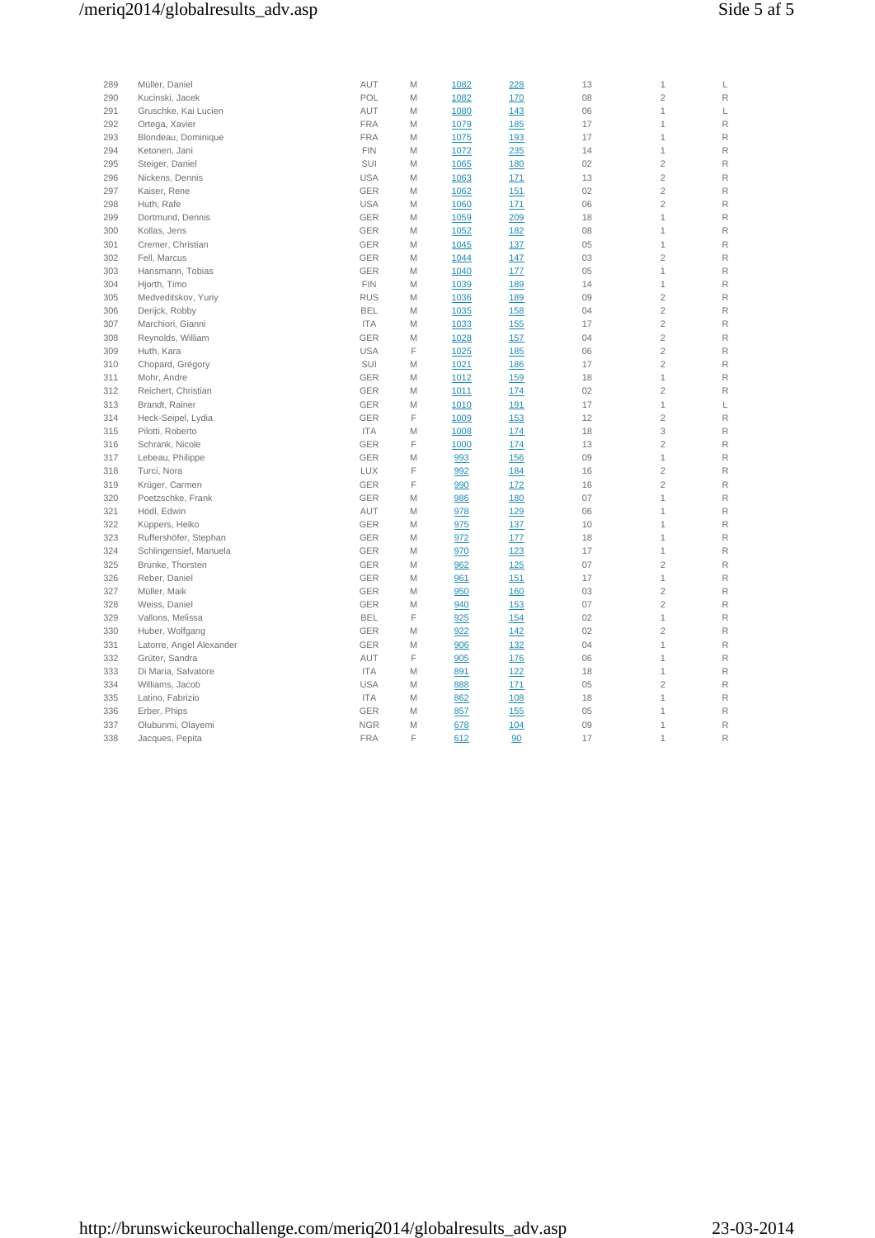# /meriq2014/globalresults\_adv.asp Side 5 af 5

| 289 | Müller, Daniel           | AUT        | M | 1082 | 228        | 13 | 1              | L |
|-----|--------------------------|------------|---|------|------------|----|----------------|---|
| 290 | Kucinski, Jacek          | POL        | M | 1082 | 170        | 08 | $\overline{c}$ | R |
| 291 | Gruschke, Kai Lucien     | AUT        | M | 1080 | 143        | 06 | 1              | L |
| 292 | Ortega, Xavier           | <b>FRA</b> | M | 1079 | <u>185</u> | 17 | 1              | R |
| 293 | Blondeau, Dominique      | <b>FRA</b> | M | 1075 | 193        | 17 | 1              | R |
| 294 | Ketonen, Jani            | <b>FIN</b> | M | 1072 | 235        | 14 | $\mathbf{1}$   | R |
| 295 | Steiger, Daniel          | SUI        | M | 1065 | 180        | 02 | $\overline{c}$ | R |
| 296 | Nickens, Dennis          | <b>USA</b> | M | 1063 | 171        | 13 | $\overline{c}$ | R |
| 297 | Kaiser, Rene             | <b>GER</b> | M | 1062 | 151        | 02 | $\overline{c}$ | R |
| 298 | Huth, Rafe               | <b>USA</b> | M | 1060 | 171        | 06 | $\overline{c}$ | R |
| 299 | Dortmund, Dennis         | <b>GER</b> | M | 1059 | 209        | 18 | $\mathbf{1}$   | R |
| 300 | Kollas, Jens             | <b>GER</b> | M | 1052 | <u>182</u> | 08 | 1              | R |
| 301 | Cremer, Christian        | <b>GER</b> | M | 1045 | 137        | 05 | 1              | R |
| 302 | Fell, Marcus             | GER        | M | 1044 | 147        | 03 | $\overline{c}$ | R |
| 303 | Hansmann, Tobias         | <b>GER</b> | M | 1040 | 177        | 05 | 1              | R |
| 304 | Hjorth, Timo             | <b>FIN</b> | M | 1039 | 189        | 14 | 1              | R |
| 305 | Medveditskov, Yuriy      | <b>RUS</b> | M | 1036 | <u>189</u> | 09 | $\overline{c}$ | R |
| 306 | Derijck, Robby           | <b>BEL</b> | M | 1035 | <u>158</u> | 04 | $\overline{c}$ | R |
| 307 | Marchiori, Gianni        | <b>ITA</b> | M | 1033 | 155        | 17 | $\overline{c}$ | R |
| 308 | Reynolds, William        | <b>GER</b> | M | 1028 | 157        | 04 | $\overline{2}$ | R |
| 309 | Huth, Kara               | <b>USA</b> | F | 1025 | 185        | 06 | $\overline{c}$ | R |
| 310 | Chopard, Grégory         | SUI        | M | 1021 | 186        | 17 | $\overline{c}$ | R |
| 311 | Mohr, Andre              | <b>GER</b> | M | 1012 | 159        | 18 | 1              | R |
| 312 | Reichert, Christian      | <b>GER</b> | M | 1011 | 174        | 02 | $\overline{c}$ | R |
| 313 | Brandt, Rainer           | <b>GER</b> | M | 1010 | 191        | 17 | 1              | L |
| 314 | Heck-Seipel, Lydia       | <b>GER</b> | F | 1009 | 153        | 12 | $\overline{c}$ | R |
| 315 | Pilotti, Roberto         | <b>ITA</b> | M | 1008 | 174        | 18 | 3              | R |
| 316 | Schrank, Nicole          | <b>GER</b> | F | 1000 | 174        | 13 | $\overline{2}$ | R |
| 317 | Lebeau, Philippe         | <b>GER</b> | M | 993  | 156        | 09 | 1              | R |
| 318 | Turci, Nora              | <b>LUX</b> | F | 992  | 184        | 16 | $\overline{c}$ | R |
| 319 | Krüger, Carmen           | <b>GER</b> | F | 990  | <u>172</u> | 16 | $\overline{2}$ | R |
| 320 | Poetzschke, Frank        | <b>GER</b> | M | 986  | 180        | 07 | 1              | R |
| 321 | Hödl, Edwin              | AUT        | M | 978  | 129        | 06 | 1              | R |
| 322 | Küppers, Heiko           | GER        | M | 975  | 137        | 10 | 1              | R |
| 323 | Ruffershöfer, Stephan    | <b>GER</b> | M | 972  | 177        | 18 | $\mathbf{1}$   | R |
| 324 | Schlingensief, Manuela   | <b>GER</b> | M | 970  | 123        | 17 | 1              | R |
| 325 | Brunke, Thorsten         | <b>GER</b> | M | 962  | 125        | 07 | $\overline{2}$ | R |
| 326 | Reber, Daniel            | <b>GER</b> | M | 961  | 151        | 17 | 1              | R |
| 327 | Müller, Maik             | <b>GER</b> | M | 950  | 160        | 03 | $\overline{2}$ | R |
| 328 | Weiss, Daniel            | <b>GER</b> | M | 940  | 153        | 07 | $\overline{2}$ | R |
| 329 | Vallons, Melissa         | <b>BEL</b> | F | 925  | 154        | 02 | $\mathbf 1$    | R |
| 330 | Huber, Wolfgang          | <b>GER</b> | M | 922  | 142        | 02 | $\overline{2}$ | R |
| 331 | Latorre, Angel Alexander | <b>GER</b> | M | 906  | 132        | 04 | 1              | R |
| 332 | Grüter, Sandra           | AUT        | F | 905  | 176        | 06 | 1              | R |
| 333 | Di Maria, Salvatore      | <b>ITA</b> | M | 891  | 122        | 18 | 1              | R |
| 334 | Williams, Jacob          | <b>USA</b> | M | 888  | 171        | 05 | $\overline{2}$ | R |
| 335 | Latino, Fabrizio         | <b>ITA</b> | M | 862  | 108        | 18 | 1              | R |
| 336 | Erber, Phips             | <b>GER</b> | M | 857  | 155        | 05 | $\mathbf{1}$   | R |
| 337 | Olubunmi, Olayemi        | <b>NGR</b> | M | 678  | 104        | 09 | $\mathbf{1}$   | R |
| 338 | Jacques, Pepita          | <b>FRA</b> | F | 612  | 90         | 17 | 1              | R |
|     |                          |            |   |      |            |    |                |   |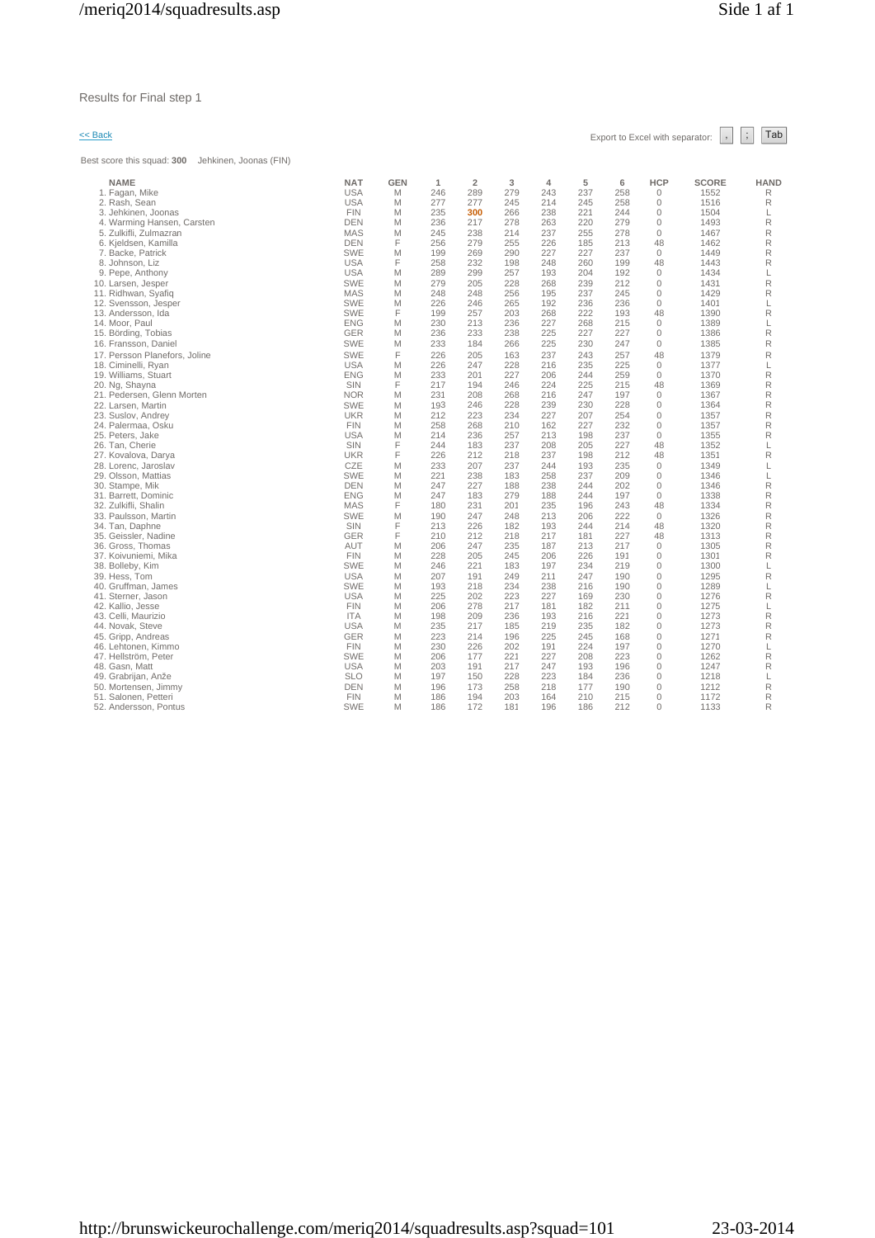### Results for Final step 1

Best score this squad: **300** Jehkinen, Joonas (FIN)

 $\leq$  Back Export to Excel with separator:  $\begin{array}{|c|c|c|c|}\n\hline\n\end{array}$  Tab

| <b>NAME</b>                   | <b>NAT</b> | <b>GEN</b> | 1   | $\overline{2}$ | 3   | 4   | 5   | 6   | <b>HCP</b>   | <b>SCORE</b> | <b>HAND</b> |
|-------------------------------|------------|------------|-----|----------------|-----|-----|-----|-----|--------------|--------------|-------------|
| 1. Fagan, Mike                | <b>USA</b> | M          | 246 | 289            | 279 | 243 | 237 | 258 | $\mathbf{0}$ | 1552         | R           |
| 2. Rash, Sean                 | <b>USA</b> | M          | 277 | 277            | 245 | 214 | 245 | 258 | $\mathbf 0$  | 1516         | R           |
| 3. Jehkinen, Joonas           | <b>FIN</b> | M          | 235 | 300            | 266 | 238 | 221 | 244 | $\mathbf{0}$ | 1504         | L           |
| 4. Warming Hansen, Carsten    | <b>DEN</b> | M          | 236 | 217            | 278 | 263 | 220 | 279 | $\mathbf 0$  | 1493         | R           |
| 5. Zulkifli, Zulmazran        | <b>MAS</b> | M          | 245 | 238            | 214 | 237 | 255 | 278 | $\mathbf{0}$ | 1467         | R           |
| 6. Kjeldsen, Kamilla          | <b>DEN</b> | F          | 256 | 279            | 255 | 226 | 185 | 213 | 48           | 1462         | R           |
| 7. Backe, Patrick             | <b>SWE</b> | M          | 199 | 269            | 290 | 227 | 227 | 237 | $\Omega$     | 1449         | R           |
| 8. Johnson, Liz               | <b>USA</b> | F          | 258 | 232            | 198 | 248 | 260 | 199 | 48           | 1443         | R           |
| 9. Pepe, Anthony              | <b>USA</b> | M          | 289 | 299            | 257 | 193 | 204 | 192 | $\mathbf{0}$ | 1434         | L           |
| 10. Larsen, Jesper            | <b>SWE</b> | M          | 279 | 205            | 228 | 268 | 239 | 212 | $\mathbf{0}$ | 1431         | R           |
| 11. Ridhwan, Syafiq           | MAS        | M          | 248 | 248            | 256 | 195 | 237 | 245 | $\mathbf{0}$ | 1429         | R           |
| 12. Svensson, Jesper          | <b>SWE</b> | M          | 226 | 246            | 265 | 192 | 236 | 236 | $\mathbf{0}$ | 1401         | L           |
| 13. Andersson, Ida            | <b>SWE</b> | F          | 199 | 257            | 203 | 268 | 222 | 193 | 48           | 1390         | $\mathsf R$ |
| 14. Moor. Paul                | <b>ENG</b> | M          | 230 | 213            | 236 | 227 | 268 | 215 | $\mathbf{0}$ | 1389         | L           |
| 15. Börding, Tobias           | <b>GER</b> | M          | 236 | 233            | 238 | 225 | 227 | 227 | $\mathbf{0}$ | 1386         | $\mathsf R$ |
| 16. Fransson, Daniel          | <b>SWE</b> | M          | 233 | 184            | 266 | 225 | 230 | 247 | $\mathbf{0}$ | 1385         | R           |
| 17. Persson Planefors, Joline | <b>SWE</b> | F          | 226 | 205            | 163 | 237 | 243 | 257 | 48           | 1379         | $\mathsf R$ |
| 18. Ciminelli, Ryan           | <b>USA</b> | M          | 226 | 247            | 228 | 216 | 235 | 225 | $\Omega$     | 1377         | L           |
| 19. Williams, Stuart          | <b>ENG</b> | M          | 233 | 201            | 227 | 206 | 244 | 259 | $\mathbf{0}$ | 1370         | $\mathsf R$ |
| 20. Ng, Shayna                | SIN        | F          | 217 | 194            | 246 | 224 | 225 | 215 | 48           | 1369         | $\mathsf R$ |
| 21. Pedersen, Glenn Morten    | <b>NOR</b> | M          | 231 | 208            | 268 | 216 | 247 | 197 | $\mathbb O$  | 1367         | R           |
| 22. Larsen, Martin            | <b>SWE</b> | M          | 193 | 246            | 228 | 239 | 230 | 228 | $\mathbf{0}$ | 1364         | R           |
| 23. Suslov, Andrey            | <b>UKR</b> | M          | 212 | 223            | 234 | 227 | 207 | 254 | $\mathbf{0}$ | 1357         | R           |
| 24. Palermaa, Osku            | <b>FIN</b> | M          | 258 | 268            | 210 | 162 | 227 | 232 | $\mathbf{0}$ | 1357         | R           |
| 25. Peters, Jake              | <b>USA</b> | M          | 214 | 236            | 257 | 213 | 198 | 237 | $\mathbf{0}$ | 1355         | R           |
| 26. Tan. Cherie               | SIN        | F          | 244 | 183            | 237 | 208 | 205 | 227 | 48           | 1352         | L           |
| 27. Kovalova, Darya           | <b>UKR</b> | F          | 226 | 212            | 218 | 237 | 198 | 212 | 48           | 1351         | R           |
| 28. Lorenc, Jaroslav          | CZE        | M          | 233 | 207            | 237 | 244 | 193 | 235 | $\mathbf 0$  | 1349         | L           |
| 29. Olsson, Mattias           | <b>SWE</b> | M          | 221 | 238            | 183 | 258 | 237 | 209 | 0            | 1346         | L           |
| 30. Stampe, Mik               | <b>DEN</b> | M          | 247 | 227            | 188 | 238 | 244 | 202 | $\Omega$     | 1346         | R           |
| 31. Barrett, Dominic          | <b>ENG</b> | M          | 247 | 183            | 279 | 188 | 244 | 197 | $\mathbf{0}$ | 1338         | $\mathsf R$ |
| 32. Zulkifli, Shalin          | <b>MAS</b> | F          | 180 | 231            | 201 | 235 | 196 | 243 | 48           | 1334         | $\mathsf R$ |
| 33. Paulsson, Martin          | <b>SWE</b> | M          | 190 | 247            | 248 | 213 | 206 | 222 | $\mathbf 0$  | 1326         | R           |
| 34. Tan, Daphne               | SIN        | F          | 213 | 226            | 182 | 193 | 244 | 214 | 48           | 1320         | R           |
| 35. Geissler, Nadine          | <b>GER</b> | F          | 210 | 212            | 218 | 217 | 181 | 227 | 48           | 1313         | R           |
| 36. Gross, Thomas             | <b>AUT</b> | M          | 206 | 247            | 235 | 187 | 213 | 217 | $\mathbf{0}$ | 1305         | R           |
| 37. Koivuniemi, Mika          | <b>FIN</b> | M          | 228 | 205            | 245 | 206 | 226 | 191 | 0            | 1301         | R           |
| 38. Bolleby, Kim              | <b>SWE</b> | M          | 246 | 221            | 183 | 197 | 234 | 219 | $\Omega$     | 1300         | L           |
| 39. Hess, Tom                 | <b>USA</b> | M          | 207 | 191            | 249 | 211 | 247 | 190 | $\mathbf{0}$ | 1295         | R           |
| 40. Gruffman, James           | <b>SWE</b> | M          | 193 | 218            | 234 | 238 | 216 | 190 | $\mathbf 0$  | 1289         | L           |
| 41. Sterner, Jason            | <b>USA</b> | M          | 225 | 202            | 223 | 227 | 169 | 230 | 0            | 1276         | R           |
| 42. Kallio, Jesse             | <b>FIN</b> | M          | 206 | 278            | 217 | 181 | 182 | 211 | $\mathbf{0}$ | 1275         | L           |
| 43. Celli, Maurizio           | <b>ITA</b> | M          | 198 | 209            | 236 | 193 | 216 | 221 | 0            | 1273         | R           |
| 44. Novak, Steve              | <b>USA</b> | M          | 235 | 217            | 185 | 219 | 235 | 182 | 0            | 1273         | R           |
| 45. Gripp, Andreas            | <b>GER</b> | M          | 223 | 214            | 196 | 225 | 245 | 168 | 0            | 1271         | $\mathsf R$ |
| 46. Lehtonen, Kimmo           | <b>FIN</b> | M          | 230 | 226            | 202 | 191 | 224 | 197 | 0            | 1270         | L           |
| 47. Hellström, Peter          | <b>SWE</b> | M          | 206 | 177            | 221 | 227 | 208 | 223 | $\mathbf{0}$ | 1262         | R           |
| 48. Gasn, Matt                | <b>USA</b> | M          | 203 | 191            | 217 | 247 | 193 | 196 | 0            | 1247         | R           |
| 49. Grabrijan, Anže           | <b>SLO</b> | M          | 197 | 150            | 228 | 223 | 184 | 236 | 0            | 1218         | L           |
| 50. Mortensen, Jimmy          | DEN        | M          | 196 | 173            | 258 | 218 | 177 | 190 | 0            | 1212         | R           |
| 51. Salonen, Petteri          | <b>FIN</b> | M          | 186 | 194            | 203 | 164 | 210 | 215 | $\Omega$     | 1172         | R           |
| 52. Andersson, Pontus         | <b>SWE</b> | M          | 186 | 172            | 181 | 196 | 186 | 212 | $\mathbf{0}$ | 1133         | R           |
|                               |            |            |     |                |     |     |     |     |              |              |             |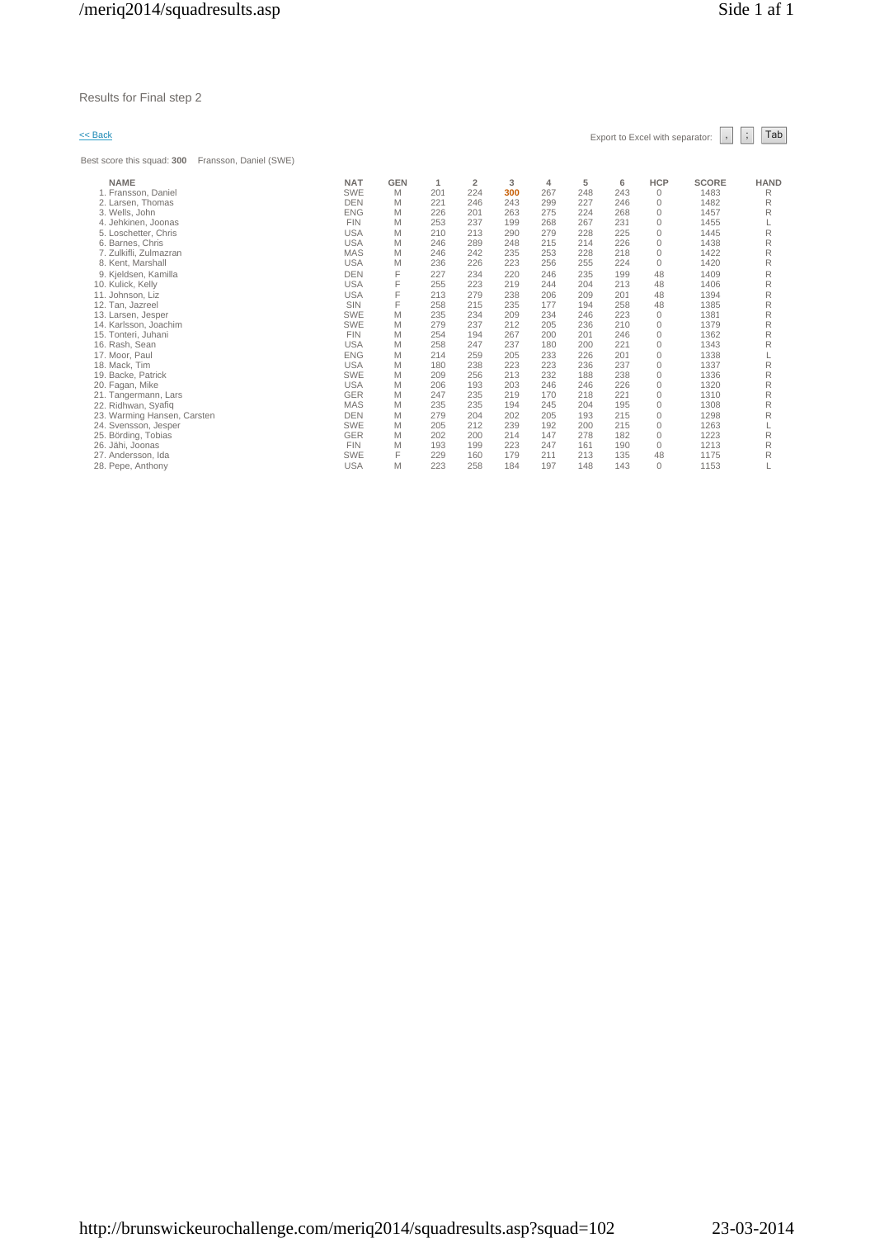Best score this squad: **300** Fransson, Daniel (SWE)

| si score inis syudu. <b>Juu</b><br>FIDIISSUII, DAIIIEI (OVVE) |            |            |     |                |     |     |     |     |              |              |             |
|---------------------------------------------------------------|------------|------------|-----|----------------|-----|-----|-----|-----|--------------|--------------|-------------|
| <b>NAME</b>                                                   | <b>NAT</b> | <b>GEN</b> | 1   | $\overline{2}$ | 3   | 4   | 5   | 6   | <b>HCP</b>   | <b>SCORE</b> | <b>HAND</b> |
| 1. Fransson, Daniel                                           | <b>SWE</b> | M          | 201 | 224            | 300 | 267 | 248 | 243 | 0            | 1483         | R           |
| 2. Larsen, Thomas                                             | <b>DEN</b> | M          | 221 | 246            | 243 | 299 | 227 | 246 | $\Omega$     | 1482         | R           |
| 3. Wells, John                                                | <b>ENG</b> | M          | 226 | 201            | 263 | 275 | 224 | 268 | 0            | 1457         | R           |
| 4. Jehkinen, Joonas                                           | <b>FIN</b> | M          | 253 | 237            | 199 | 268 | 267 | 231 | $\mathbf{0}$ | 1455         |             |
| 5. Loschetter, Chris                                          | <b>USA</b> | M          | 210 | 213            | 290 | 279 | 228 | 225 | 0            | 1445         | R           |
| 6. Barnes, Chris                                              | <b>USA</b> | M          | 246 | 289            | 248 | 215 | 214 | 226 | $\mathbf{0}$ | 1438         | R           |
| 7. Zulkifli, Zulmazran                                        | <b>MAS</b> | M          | 246 | 242            | 235 | 253 | 228 | 218 | $\Omega$     | 1422         | R           |
| 8. Kent, Marshall                                             | <b>USA</b> | M          | 236 | 226            | 223 | 256 | 255 | 224 | $\Omega$     | 1420         | R           |
| 9. Kjeldsen, Kamilla                                          | <b>DEN</b> | F          | 227 | 234            | 220 | 246 | 235 | 199 | 48           | 1409         | R           |
| 10. Kulick, Kelly                                             | <b>USA</b> | F          | 255 | 223            | 219 | 244 | 204 | 213 | 48           | 1406         | R           |
| 11. Johnson, Liz                                              | <b>USA</b> | F          | 213 | 279            | 238 | 206 | 209 | 201 | 48           | 1394         | R           |
| 12. Tan. Jazreel                                              | SIN        | F          | 258 | 215            | 235 | 177 | 194 | 258 | 48           | 1385         | R           |
| 13. Larsen, Jesper                                            | <b>SWE</b> | M          | 235 | 234            | 209 | 234 | 246 | 223 | $\mathbf{0}$ | 1381         | R           |
| 14. Karlsson, Joachim                                         | <b>SWE</b> | M          | 279 | 237            | 212 | 205 | 236 | 210 | $\Omega$     | 1379         | R           |
| 15. Tonteri, Juhani                                           | <b>FIN</b> | M          | 254 | 194            | 267 | 200 | 201 | 246 | $\mathbf{0}$ | 1362         | R           |
| 16. Rash, Sean                                                | <b>USA</b> | M          | 258 | 247            | 237 | 180 | 200 | 221 | $\Omega$     | 1343         | R           |
| 17. Moor, Paul                                                | <b>ENG</b> | M          | 214 | 259            | 205 | 233 | 226 | 201 | 0            | 1338         |             |
| 18. Mack, Tim                                                 | <b>USA</b> | M          | 180 | 238            | 223 | 223 | 236 | 237 | 0            | 1337         | R           |
| 19. Backe, Patrick                                            | <b>SWE</b> | M          | 209 | 256            | 213 | 232 | 188 | 238 | $\mathbf{0}$ | 1336         | R           |
| 20. Fagan, Mike                                               | <b>USA</b> | M          | 206 | 193            | 203 | 246 | 246 | 226 | $\Omega$     | 1320         | R           |
| 21. Tangermann, Lars                                          | GER        | M          | 247 | 235            | 219 | 170 | 218 | 221 | $\Omega$     | 1310         | R           |
| 22. Ridhwan, Syafiq                                           | <b>MAS</b> | M          | 235 | 235            | 194 | 245 | 204 | 195 | 0            | 1308         | R           |
| 23. Warming Hansen, Carsten                                   | <b>DEN</b> | M          | 279 | 204            | 202 | 205 | 193 | 215 | $\Omega$     | 1298         | R           |
| 24. Svensson, Jesper                                          | <b>SWE</b> | M          | 205 | 212            | 239 | 192 | 200 | 215 | $\mathbf{0}$ | 1263         |             |
| 25. Börding, Tobias                                           | GER        | M          | 202 | 200            | 214 | 147 | 278 | 182 | $\mathbf{0}$ | 1223         | R           |
| 26. Jähi, Joonas                                              | <b>FIN</b> | M          | 193 | 199            | 223 | 247 | 161 | 190 | $\Omega$     | 1213         | R           |
| 27. Andersson, Ida                                            | <b>SWE</b> | F          | 229 | 160            | 179 | 211 | 213 | 135 | 48           | 1175         | R           |
| 28. Pepe, Anthony                                             | <b>USA</b> | M          | 223 | 258            | 184 | 197 | 148 | 143 | $\Omega$     | 1153         |             |
|                                                               |            |            |     |                |     |     |     |     |              |              |             |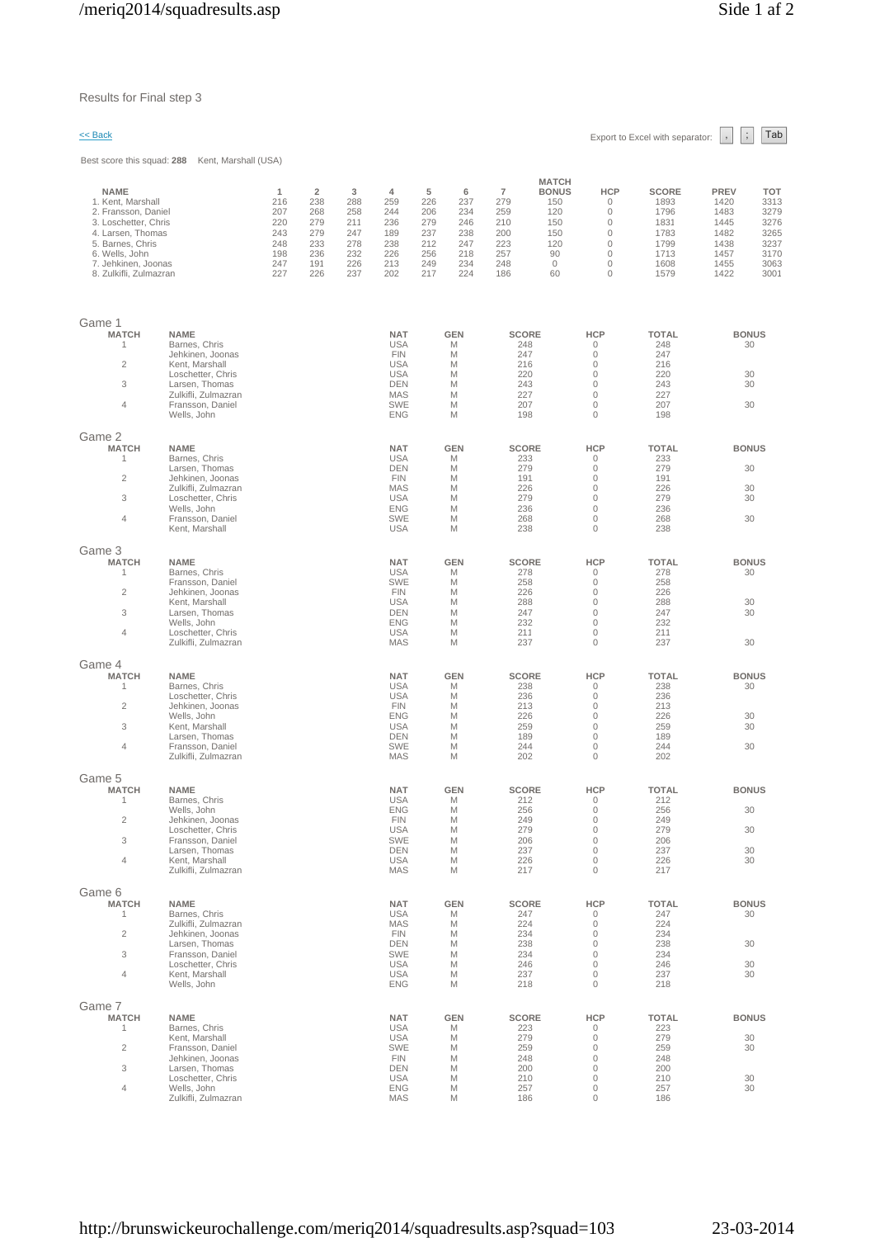| << Back                                                                                                                                                                                     |                                                                                                                                                                     |                                                           |                                                                        |                                                           |                                                                                                                            |                                                           |                                                           |                                                                        |                                                                                             |                                                                                                                                          | Export to Excel with separator:                                              | $\vdots$<br>$\,$ ,                                                          | Tab                                                                        |
|---------------------------------------------------------------------------------------------------------------------------------------------------------------------------------------------|---------------------------------------------------------------------------------------------------------------------------------------------------------------------|-----------------------------------------------------------|------------------------------------------------------------------------|-----------------------------------------------------------|----------------------------------------------------------------------------------------------------------------------------|-----------------------------------------------------------|-----------------------------------------------------------|------------------------------------------------------------------------|---------------------------------------------------------------------------------------------|------------------------------------------------------------------------------------------------------------------------------------------|------------------------------------------------------------------------------|-----------------------------------------------------------------------------|----------------------------------------------------------------------------|
|                                                                                                                                                                                             | Best score this squad: 288 Kent, Marshall (USA)                                                                                                                     |                                                           |                                                                        |                                                           |                                                                                                                            |                                                           |                                                           |                                                                        |                                                                                             |                                                                                                                                          |                                                                              |                                                                             |                                                                            |
| <b>NAME</b><br>1. Kent, Marshall<br>2. Fransson, Daniel<br>3. Loschetter, Chris<br>4. Larsen, Thomas<br>5. Barnes, Chris<br>6. Wells, John<br>7. Jehkinen, Joonas<br>8. Zulkifli, Zulmazran |                                                                                                                                                                     | 1<br>216<br>207<br>220<br>243<br>248<br>198<br>247<br>227 | $\overline{2}$<br>238<br>268<br>279<br>279<br>233<br>236<br>191<br>226 | 3<br>288<br>258<br>211<br>247<br>278<br>232<br>226<br>237 | 4<br>259<br>244<br>236<br>189<br>238<br>226<br>213<br>202                                                                  | 5<br>226<br>206<br>279<br>237<br>212<br>256<br>249<br>217 | 6<br>237<br>234<br>246<br>238<br>247<br>218<br>234<br>224 | $\overline{7}$<br>279<br>259<br>210<br>200<br>223<br>257<br>248<br>186 | <b>MATCH</b><br><b>BONUS</b><br>150<br>120<br>150<br>150<br>120<br>90<br>$\mathbf{0}$<br>60 | <b>HCP</b><br>$\mathbf{0}$<br>$\mathbb O$<br>$\mathbf{0}$<br>$\mathbb O$<br>$\mathbf{0}$<br>$\mathbf{0}$<br>$\mathbf{0}$<br>$\mathbf{0}$ | <b>SCORE</b><br>1893<br>1796<br>1831<br>1783<br>1799<br>1713<br>1608<br>1579 | <b>PREV</b><br>1420<br>1483<br>1445<br>1482<br>1438<br>1457<br>1455<br>1422 | <b>TOT</b><br>3313<br>3279<br>3276<br>3265<br>3237<br>3170<br>3063<br>3001 |
| Game 1<br><b>MATCH</b><br>-1<br>$\overline{2}$<br>3<br>$\overline{4}$                                                                                                                       | <b>NAME</b><br>Barnes, Chris<br>Jehkinen, Joonas<br>Kent, Marshall<br>Loschetter, Chris<br>Larsen, Thomas<br>Zulkifli, Zulmazran<br>Fransson, Daniel<br>Wells, John |                                                           |                                                                        |                                                           | <b>NAT</b><br><b>USA</b><br><b>FIN</b><br><b>USA</b><br><b>USA</b><br><b>DEN</b><br><b>MAS</b><br><b>SWE</b><br><b>ENG</b> |                                                           | <b>GEN</b><br>M<br>M<br>M<br>M<br>M<br>M<br>M<br>M        | <b>SCORE</b><br>248<br>247<br>216<br>220<br>243<br>227<br>207<br>198   |                                                                                             | <b>HCP</b><br>0<br>$\mathbf 0$<br>$\mathbf 0$<br>$\circ$<br>$\mathbf{0}$<br>$\mathbf 0$<br>$\mathbf{0}$<br>$\mathbf 0$                   | <b>TOTAL</b><br>248<br>247<br>216<br>220<br>243<br>227<br>207<br>198         | <b>BONUS</b><br>30<br>30<br>30<br>30                                        |                                                                            |
| Game 2<br><b>MATCH</b><br>1<br>$\overline{2}$<br>3<br>$\overline{4}$                                                                                                                        | <b>NAME</b><br>Barnes, Chris<br>Larsen, Thomas<br>Jehkinen, Joonas<br>Zulkifli, Zulmazran<br>Loschetter, Chris<br>Wells, John<br>Fransson, Daniel<br>Kent, Marshall |                                                           |                                                                        |                                                           | <b>NAT</b><br><b>USA</b><br><b>DEN</b><br><b>FIN</b><br><b>MAS</b><br><b>USA</b><br><b>ENG</b><br><b>SWE</b><br><b>USA</b> |                                                           | <b>GEN</b><br>M<br>M<br>M<br>M<br>M<br>M<br>M<br>M        | <b>SCORE</b><br>233<br>279<br>191<br>226<br>279<br>236<br>268<br>238   |                                                                                             | <b>HCP</b><br>$\mathbf 0$<br>$\mathbf{0}$<br>$\circ$<br>$\mathbf{0}$<br>$\mathbf 0$<br>$\circ$<br>$\mathbf 0$<br>$\mathbf{0}$            | <b>TOTAL</b><br>233<br>279<br>191<br>226<br>279<br>236<br>268<br>238         | <b>BONUS</b><br>30<br>30<br>30<br>30                                        |                                                                            |
| Game 3<br><b>MATCH</b><br>1<br>$\overline{c}$<br>3<br>$\overline{4}$                                                                                                                        | <b>NAME</b><br>Barnes, Chris<br>Fransson, Daniel<br>Jehkinen, Joonas<br>Kent, Marshall<br>Larsen, Thomas<br>Wells, John<br>Loschetter, Chris<br>Zulkifli, Zulmazran |                                                           |                                                                        |                                                           | <b>NAT</b><br><b>USA</b><br><b>SWE</b><br><b>FIN</b><br><b>USA</b><br><b>DEN</b><br><b>ENG</b><br><b>USA</b><br><b>MAS</b> |                                                           | <b>GEN</b><br>M<br>M<br>M<br>M<br>M<br>M<br>M<br>M        | <b>SCORE</b><br>278<br>258<br>226<br>288<br>247<br>232<br>211<br>237   |                                                                                             | <b>HCP</b><br>$\mathbf{0}$<br>$\mathbf 0$<br>$\circ$<br>$\mathbf 0$<br>$\mathbf{0}$<br>$\mathbf 0$<br>$\mathbf 0$<br>$\mathbf{0}$        | <b>TOTAL</b><br>278<br>258<br>226<br>288<br>247<br>232<br>211<br>237         | <b>BONUS</b><br>30<br>30<br>30<br>30                                        |                                                                            |
| Game 4<br><b>MATCH</b><br>1<br>$\overline{c}$<br>3<br>$\overline{4}$                                                                                                                        | <b>NAME</b><br>Barnes, Chris<br>Loschetter, Chris<br>Jehkinen, Joonas<br>Wells, John<br>Kent, Marshall<br>Larsen, Thomas<br>Fransson, Daniel<br>Zulkifli, Zulmazran |                                                           |                                                                        |                                                           | <b>NAT</b><br><b>USA</b><br><b>USA</b><br><b>FIN</b><br><b>ENG</b><br><b>USA</b><br><b>DEN</b><br><b>SWE</b><br>MAS        |                                                           | <b>GEN</b><br>M<br>M<br>M<br>M<br>M<br>M<br>M<br>M        | <b>SCORE</b><br>238<br>236<br>213<br>226<br>259<br>189<br>244<br>202   |                                                                                             | <b>HCP</b><br>0<br>$\circ$<br>$\mathbf 0$<br>$\mathbf 0$<br>$\mathbf{0}$<br>$\circ$<br>$\mathbf{0}$<br>$\mathbf 0$                       | <b>TOTAL</b><br>238<br>236<br>213<br>226<br>259<br>189<br>244<br>202         | <b>BONUS</b><br>30<br>30<br>30<br>30                                        |                                                                            |
| Game 5<br><b>MATCH</b><br>1<br>$\overline{c}$<br>3<br>$\overline{4}$                                                                                                                        | <b>NAME</b><br>Barnes, Chris<br>Wells, John<br>Jehkinen, Joonas<br>Loschetter, Chris<br>Fransson, Daniel<br>Larsen, Thomas<br>Kent, Marshall<br>Zulkifli, Zulmazran |                                                           |                                                                        |                                                           | <b>NAT</b><br><b>USA</b><br><b>ENG</b><br><b>FIN</b><br><b>USA</b><br><b>SWE</b><br><b>DEN</b><br><b>USA</b><br><b>MAS</b> |                                                           | <b>GEN</b><br>M<br>M<br>M<br>M<br>M<br>M<br>M<br>M        | <b>SCORE</b><br>212<br>256<br>249<br>279<br>206<br>237<br>226<br>217   |                                                                                             | <b>HCP</b><br>$\mathbf 0$<br>$\mathbf 0$<br>$\circ$<br>$\circ$<br>$\mathbb O$<br>$\circ$<br>$\mathbf 0$<br>$\circ$                       | TOTAL<br>212<br>256<br>249<br>279<br>206<br>237<br>226<br>217                | <b>BONUS</b><br>30<br>30<br>30<br>30                                        |                                                                            |
| Game 6<br><b>MATCH</b><br>$\mathbf{1}$<br>$\overline{2}$<br>3<br>$\overline{4}$                                                                                                             | <b>NAME</b><br>Barnes, Chris<br>Zulkifli, Zulmazran<br>Jehkinen, Joonas<br>Larsen, Thomas<br>Fransson, Daniel<br>Loschetter, Chris<br>Kent, Marshall<br>Wells, John |                                                           |                                                                        |                                                           | <b>NAT</b><br><b>USA</b><br><b>MAS</b><br><b>FIN</b><br><b>DEN</b><br><b>SWE</b><br><b>USA</b><br><b>USA</b><br><b>ENG</b> |                                                           | <b>GEN</b><br>M<br>M<br>M<br>M<br>M<br>M<br>M<br>M        | <b>SCORE</b><br>247<br>224<br>234<br>238<br>234<br>246<br>237<br>218   |                                                                                             | <b>HCP</b><br>$\circ$<br>$\circ$<br>$\mathbf 0$<br>$\mathbf 0$<br>$\circ$<br>$\mathbb O$<br>$\mathbf 0$<br>$\circ$                       | <b>TOTAL</b><br>247<br>224<br>234<br>238<br>234<br>246<br>237<br>218         | <b>BONUS</b><br>30<br>30<br>30<br>30                                        |                                                                            |
| Game 7<br><b>MATCH</b><br>1<br>$\overline{c}$<br>3<br>4                                                                                                                                     | <b>NAME</b><br>Barnes, Chris<br>Kent, Marshall<br>Fransson, Daniel<br>Jehkinen, Joonas<br>Larsen, Thomas<br>Loschetter, Chris<br>Wells, John<br>Zulkifli, Zulmazran |                                                           |                                                                        |                                                           | <b>NAT</b><br><b>USA</b><br><b>USA</b><br><b>SWE</b><br><b>FIN</b><br><b>DEN</b><br><b>USA</b><br><b>ENG</b><br><b>MAS</b> |                                                           | <b>GEN</b><br>M<br>M<br>M<br>M<br>M<br>M<br>M<br>M        | <b>SCORE</b><br>223<br>279<br>259<br>248<br>200<br>210<br>257<br>186   |                                                                                             | <b>HCP</b><br>$\circ$<br>$\circ$<br>$\mathbf 0$<br>$\mathbf 0$<br>$\mathbf{0}$<br>$\mathbf 0$<br>$\mathbb O$<br>$\circ$                  | <b>TOTAL</b><br>223<br>279<br>259<br>248<br>200<br>210<br>257<br>186         | <b>BONUS</b><br>30<br>30<br>30<br>30                                        |                                                                            |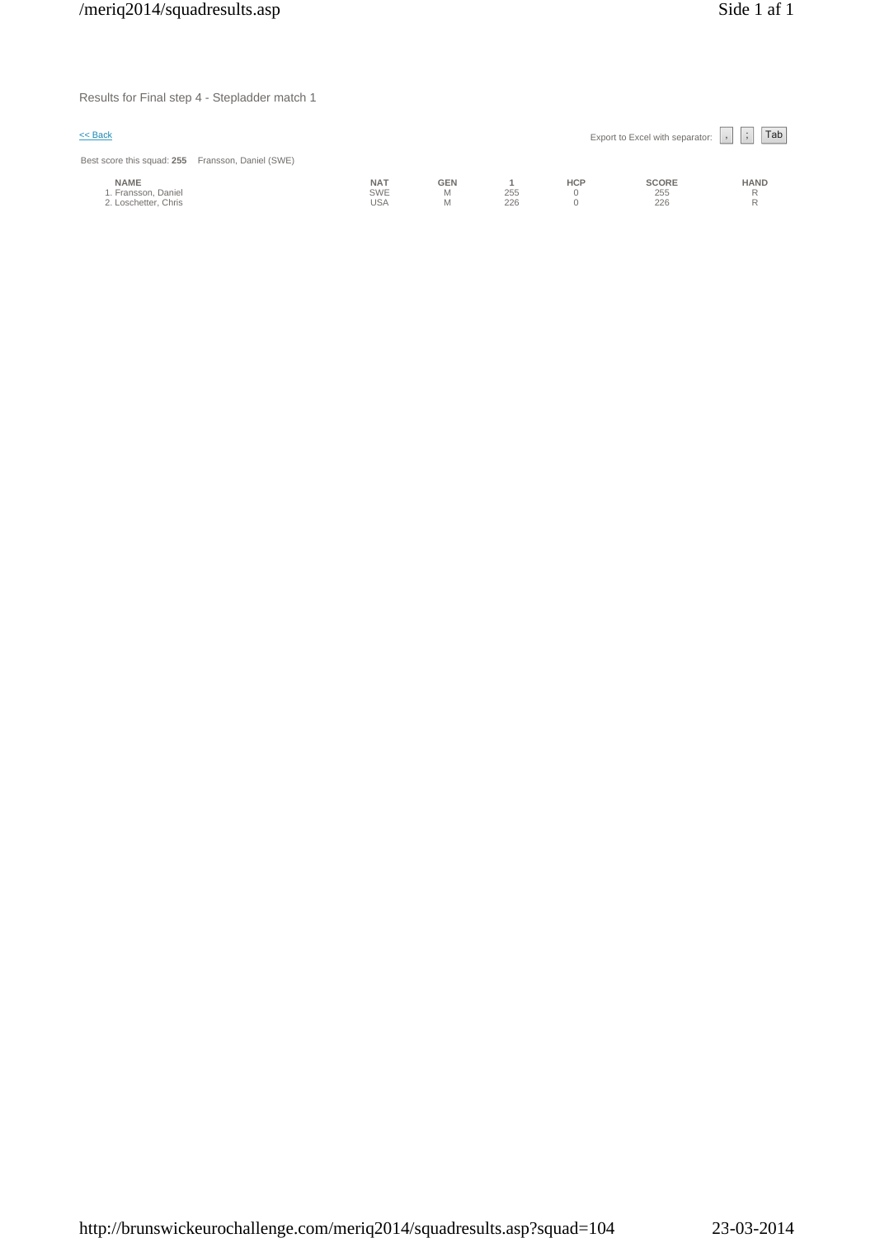Results for Final step 4 - Stepladder match 1

| $\leq$ Back                                                |                                        |                      |            |            | Export to Excel with separator: | Tab<br>$\sim$    |
|------------------------------------------------------------|----------------------------------------|----------------------|------------|------------|---------------------------------|------------------|
| Best score this squad: 255 Fransson, Daniel (SWE)          |                                        |                      |            |            |                                 |                  |
| <b>NAME</b><br>1. Fransson, Daniel<br>2. Loschetter, Chris | <b>NAT</b><br><b>SWE</b><br><b>USA</b> | <b>GEN</b><br>M<br>Μ | 255<br>226 | <b>HCP</b> | <b>SCORE</b><br>255<br>226      | <b>HAND</b><br>R |